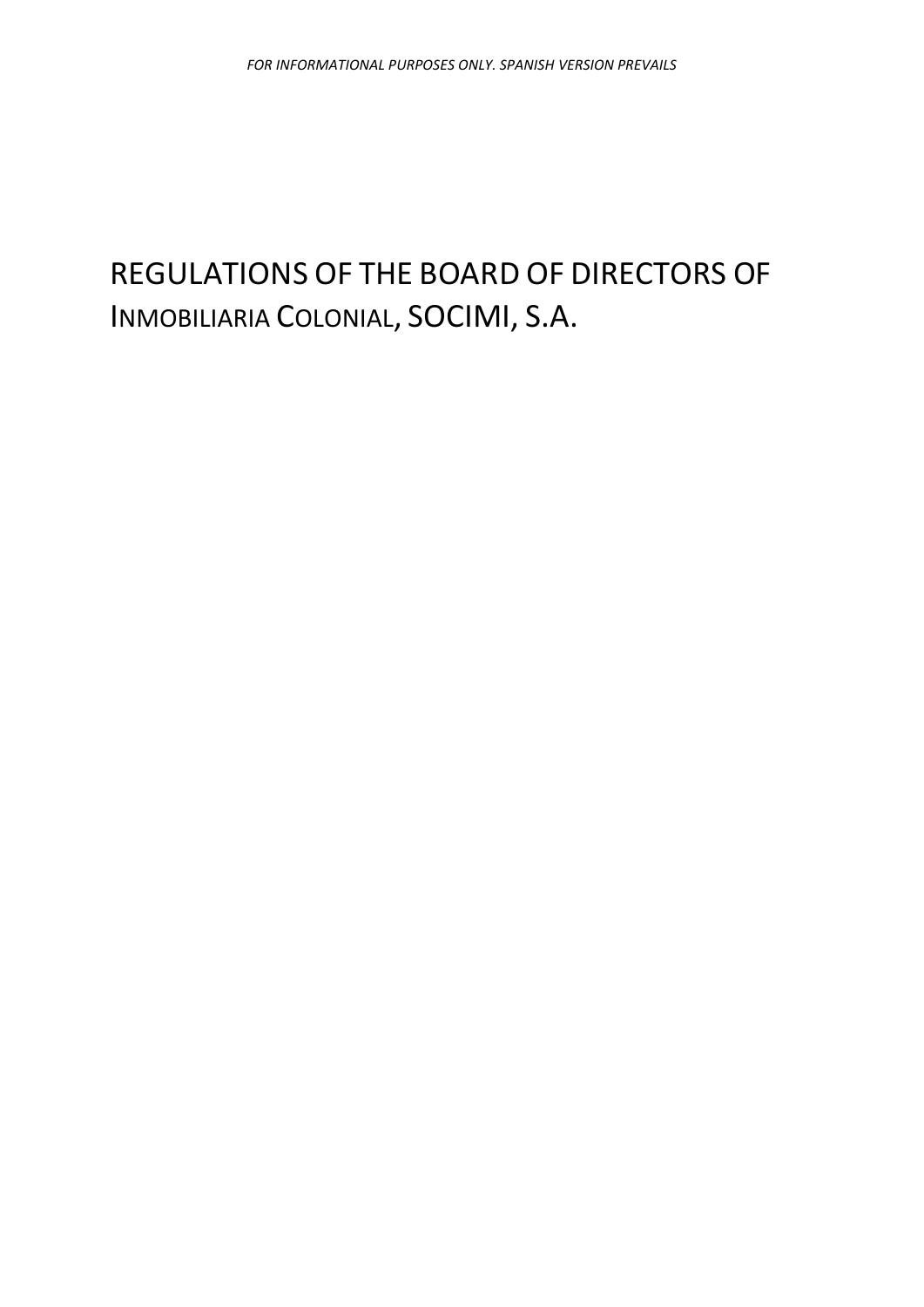# REGULATIONS OF THE BOARD OF DIRECTORS OF INMOBILIARIA COLONIAL, SOCIMI, S.A.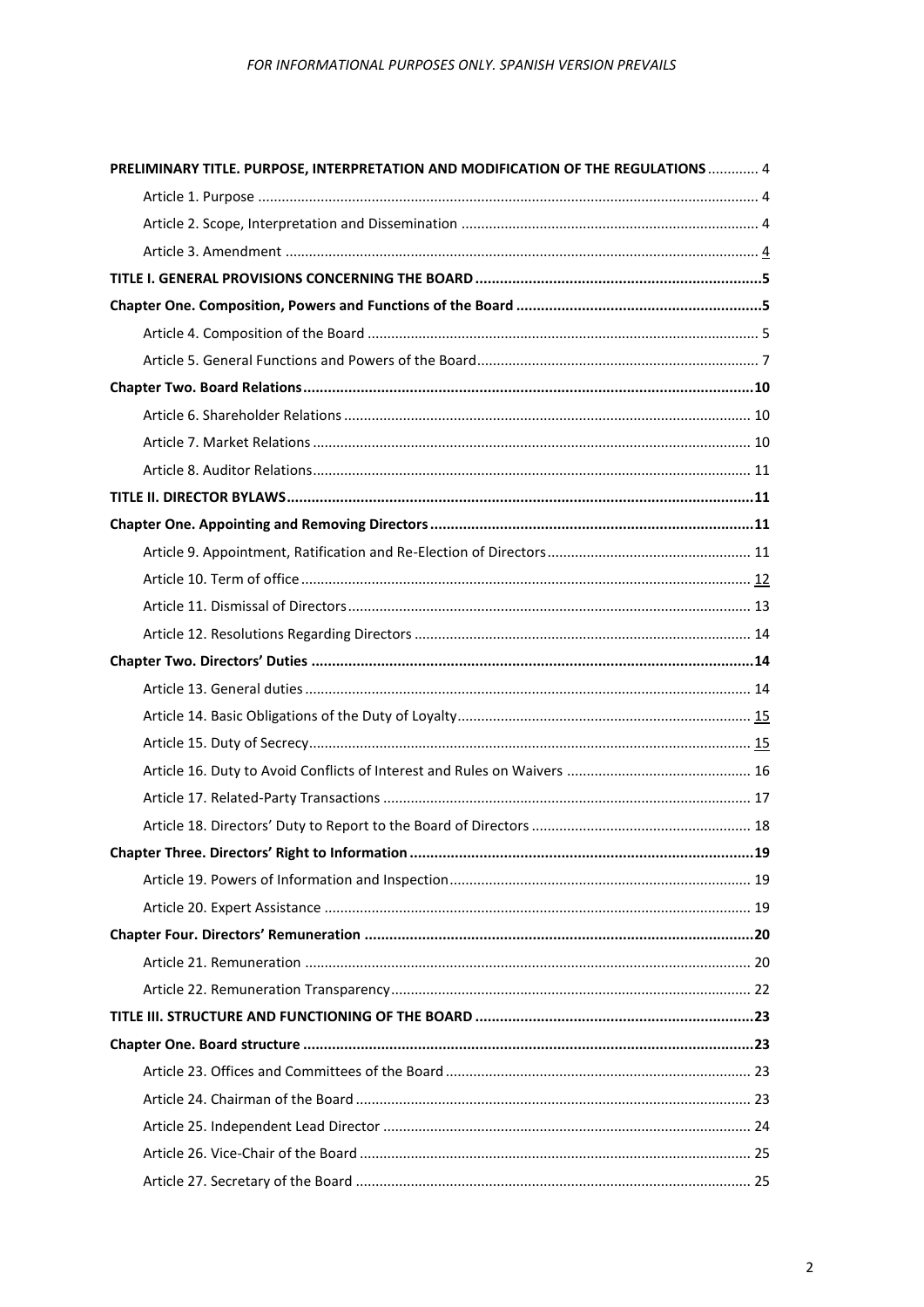| PRELIMINARY TITLE. PURPOSE, INTERPRETATION AND MODIFICATION OF THE REGULATIONS  4 |      |
|-----------------------------------------------------------------------------------|------|
|                                                                                   |      |
|                                                                                   |      |
|                                                                                   |      |
|                                                                                   |      |
|                                                                                   |      |
|                                                                                   |      |
|                                                                                   |      |
|                                                                                   |      |
|                                                                                   |      |
|                                                                                   |      |
|                                                                                   |      |
|                                                                                   |      |
|                                                                                   |      |
|                                                                                   |      |
|                                                                                   |      |
|                                                                                   |      |
|                                                                                   |      |
|                                                                                   |      |
|                                                                                   |      |
|                                                                                   |      |
|                                                                                   |      |
|                                                                                   |      |
|                                                                                   |      |
|                                                                                   |      |
|                                                                                   | . 19 |
|                                                                                   |      |
|                                                                                   |      |
|                                                                                   |      |
|                                                                                   |      |
|                                                                                   |      |
|                                                                                   |      |
|                                                                                   |      |
|                                                                                   |      |
|                                                                                   |      |
|                                                                                   |      |
|                                                                                   |      |
|                                                                                   |      |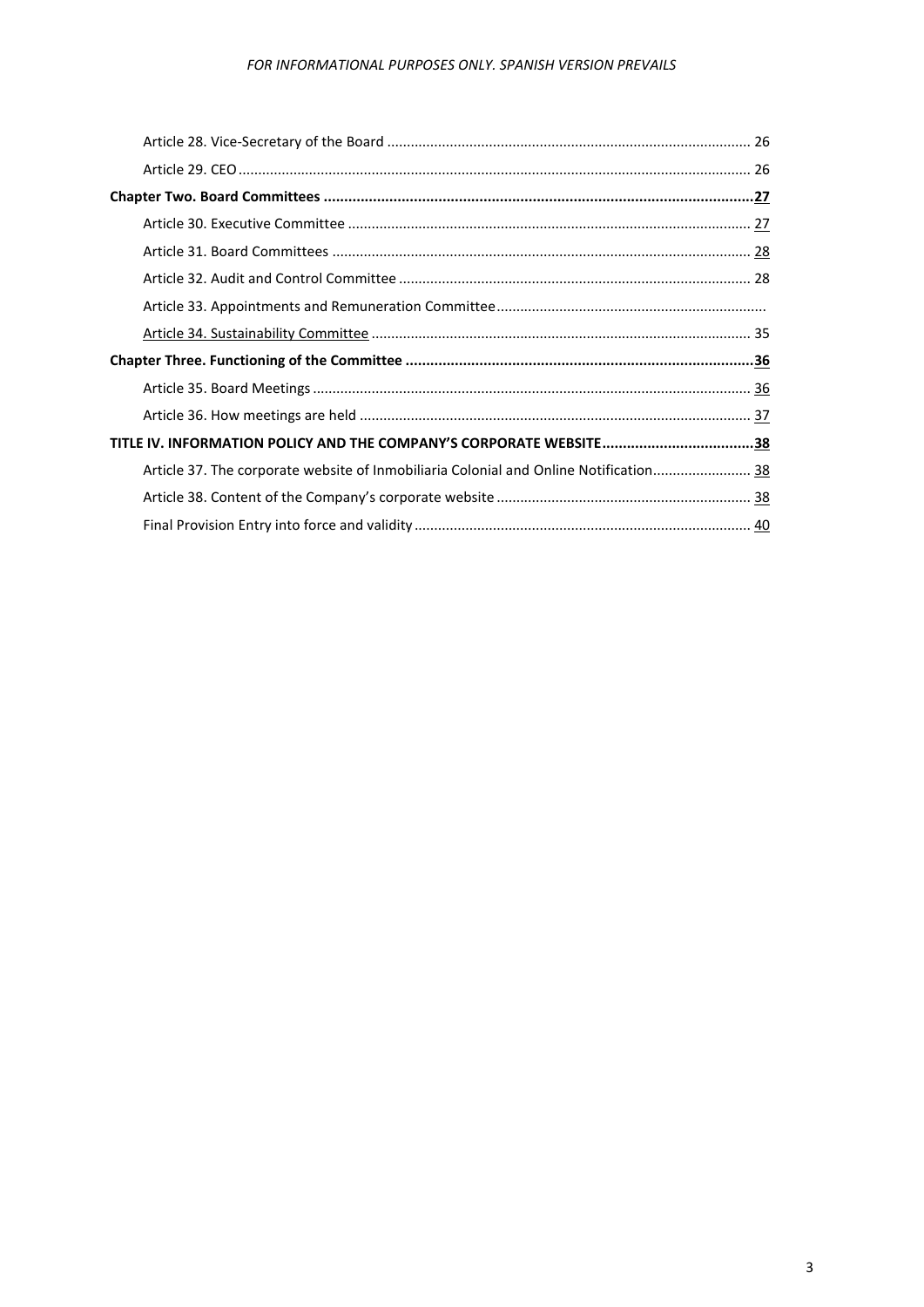| TITLE IV. INFORMATION POLICY AND THE COMPANY'S CORPORATE WEBSITE38                    |  |
|---------------------------------------------------------------------------------------|--|
| Article 37. The corporate website of Inmobiliaria Colonial and Online Notification 38 |  |
|                                                                                       |  |
|                                                                                       |  |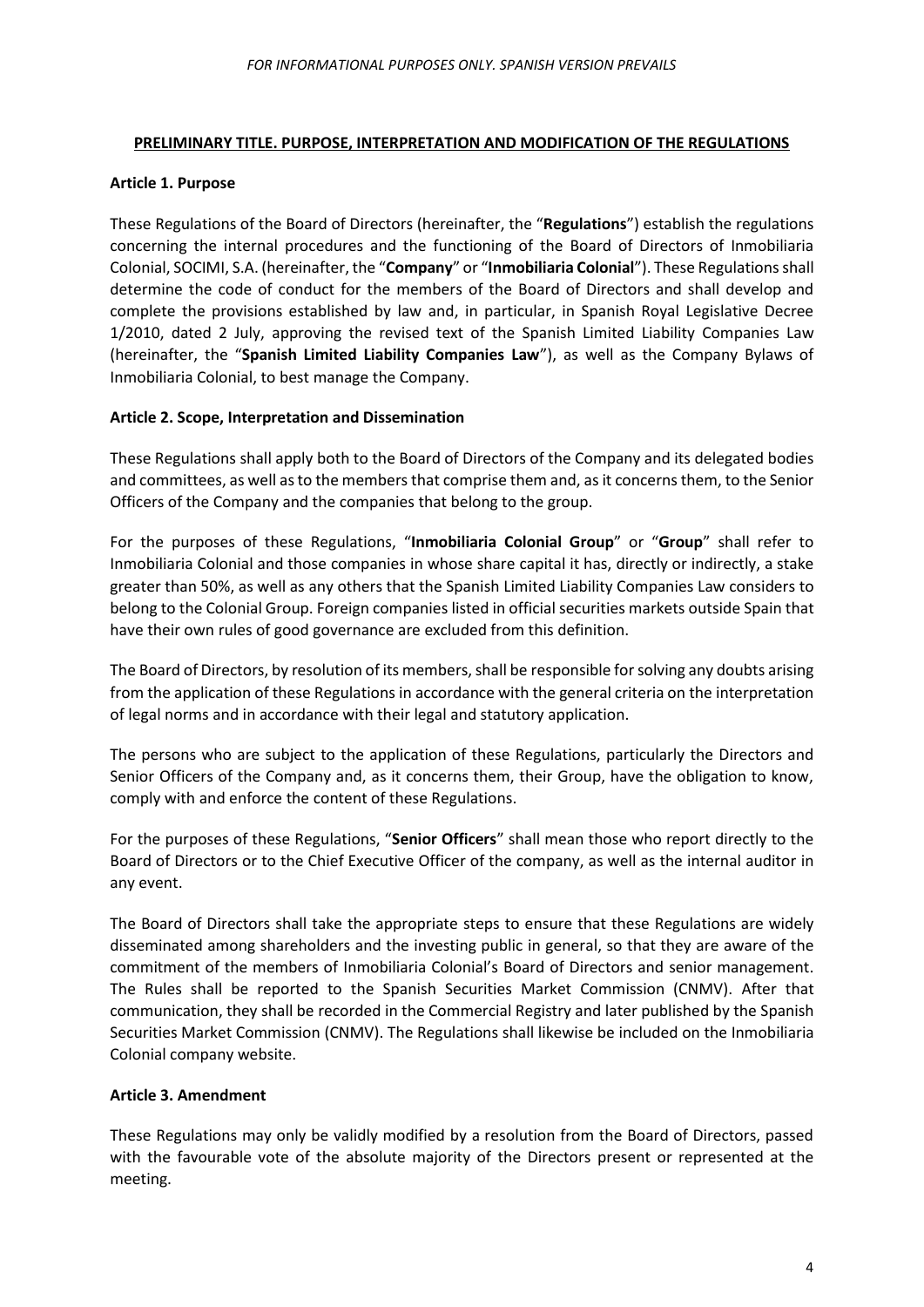## <span id="page-3-0"></span>**PRELIMINARY TITLE. PURPOSE, INTERPRETATION AND MODIFICATION OF THE REGULATIONS**

## <span id="page-3-1"></span>**Article 1. Purpose**

These Regulations of the Board of Directors (hereinafter, the "**Regulations**") establish the regulations concerning the internal procedures and the functioning of the Board of Directors of Inmobiliaria Colonial, SOCIMI, S.A. (hereinafter, the "**Company**" or "**Inmobiliaria Colonial**"). These Regulations shall determine the code of conduct for the members of the Board of Directors and shall develop and complete the provisions established by law and, in particular, in Spanish Royal Legislative Decree 1/2010, dated 2 July, approving the revised text of the Spanish Limited Liability Companies Law (hereinafter, the "**Spanish Limited Liability Companies Law**"), as well as the Company Bylaws of Inmobiliaria Colonial, to best manage the Company.

## <span id="page-3-2"></span>**Article 2. Scope, Interpretation and Dissemination**

These Regulations shall apply both to the Board of Directors of the Company and its delegated bodies and committees, as well as to the members that comprise them and, as it concerns them, to the Senior Officers of the Company and the companies that belong to the group.

For the purposes of these Regulations, "**Inmobiliaria Colonial Group**" or "**Group**" shall refer to Inmobiliaria Colonial and those companies in whose share capital it has, directly or indirectly, a stake greater than 50%, as well as any others that the Spanish Limited Liability Companies Law considers to belong to the Colonial Group. Foreign companies listed in official securities markets outside Spain that have their own rules of good governance are excluded from this definition.

The Board of Directors, by resolution of its members, shall be responsible for solving any doubts arising from the application of these Regulations in accordance with the general criteria on the interpretation of legal norms and in accordance with their legal and statutory application.

The persons who are subject to the application of these Regulations, particularly the Directors and Senior Officers of the Company and, as it concerns them, their Group, have the obligation to know, comply with and enforce the content of these Regulations.

For the purposes of these Regulations, "**Senior Officers**" shall mean those who report directly to the Board of Directors or to the Chief Executive Officer of the company, as well as the internal auditor in any event.

The Board of Directors shall take the appropriate steps to ensure that these Regulations are widely disseminated among shareholders and the investing public in general, so that they are aware of the commitment of the members of Inmobiliaria Colonial's Board of Directors and senior management. The Rules shall be reported to the Spanish Securities Market Commission (CNMV). After that communication, they shall be recorded in the Commercial Registry and later published by the Spanish Securities Market Commission (CNMV). The Regulations shall likewise be included on the Inmobiliaria Colonial company website.

#### <span id="page-3-3"></span>**Article 3. Amendment**

These Regulations may only be validly modified by a resolution from the Board of Directors, passed with the favourable vote of the absolute majority of the Directors present or represented at the meeting.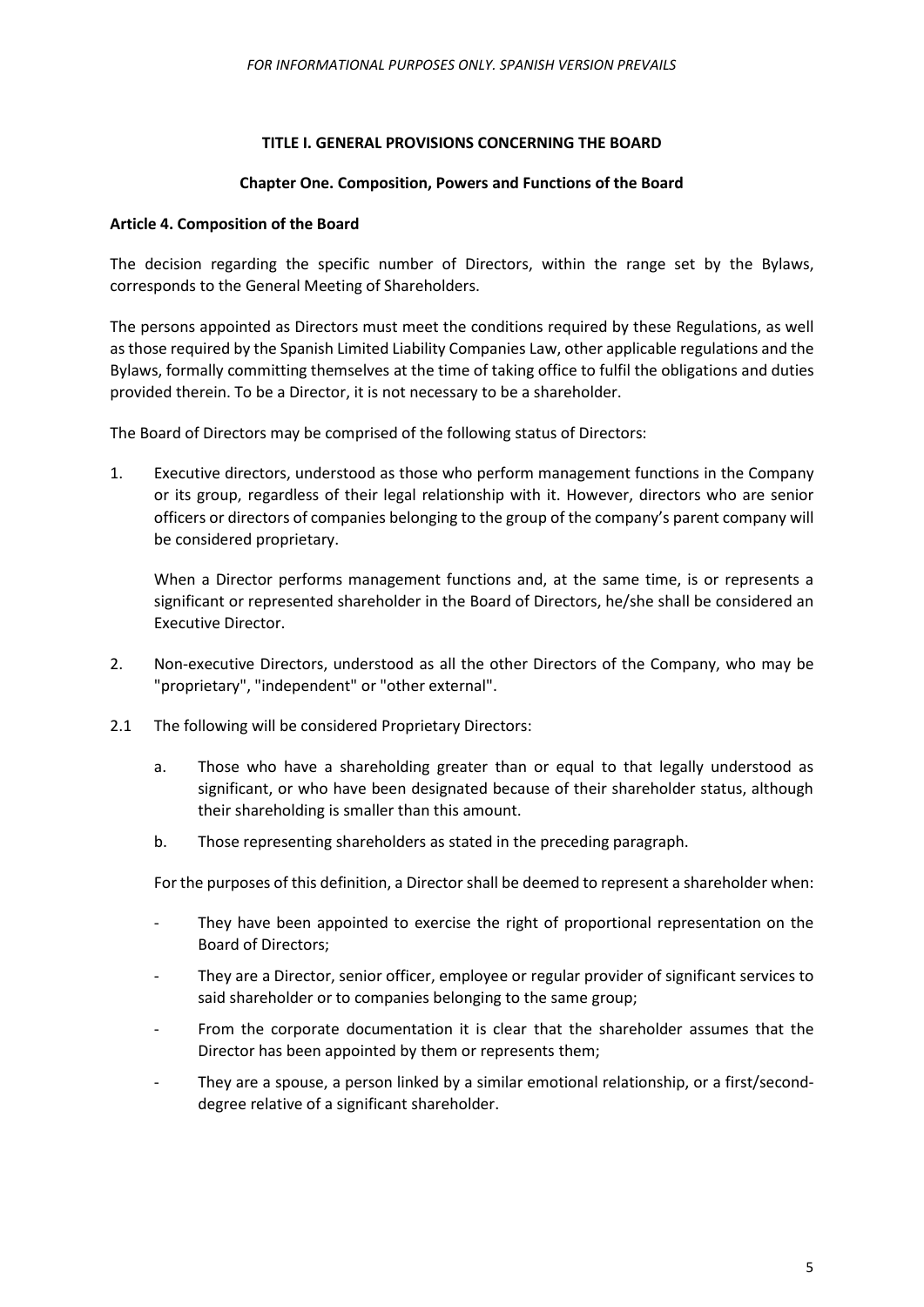## **TITLE I. GENERAL PROVISIONS CONCERNING THE BOARD**

#### **Chapter One. Composition, Powers and Functions of the Board**

## <span id="page-4-2"></span><span id="page-4-1"></span><span id="page-4-0"></span>**Article 4. Composition of the Board**

The decision regarding the specific number of Directors, within the range set by the Bylaws, corresponds to the General Meeting of Shareholders.

The persons appointed as Directors must meet the conditions required by these Regulations, as well as those required by the Spanish Limited Liability Companies Law, other applicable regulations and the Bylaws, formally committing themselves at the time of taking office to fulfil the obligations and duties provided therein. To be a Director, it is not necessary to be a shareholder.

The Board of Directors may be comprised of the following status of Directors:

1. Executive directors, understood as those who perform management functions in the Company or its group, regardless of their legal relationship with it. However, directors who are senior officers or directors of companies belonging to the group of the company's parent company will be considered proprietary.

When a Director performs management functions and, at the same time, is or represents a significant or represented shareholder in the Board of Directors, he/she shall be considered an Executive Director.

- 2. Non-executive Directors, understood as all the other Directors of the Company, who may be "proprietary", "independent" or "other external".
- 2.1 The following will be considered Proprietary Directors:
	- a. Those who have a shareholding greater than or equal to that legally understood as significant, or who have been designated because of their shareholder status, although their shareholding is smaller than this amount.
	- b. Those representing shareholders as stated in the preceding paragraph.

For the purposes of this definition, a Director shall be deemed to represent a shareholder when:

- They have been appointed to exercise the right of proportional representation on the Board of Directors;
- They are a Director, senior officer, employee or regular provider of significant services to said shareholder or to companies belonging to the same group;
- From the corporate documentation it is clear that the shareholder assumes that the Director has been appointed by them or represents them;
- They are a spouse, a person linked by a similar emotional relationship, or a first/seconddegree relative of a significant shareholder.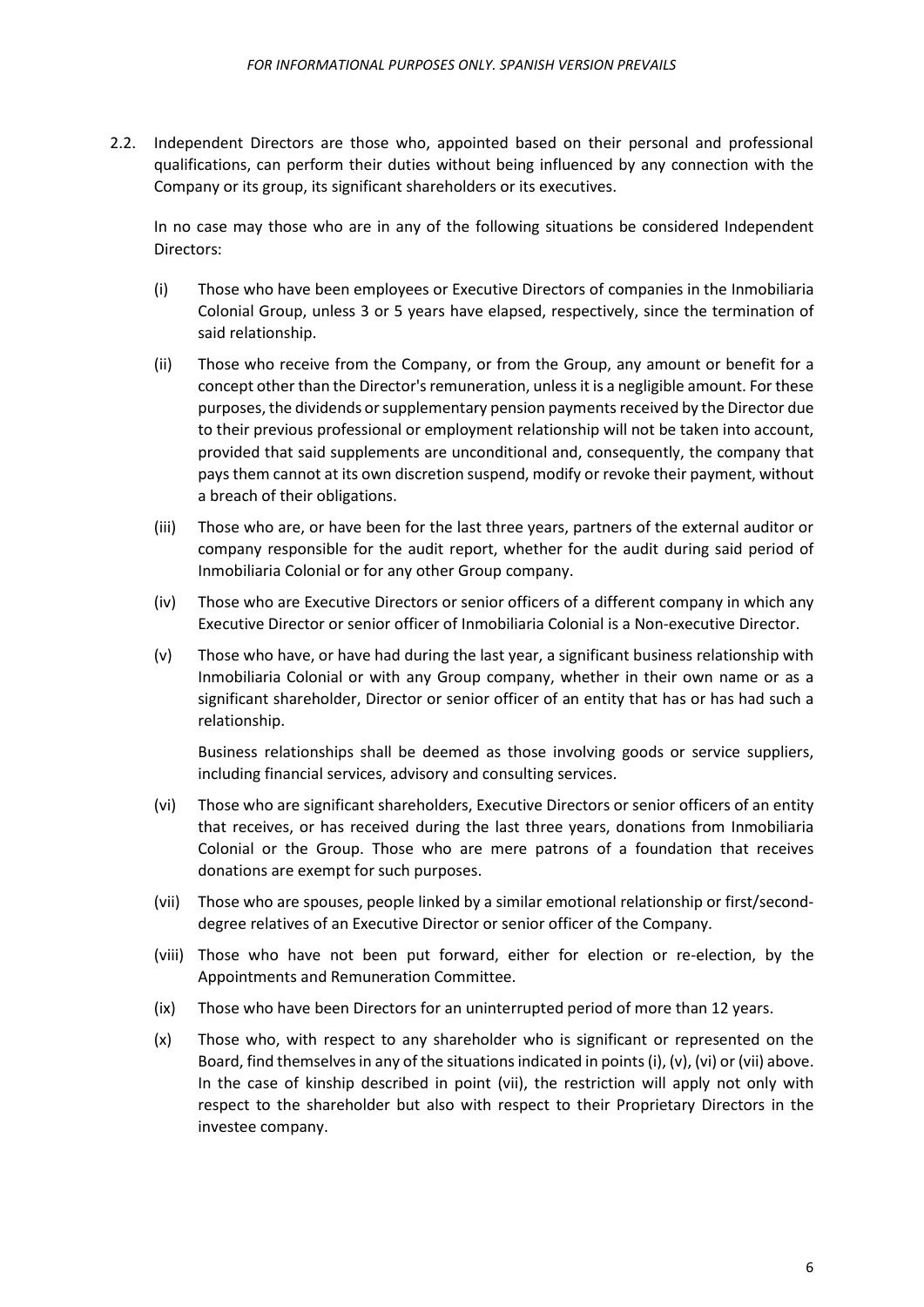2.2. Independent Directors are those who, appointed based on their personal and professional qualifications, can perform their duties without being influenced by any connection with the Company or its group, its significant shareholders or its executives.

In no case may those who are in any of the following situations be considered Independent Directors:

- (i) Those who have been employees or Executive Directors of companies in the Inmobiliaria Colonial Group, unless 3 or 5 years have elapsed, respectively, since the termination of said relationship.
- (ii) Those who receive from the Company, or from the Group, any amount or benefit for a concept other than the Director's remuneration, unless it is a negligible amount. For these purposes, the dividends or supplementary pension paymentsreceived by the Director due to their previous professional or employment relationship will not be taken into account, provided that said supplements are unconditional and, consequently, the company that pays them cannot at its own discretion suspend, modify or revoke their payment, without a breach of their obligations.
- (iii) Those who are, or have been for the last three years, partners of the external auditor or company responsible for the audit report, whether for the audit during said period of Inmobiliaria Colonial or for any other Group company.
- (iv) Those who are Executive Directors or senior officers of a different company in which any Executive Director or senior officer of Inmobiliaria Colonial is a Non-executive Director.
- (v) Those who have, or have had during the last year, a significant business relationship with Inmobiliaria Colonial or with any Group company, whether in their own name or as a significant shareholder, Director or senior officer of an entity that has or has had such a relationship.

Business relationships shall be deemed as those involving goods or service suppliers, including financial services, advisory and consulting services.

- (vi) Those who are significant shareholders, Executive Directors or senior officers of an entity that receives, or has received during the last three years, donations from Inmobiliaria Colonial or the Group. Those who are mere patrons of a foundation that receives donations are exempt for such purposes.
- (vii) Those who are spouses, people linked by a similar emotional relationship or first/seconddegree relatives of an Executive Director or senior officer of the Company.
- (viii) Those who have not been put forward, either for election or re-election, by the Appointments and Remuneration Committee.
- (ix) Those who have been Directors for an uninterrupted period of more than 12 years.
- (x) Those who, with respect to any shareholder who is significant or represented on the Board, find themselves in any of the situations indicated in points(i), (v), (vi) or (vii) above. In the case of kinship described in point (vii), the restriction will apply not only with respect to the shareholder but also with respect to their Proprietary Directors in the investee company.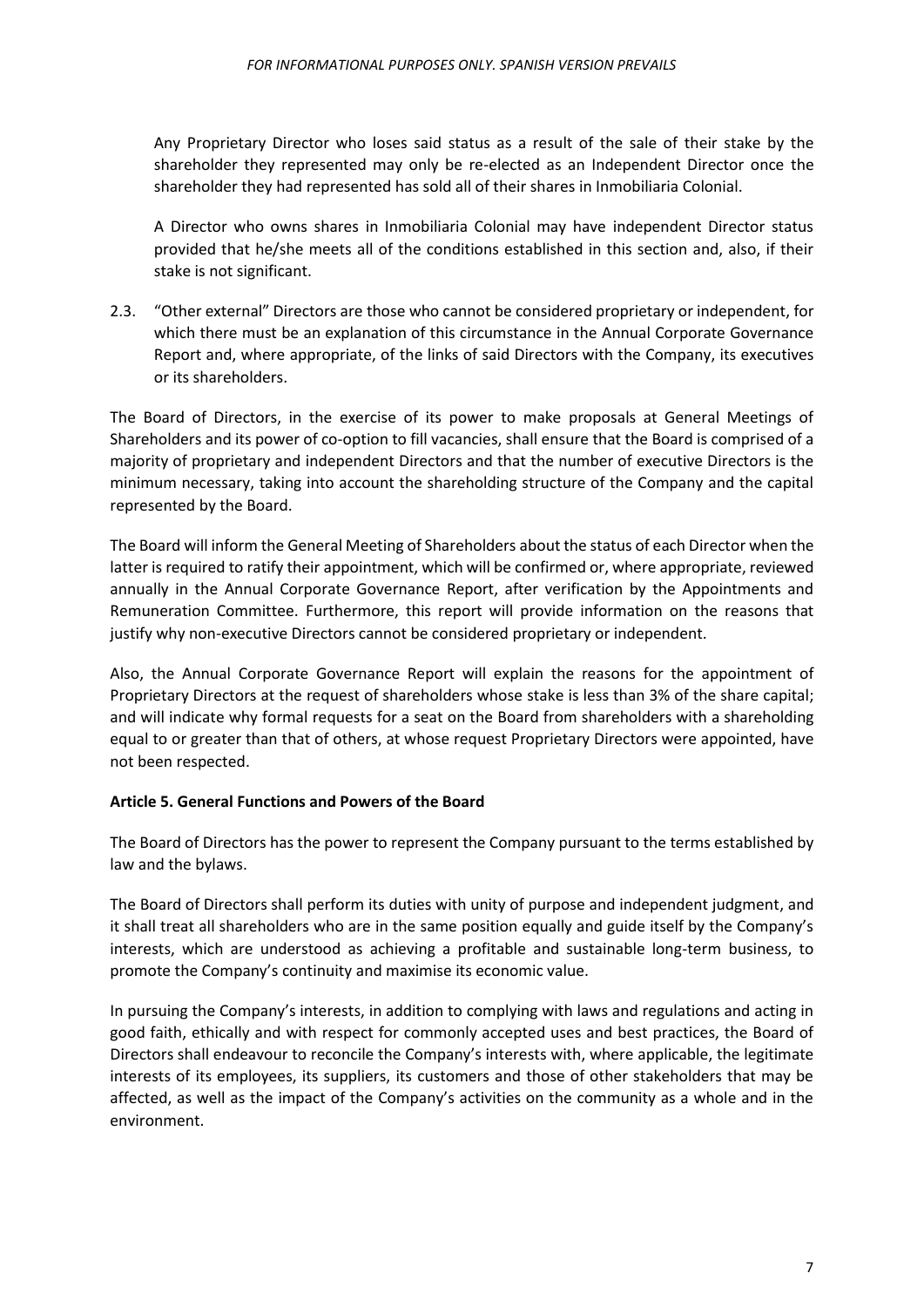Any Proprietary Director who loses said status as a result of the sale of their stake by the shareholder they represented may only be re-elected as an Independent Director once the shareholder they had represented has sold all of their shares in Inmobiliaria Colonial.

A Director who owns shares in Inmobiliaria Colonial may have independent Director status provided that he/she meets all of the conditions established in this section and, also, if their stake is not significant.

2.3. "Other external" Directors are those who cannot be considered proprietary or independent, for which there must be an explanation of this circumstance in the Annual Corporate Governance Report and, where appropriate, of the links of said Directors with the Company, its executives or its shareholders.

The Board of Directors, in the exercise of its power to make proposals at General Meetings of Shareholders and its power of co-option to fill vacancies, shall ensure that the Board is comprised of a majority of proprietary and independent Directors and that the number of executive Directors is the minimum necessary, taking into account the shareholding structure of the Company and the capital represented by the Board.

The Board will inform the General Meeting of Shareholders about the status of each Director when the latter is required to ratify their appointment, which will be confirmed or, where appropriate, reviewed annually in the Annual Corporate Governance Report, after verification by the Appointments and Remuneration Committee. Furthermore, this report will provide information on the reasons that justify why non-executive Directors cannot be considered proprietary or independent.

Also, the Annual Corporate Governance Report will explain the reasons for the appointment of Proprietary Directors at the request of shareholders whose stake is less than 3% of the share capital; and will indicate why formal requests for a seat on the Board from shareholders with a shareholding equal to or greater than that of others, at whose request Proprietary Directors were appointed, have not been respected.

#### <span id="page-6-0"></span>**Article 5. General Functions and Powers of the Board**

The Board of Directors has the power to represent the Company pursuant to the terms established by law and the bylaws.

The Board of Directors shall perform its duties with unity of purpose and independent judgment, and it shall treat all shareholders who are in the same position equally and guide itself by the Company's interests, which are understood as achieving a profitable and sustainable long-term business, to promote the Company's continuity and maximise its economic value.

In pursuing the Company's interests, in addition to complying with laws and regulations and acting in good faith, ethically and with respect for commonly accepted uses and best practices, the Board of Directors shall endeavour to reconcile the Company's interests with, where applicable, the legitimate interests of its employees, its suppliers, its customers and those of other stakeholders that may be affected, as well as the impact of the Company's activities on the community as a whole and in the environment.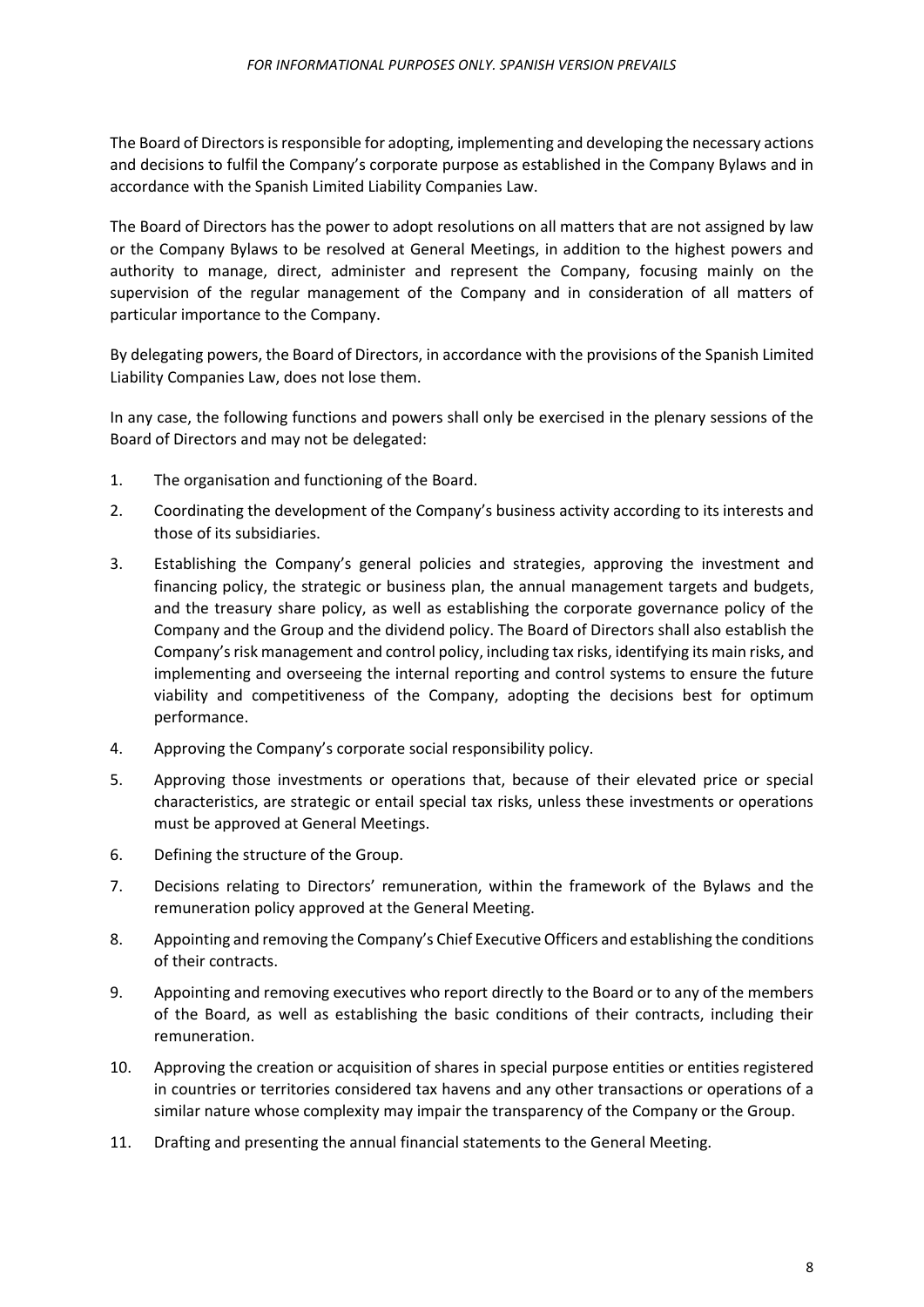The Board of Directors is responsible for adopting, implementing and developing the necessary actions and decisions to fulfil the Company's corporate purpose as established in the Company Bylaws and in accordance with the Spanish Limited Liability Companies Law.

The Board of Directors has the power to adopt resolutions on all matters that are not assigned by law or the Company Bylaws to be resolved at General Meetings, in addition to the highest powers and authority to manage, direct, administer and represent the Company, focusing mainly on the supervision of the regular management of the Company and in consideration of all matters of particular importance to the Company.

By delegating powers, the Board of Directors, in accordance with the provisions of the Spanish Limited Liability Companies Law, does not lose them.

In any case, the following functions and powers shall only be exercised in the plenary sessions of the Board of Directors and may not be delegated:

- 1. The organisation and functioning of the Board.
- 2. Coordinating the development of the Company's business activity according to its interests and those of its subsidiaries.
- 3. Establishing the Company's general policies and strategies, approving the investment and financing policy, the strategic or business plan, the annual management targets and budgets, and the treasury share policy, as well as establishing the corporate governance policy of the Company and the Group and the dividend policy. The Board of Directors shall also establish the Company's risk management and control policy, including tax risks, identifying its main risks, and implementing and overseeing the internal reporting and control systems to ensure the future viability and competitiveness of the Company, adopting the decisions best for optimum performance.
- 4. Approving the Company's corporate social responsibility policy.
- 5. Approving those investments or operations that, because of their elevated price or special characteristics, are strategic or entail special tax risks, unless these investments or operations must be approved at General Meetings.
- 6. Defining the structure of the Group.
- 7. Decisions relating to Directors' remuneration, within the framework of the Bylaws and the remuneration policy approved at the General Meeting.
- 8. Appointing and removing the Company's Chief Executive Officers and establishing the conditions of their contracts.
- 9. Appointing and removing executives who report directly to the Board or to any of the members of the Board, as well as establishing the basic conditions of their contracts, including their remuneration.
- 10. Approving the creation or acquisition of shares in special purpose entities or entities registered in countries or territories considered tax havens and any other transactions or operations of a similar nature whose complexity may impair the transparency of the Company or the Group.
- 11. Drafting and presenting the annual financial statements to the General Meeting.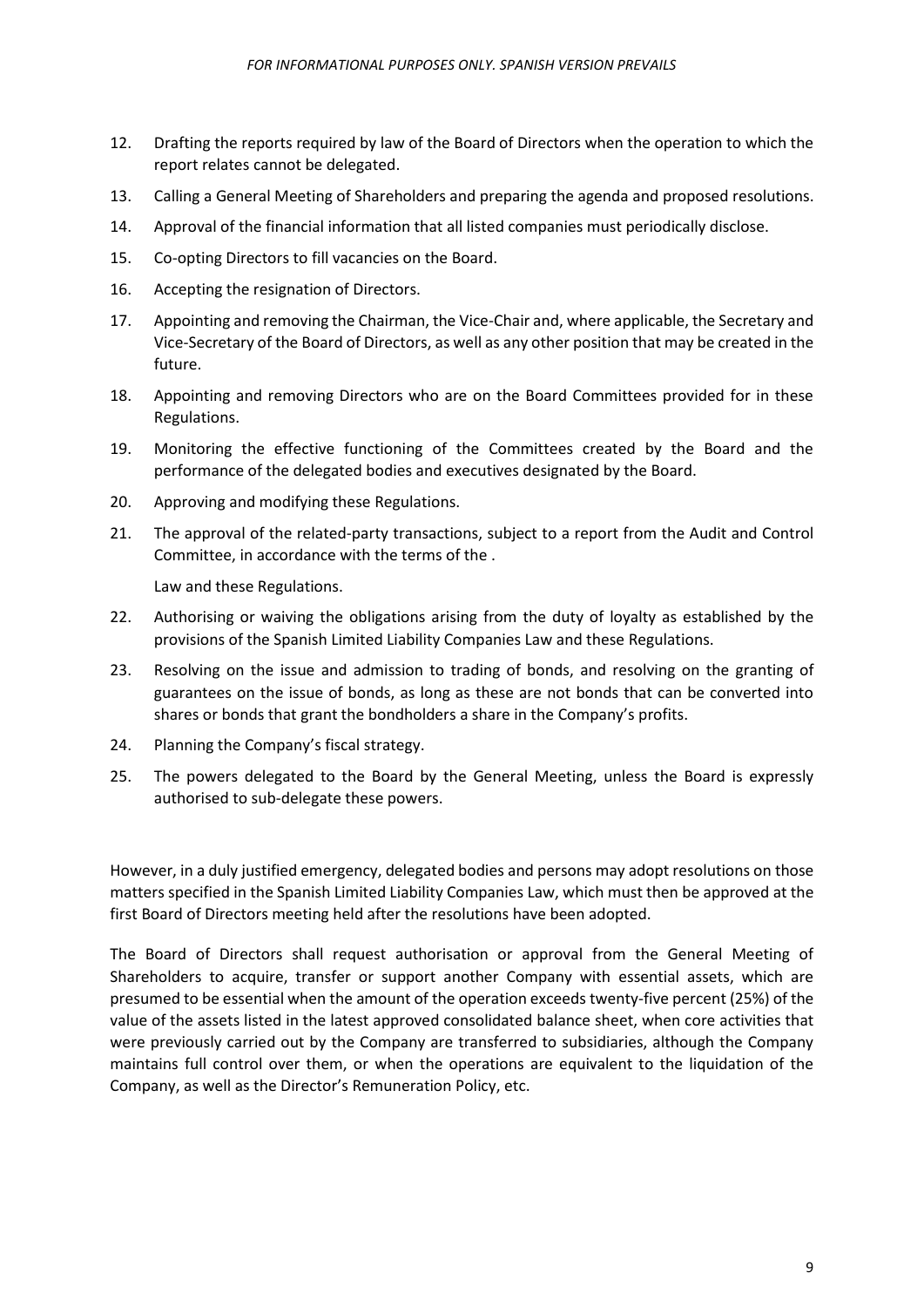- 12. Drafting the reports required by law of the Board of Directors when the operation to which the report relates cannot be delegated.
- 13. Calling a General Meeting of Shareholders and preparing the agenda and proposed resolutions.
- 14. Approval of the financial information that all listed companies must periodically disclose.
- 15. Co-opting Directors to fill vacancies on the Board.
- 16. Accepting the resignation of Directors.
- 17. Appointing and removing the Chairman, the Vice-Chair and, where applicable, the Secretary and Vice-Secretary of the Board of Directors, as well as any other position that may be created in the future.
- 18. Appointing and removing Directors who are on the Board Committees provided for in these Regulations.
- 19. Monitoring the effective functioning of the Committees created by the Board and the performance of the delegated bodies and executives designated by the Board.
- 20. Approving and modifying these Regulations.
- 21. The approval of the related-party transactions, subject to a report from the Audit and Control Committee, in accordance with the terms of the .

Law and these Regulations.

- 22. Authorising or waiving the obligations arising from the duty of loyalty as established by the provisions of the Spanish Limited Liability Companies Law and these Regulations.
- 23. Resolving on the issue and admission to trading of bonds, and resolving on the granting of guarantees on the issue of bonds, as long as these are not bonds that can be converted into shares or bonds that grant the bondholders a share in the Company's profits.
- 24. Planning the Company's fiscal strategy.
- 25. The powers delegated to the Board by the General Meeting, unless the Board is expressly authorised to sub-delegate these powers.

However, in a duly justified emergency, delegated bodies and persons may adopt resolutions on those matters specified in the Spanish Limited Liability Companies Law, which must then be approved at the first Board of Directors meeting held after the resolutions have been adopted.

The Board of Directors shall request authorisation or approval from the General Meeting of Shareholders to acquire, transfer or support another Company with essential assets, which are presumed to be essential when the amount of the operation exceeds twenty-five percent (25%) of the value of the assets listed in the latest approved consolidated balance sheet, when core activities that were previously carried out by the Company are transferred to subsidiaries, although the Company maintains full control over them, or when the operations are equivalent to the liquidation of the Company, as well as the Director's Remuneration Policy, etc.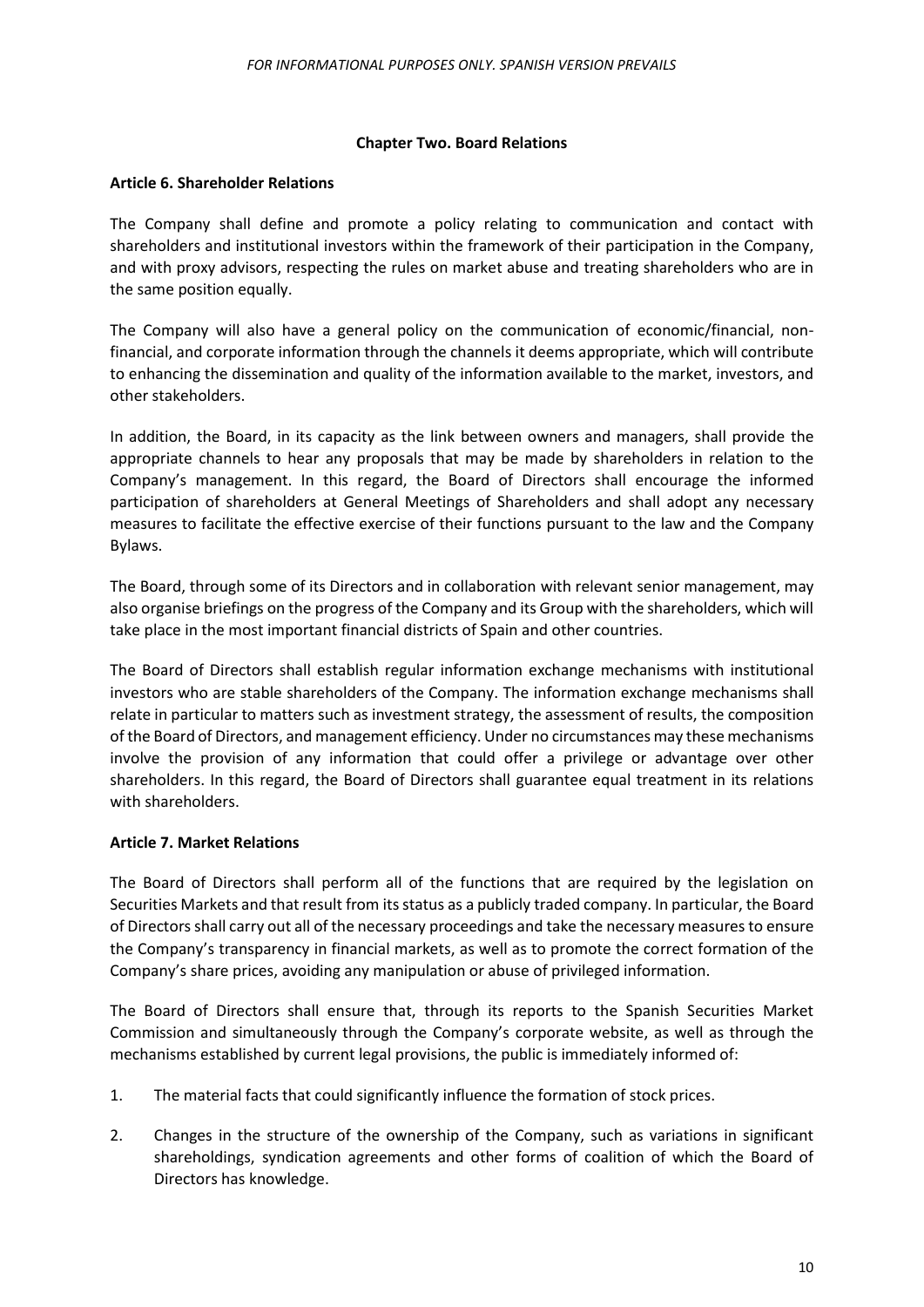## **Chapter Two. Board Relations**

## <span id="page-9-1"></span><span id="page-9-0"></span>**Article 6. Shareholder Relations**

The Company shall define and promote a policy relating to communication and contact with shareholders and institutional investors within the framework of their participation in the Company, and with proxy advisors, respecting the rules on market abuse and treating shareholders who are in the same position equally.

The Company will also have a general policy on the communication of economic/financial, nonfinancial, and corporate information through the channels it deems appropriate, which will contribute to enhancing the dissemination and quality of the information available to the market, investors, and other stakeholders.

In addition, the Board, in its capacity as the link between owners and managers, shall provide the appropriate channels to hear any proposals that may be made by shareholders in relation to the Company's management. In this regard, the Board of Directors shall encourage the informed participation of shareholders at General Meetings of Shareholders and shall adopt any necessary measures to facilitate the effective exercise of their functions pursuant to the law and the Company Bylaws.

The Board, through some of its Directors and in collaboration with relevant senior management, may also organise briefings on the progress of the Company and its Group with the shareholders, which will take place in the most important financial districts of Spain and other countries.

The Board of Directors shall establish regular information exchange mechanisms with institutional investors who are stable shareholders of the Company. The information exchange mechanisms shall relate in particular to matters such as investment strategy, the assessment of results, the composition of the Board of Directors, and management efficiency. Under no circumstances may these mechanisms involve the provision of any information that could offer a privilege or advantage over other shareholders. In this regard, the Board of Directors shall guarantee equal treatment in its relations with shareholders.

# <span id="page-9-2"></span>**Article 7. Market Relations**

The Board of Directors shall perform all of the functions that are required by the legislation on Securities Markets and that result from its status as a publicly traded company. In particular, the Board of Directors shall carry out all of the necessary proceedings and take the necessary measures to ensure the Company's transparency in financial markets, as well as to promote the correct formation of the Company's share prices, avoiding any manipulation or abuse of privileged information.

The Board of Directors shall ensure that, through its reports to the Spanish Securities Market Commission and simultaneously through the Company's corporate website, as well as through the mechanisms established by current legal provisions, the public is immediately informed of:

- 1. The material facts that could significantly influence the formation of stock prices.
- 2. Changes in the structure of the ownership of the Company, such as variations in significant shareholdings, syndication agreements and other forms of coalition of which the Board of Directors has knowledge.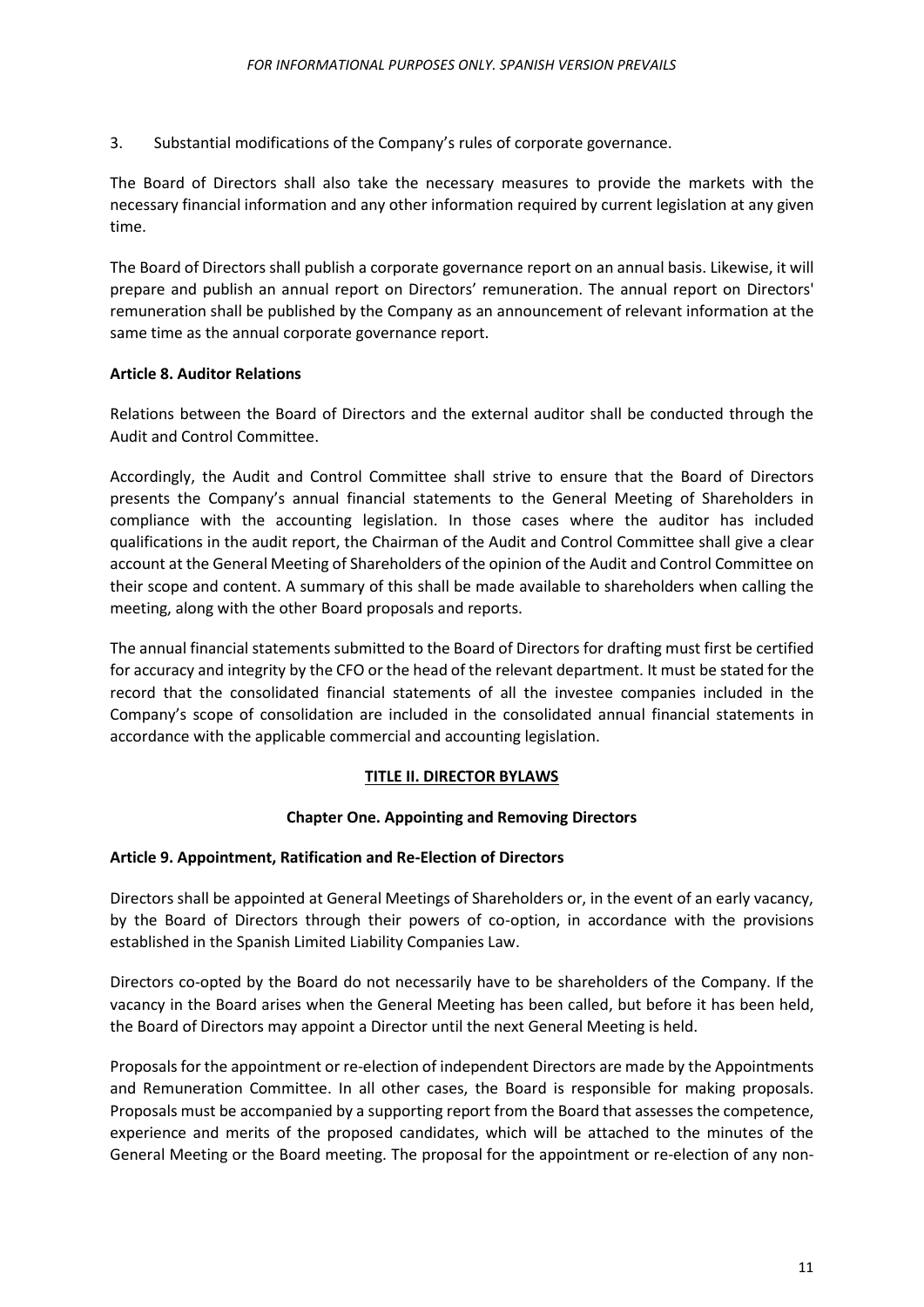3. Substantial modifications of the Company's rules of corporate governance.

The Board of Directors shall also take the necessary measures to provide the markets with the necessary financial information and any other information required by current legislation at any given time.

The Board of Directors shall publish a corporate governance report on an annual basis. Likewise, it will prepare and publish an annual report on Directors' remuneration. The annual report on Directors' remuneration shall be published by the Company as an announcement of relevant information at the same time as the annual corporate governance report.

## <span id="page-10-0"></span>**Article 8. Auditor Relations**

Relations between the Board of Directors and the external auditor shall be conducted through the Audit and Control Committee.

Accordingly, the Audit and Control Committee shall strive to ensure that the Board of Directors presents the Company's annual financial statements to the General Meeting of Shareholders in compliance with the accounting legislation. In those cases where the auditor has included qualifications in the audit report, the Chairman of the Audit and Control Committee shall give a clear account at the General Meeting of Shareholders of the opinion of the Audit and Control Committee on their scope and content. A summary of this shall be made available to shareholders when calling the meeting, along with the other Board proposals and reports.

The annual financial statements submitted to the Board of Directors for drafting must first be certified for accuracy and integrity by the CFO or the head of the relevant department. It must be stated for the record that the consolidated financial statements of all the investee companies included in the Company's scope of consolidation are included in the consolidated annual financial statements in accordance with the applicable commercial and accounting legislation.

# **TITLE II. DIRECTOR BYLAWS**

#### **Chapter One. Appointing and Removing Directors**

#### <span id="page-10-3"></span><span id="page-10-2"></span><span id="page-10-1"></span>**Article 9. Appointment, Ratification and Re-Election of Directors**

Directors shall be appointed at General Meetings of Shareholders or, in the event of an early vacancy, by the Board of Directors through their powers of co-option, in accordance with the provisions established in the Spanish Limited Liability Companies Law.

Directors co-opted by the Board do not necessarily have to be shareholders of the Company. If the vacancy in the Board arises when the General Meeting has been called, but before it has been held, the Board of Directors may appoint a Director until the next General Meeting is held.

Proposals for the appointment or re-election of independent Directors are made by the Appointments and Remuneration Committee. In all other cases, the Board is responsible for making proposals. Proposals must be accompanied by a supporting report from the Board that assesses the competence, experience and merits of the proposed candidates, which will be attached to the minutes of the General Meeting or the Board meeting. The proposal for the appointment or re-election of any non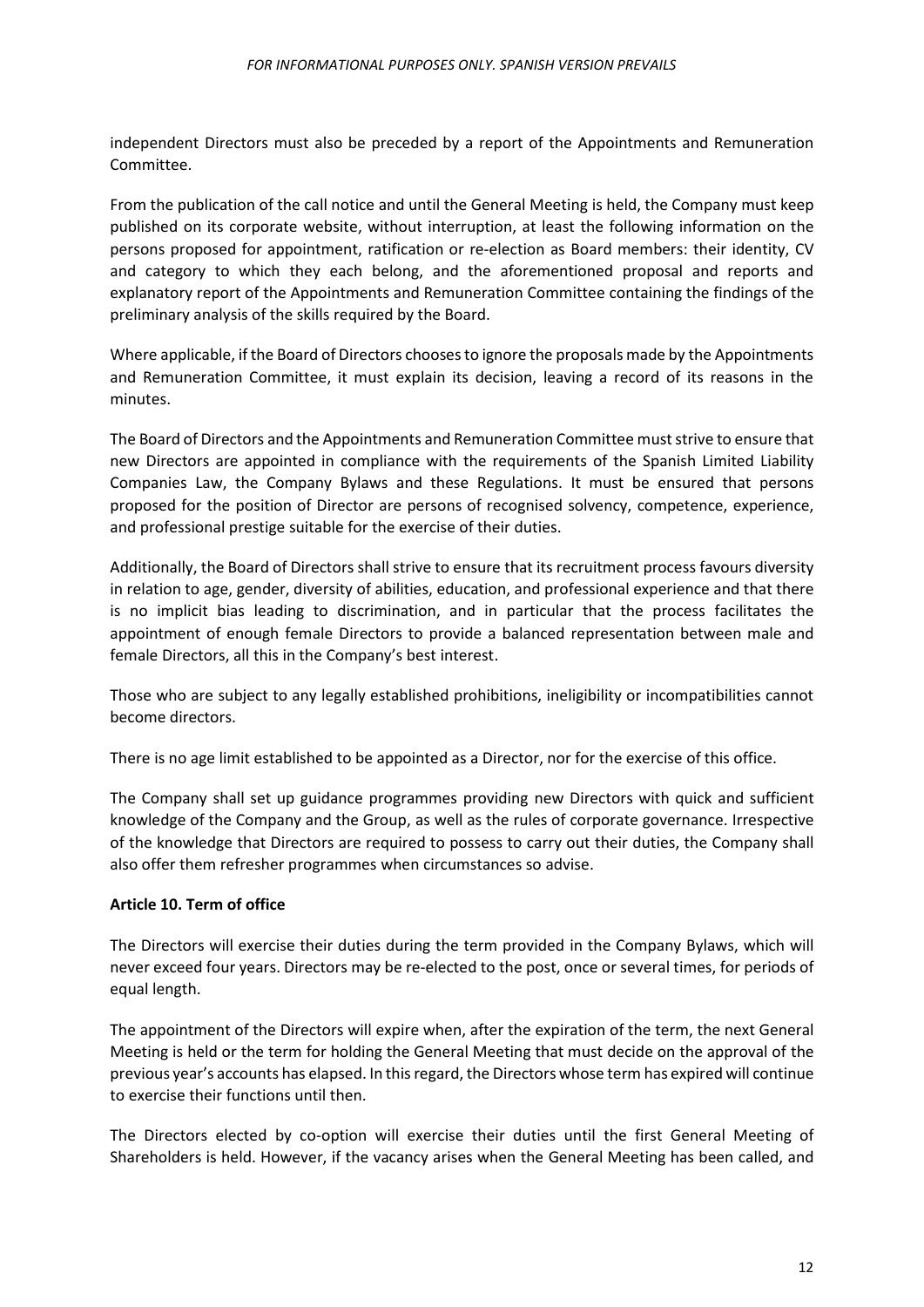independent Directors must also be preceded by a report of the Appointments and Remuneration Committee.

From the publication of the call notice and until the General Meeting is held, the Company must keep published on its corporate website, without interruption, at least the following information on the persons proposed for appointment, ratification or re-election as Board members: their identity, CV and category to which they each belong, and the aforementioned proposal and reports and explanatory report of the Appointments and Remuneration Committee containing the findings of the preliminary analysis of the skills required by the Board.

Where applicable, if the Board of Directors chooses to ignore the proposals made by the Appointments and Remuneration Committee, it must explain its decision, leaving a record of its reasons in the minutes.

The Board of Directors and the Appointments and Remuneration Committee must strive to ensure that new Directors are appointed in compliance with the requirements of the Spanish Limited Liability Companies Law, the Company Bylaws and these Regulations. It must be ensured that persons proposed for the position of Director are persons of recognised solvency, competence, experience, and professional prestige suitable for the exercise of their duties.

Additionally, the Board of Directors shall strive to ensure that its recruitment process favours diversity in relation to age, gender, diversity of abilities, education, and professional experience and that there is no implicit bias leading to discrimination, and in particular that the process facilitates the appointment of enough female Directors to provide a balanced representation between male and female Directors, all this in the Company's best interest.

Those who are subject to any legally established prohibitions, ineligibility or incompatibilities cannot become directors.

There is no age limit established to be appointed as a Director, nor for the exercise of this office.

The Company shall set up guidance programmes providing new Directors with quick and sufficient knowledge of the Company and the Group, as well as the rules of corporate governance. Irrespective of the knowledge that Directors are required to possess to carry out their duties, the Company shall also offer them refresher programmes when circumstances so advise.

# <span id="page-11-0"></span>**Article 10. Term of office**

The Directors will exercise their duties during the term provided in the Company Bylaws, which will never exceed four years. Directors may be re-elected to the post, once or several times, for periods of equal length.

The appointment of the Directors will expire when, after the expiration of the term, the next General Meeting is held or the term for holding the General Meeting that must decide on the approval of the previous year's accounts has elapsed. In this regard, the Directors whose term has expired will continue to exercise their functions until then.

The Directors elected by co-option will exercise their duties until the first General Meeting of Shareholders is held. However, if the vacancy arises when the General Meeting has been called, and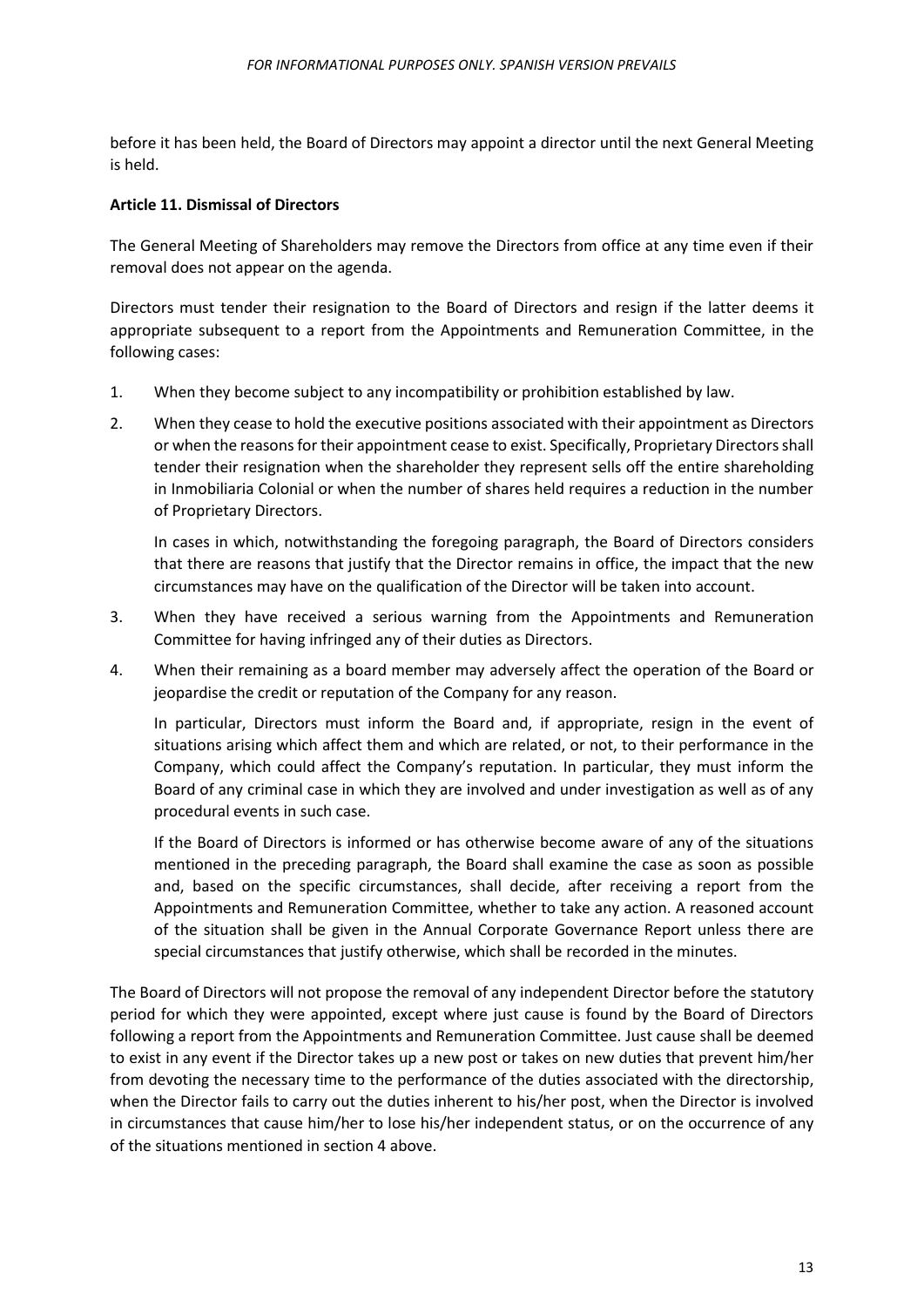before it has been held, the Board of Directors may appoint a director until the next General Meeting is held.

## <span id="page-12-0"></span>**Article 11. Dismissal of Directors**

The General Meeting of Shareholders may remove the Directors from office at any time even if their removal does not appear on the agenda.

Directors must tender their resignation to the Board of Directors and resign if the latter deems it appropriate subsequent to a report from the Appointments and Remuneration Committee, in the following cases:

- 1. When they become subject to any incompatibility or prohibition established by law.
- 2. When they cease to hold the executive positions associated with their appointment as Directors or when the reasons for their appointment cease to exist. Specifically, Proprietary Directors shall tender their resignation when the shareholder they represent sells off the entire shareholding in Inmobiliaria Colonial or when the number of shares held requires a reduction in the number of Proprietary Directors.

In cases in which, notwithstanding the foregoing paragraph, the Board of Directors considers that there are reasons that justify that the Director remains in office, the impact that the new circumstances may have on the qualification of the Director will be taken into account.

- 3. When they have received a serious warning from the Appointments and Remuneration Committee for having infringed any of their duties as Directors.
- 4. When their remaining as a board member may adversely affect the operation of the Board or jeopardise the credit or reputation of the Company for any reason.

In particular, Directors must inform the Board and, if appropriate, resign in the event of situations arising which affect them and which are related, or not, to their performance in the Company, which could affect the Company's reputation. In particular, they must inform the Board of any criminal case in which they are involved and under investigation as well as of any procedural events in such case.

If the Board of Directors is informed or has otherwise become aware of any of the situations mentioned in the preceding paragraph, the Board shall examine the case as soon as possible and, based on the specific circumstances, shall decide, after receiving a report from the Appointments and Remuneration Committee, whether to take any action. A reasoned account of the situation shall be given in the Annual Corporate Governance Report unless there are special circumstances that justify otherwise, which shall be recorded in the minutes.

The Board of Directors will not propose the removal of any independent Director before the statutory period for which they were appointed, except where just cause is found by the Board of Directors following a report from the Appointments and Remuneration Committee. Just cause shall be deemed to exist in any event if the Director takes up a new post or takes on new duties that prevent him/her from devoting the necessary time to the performance of the duties associated with the directorship, when the Director fails to carry out the duties inherent to his/her post, when the Director is involved in circumstances that cause him/her to lose his/her independent status, or on the occurrence of any of the situations mentioned in section 4 above.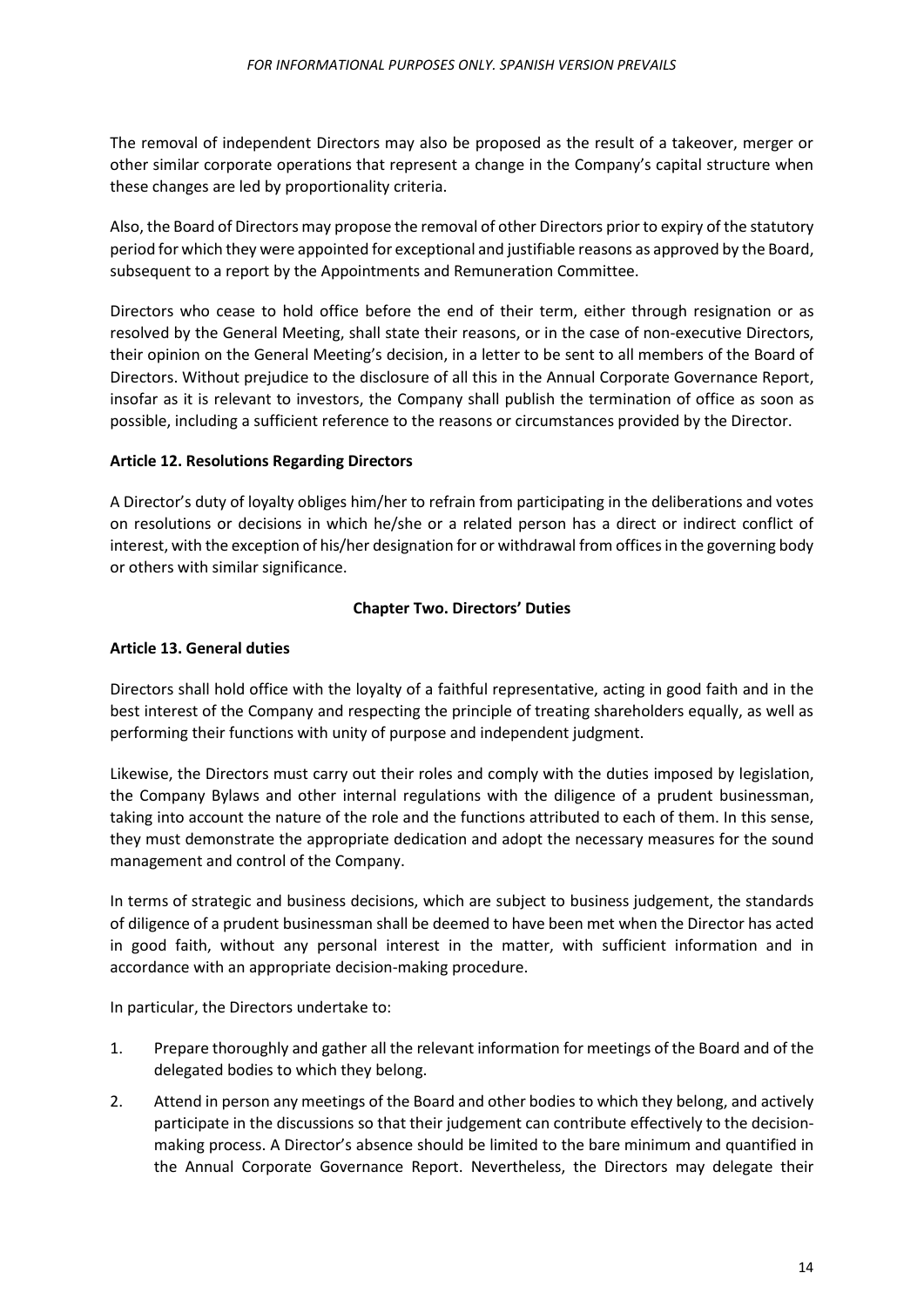The removal of independent Directors may also be proposed as the result of a takeover, merger or other similar corporate operations that represent a change in the Company's capital structure when these changes are led by proportionality criteria.

Also, the Board of Directors may propose the removal of other Directors prior to expiry of the statutory period for which they were appointed for exceptional and justifiable reasons as approved by the Board, subsequent to a report by the Appointments and Remuneration Committee.

Directors who cease to hold office before the end of their term, either through resignation or as resolved by the General Meeting, shall state their reasons, or in the case of non-executive Directors, their opinion on the General Meeting's decision, in a letter to be sent to all members of the Board of Directors. Without prejudice to the disclosure of all this in the Annual Corporate Governance Report, insofar as it is relevant to investors, the Company shall publish the termination of office as soon as possible, including a sufficient reference to the reasons or circumstances provided by the Director.

## <span id="page-13-0"></span>**Article 12. Resolutions Regarding Directors**

A Director's duty of loyalty obliges him/her to refrain from participating in the deliberations and votes on resolutions or decisions in which he/she or a related person has a direct or indirect conflict of interest, with the exception of his/her designation for or withdrawal from offices in the governing body or others with similar significance.

## **Chapter Two. Directors' Duties**

## <span id="page-13-2"></span><span id="page-13-1"></span>**Article 13. General duties**

Directors shall hold office with the loyalty of a faithful representative, acting in good faith and in the best interest of the Company and respecting the principle of treating shareholders equally, as well as performing their functions with unity of purpose and independent judgment.

Likewise, the Directors must carry out their roles and comply with the duties imposed by legislation, the Company Bylaws and other internal regulations with the diligence of a prudent businessman, taking into account the nature of the role and the functions attributed to each of them. In this sense, they must demonstrate the appropriate dedication and adopt the necessary measures for the sound management and control of the Company.

In terms of strategic and business decisions, which are subject to business judgement, the standards of diligence of a prudent businessman shall be deemed to have been met when the Director has acted in good faith, without any personal interest in the matter, with sufficient information and in accordance with an appropriate decision-making procedure.

In particular, the Directors undertake to:

- 1. Prepare thoroughly and gather all the relevant information for meetings of the Board and of the delegated bodies to which they belong.
- 2. Attend in person any meetings of the Board and other bodies to which they belong, and actively participate in the discussions so that their judgement can contribute effectively to the decisionmaking process. A Director's absence should be limited to the bare minimum and quantified in the Annual Corporate Governance Report. Nevertheless, the Directors may delegate their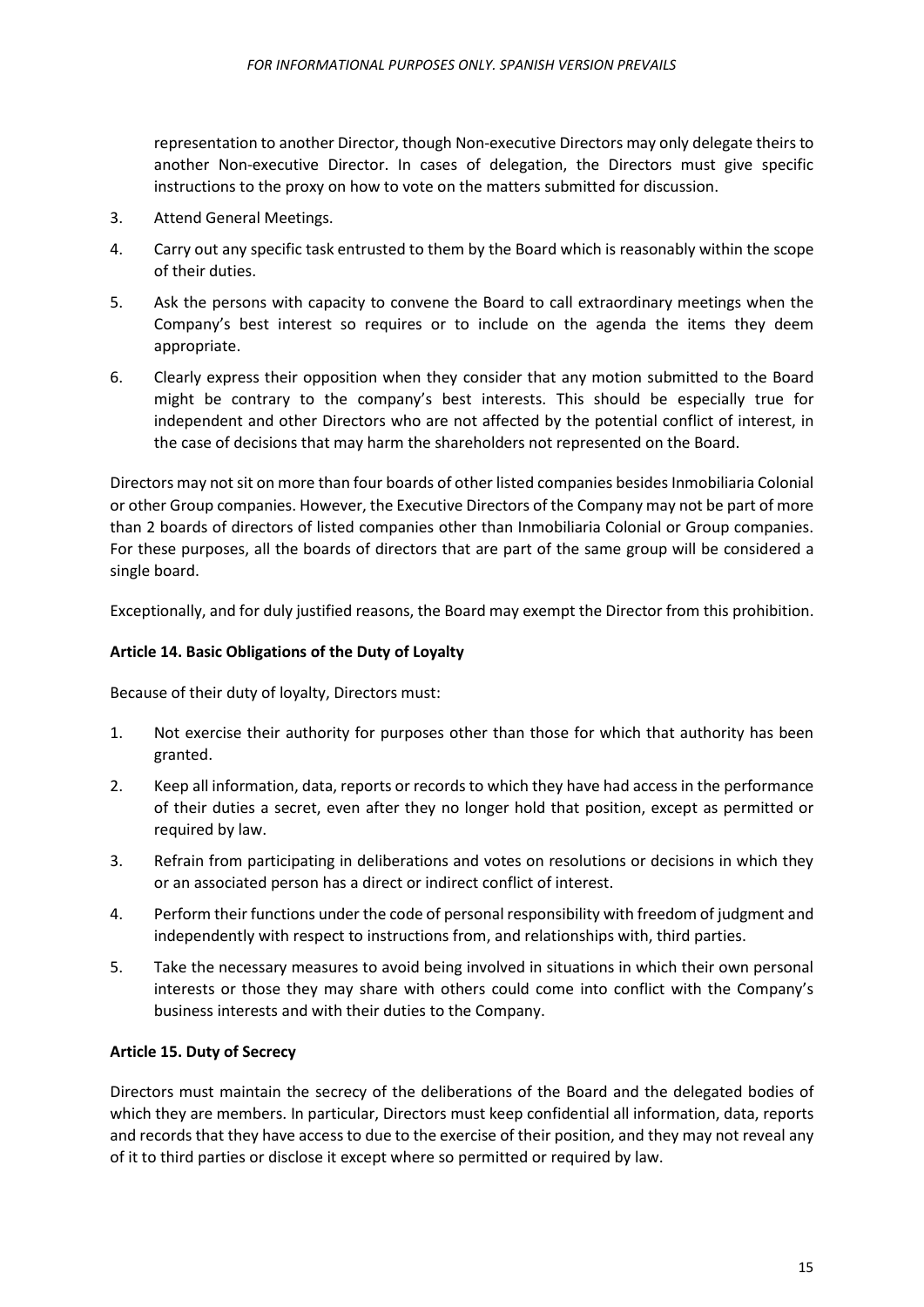representation to another Director, though Non-executive Directors may only delegate theirsto another Non-executive Director. In cases of delegation, the Directors must give specific instructions to the proxy on how to vote on the matters submitted for discussion.

- 3. Attend General Meetings.
- 4. Carry out any specific task entrusted to them by the Board which is reasonably within the scope of their duties.
- 5. Ask the persons with capacity to convene the Board to call extraordinary meetings when the Company's best interest so requires or to include on the agenda the items they deem appropriate.
- 6. Clearly express their opposition when they consider that any motion submitted to the Board might be contrary to the company's best interests. This should be especially true for independent and other Directors who are not affected by the potential conflict of interest, in the case of decisions that may harm the shareholders not represented on the Board.

Directors may not sit on more than four boards of other listed companies besides Inmobiliaria Colonial or other Group companies. However, the Executive Directors of the Company may not be part of more than 2 boards of directors of listed companies other than Inmobiliaria Colonial or Group companies. For these purposes, all the boards of directors that are part of the same group will be considered a single board.

Exceptionally, and for duly justified reasons, the Board may exempt the Director from this prohibition.

# <span id="page-14-0"></span>**Article 14. Basic Obligations of the Duty of Loyalty**

Because of their duty of loyalty, Directors must:

- 1. Not exercise their authority for purposes other than those for which that authority has been granted.
- 2. Keep all information, data, reports or records to which they have had access in the performance of their duties a secret, even after they no longer hold that position, except as permitted or required by law.
- 3. Refrain from participating in deliberations and votes on resolutions or decisions in which they or an associated person has a direct or indirect conflict of interest.
- 4. Perform their functions under the code of personal responsibility with freedom of judgment and independently with respect to instructions from, and relationships with, third parties.
- 5. Take the necessary measures to avoid being involved in situations in which their own personal interests or those they may share with others could come into conflict with the Company's business interests and with their duties to the Company.

#### <span id="page-14-1"></span>**Article 15. Duty of Secrecy**

Directors must maintain the secrecy of the deliberations of the Board and the delegated bodies of which they are members. In particular, Directors must keep confidential all information, data, reports and records that they have access to due to the exercise of their position, and they may not reveal any of it to third parties or disclose it except where so permitted or required by law.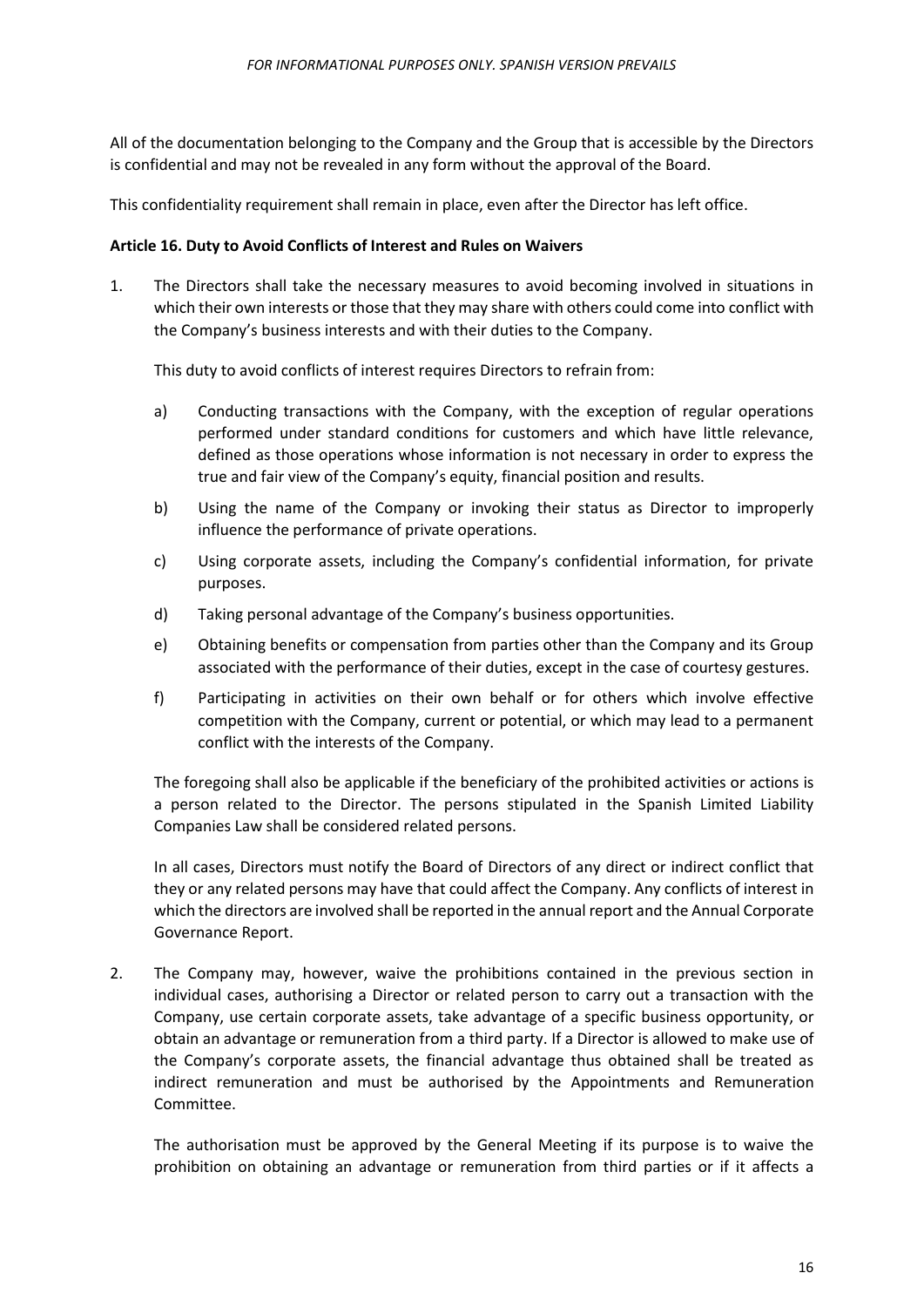All of the documentation belonging to the Company and the Group that is accessible by the Directors is confidential and may not be revealed in any form without the approval of the Board.

This confidentiality requirement shall remain in place, even after the Director has left office.

## <span id="page-15-0"></span>**Article 16. Duty to Avoid Conflicts of Interest and Rules on Waivers**

1. The Directors shall take the necessary measures to avoid becoming involved in situations in which their own interests or those that they may share with others could come into conflict with the Company's business interests and with their duties to the Company.

This duty to avoid conflicts of interest requires Directors to refrain from:

- a) Conducting transactions with the Company, with the exception of regular operations performed under standard conditions for customers and which have little relevance, defined as those operations whose information is not necessary in order to express the true and fair view of the Company's equity, financial position and results.
- b) Using the name of the Company or invoking their status as Director to improperly influence the performance of private operations.
- c) Using corporate assets, including the Company's confidential information, for private purposes.
- d) Taking personal advantage of the Company's business opportunities.
- e) Obtaining benefits or compensation from parties other than the Company and its Group associated with the performance of their duties, except in the case of courtesy gestures.
- f) Participating in activities on their own behalf or for others which involve effective competition with the Company, current or potential, or which may lead to a permanent conflict with the interests of the Company.

The foregoing shall also be applicable if the beneficiary of the prohibited activities or actions is a person related to the Director. The persons stipulated in the Spanish Limited Liability Companies Law shall be considered related persons.

In all cases, Directors must notify the Board of Directors of any direct or indirect conflict that they or any related persons may have that could affect the Company. Any conflicts of interest in which the directors are involved shall be reported in the annual report and the Annual Corporate Governance Report.

2. The Company may, however, waive the prohibitions contained in the previous section in individual cases, authorising a Director or related person to carry out a transaction with the Company, use certain corporate assets, take advantage of a specific business opportunity, or obtain an advantage or remuneration from a third party. If a Director is allowed to make use of the Company's corporate assets, the financial advantage thus obtained shall be treated as indirect remuneration and must be authorised by the Appointments and Remuneration Committee.

The authorisation must be approved by the General Meeting if its purpose is to waive the prohibition on obtaining an advantage or remuneration from third parties or if it affects a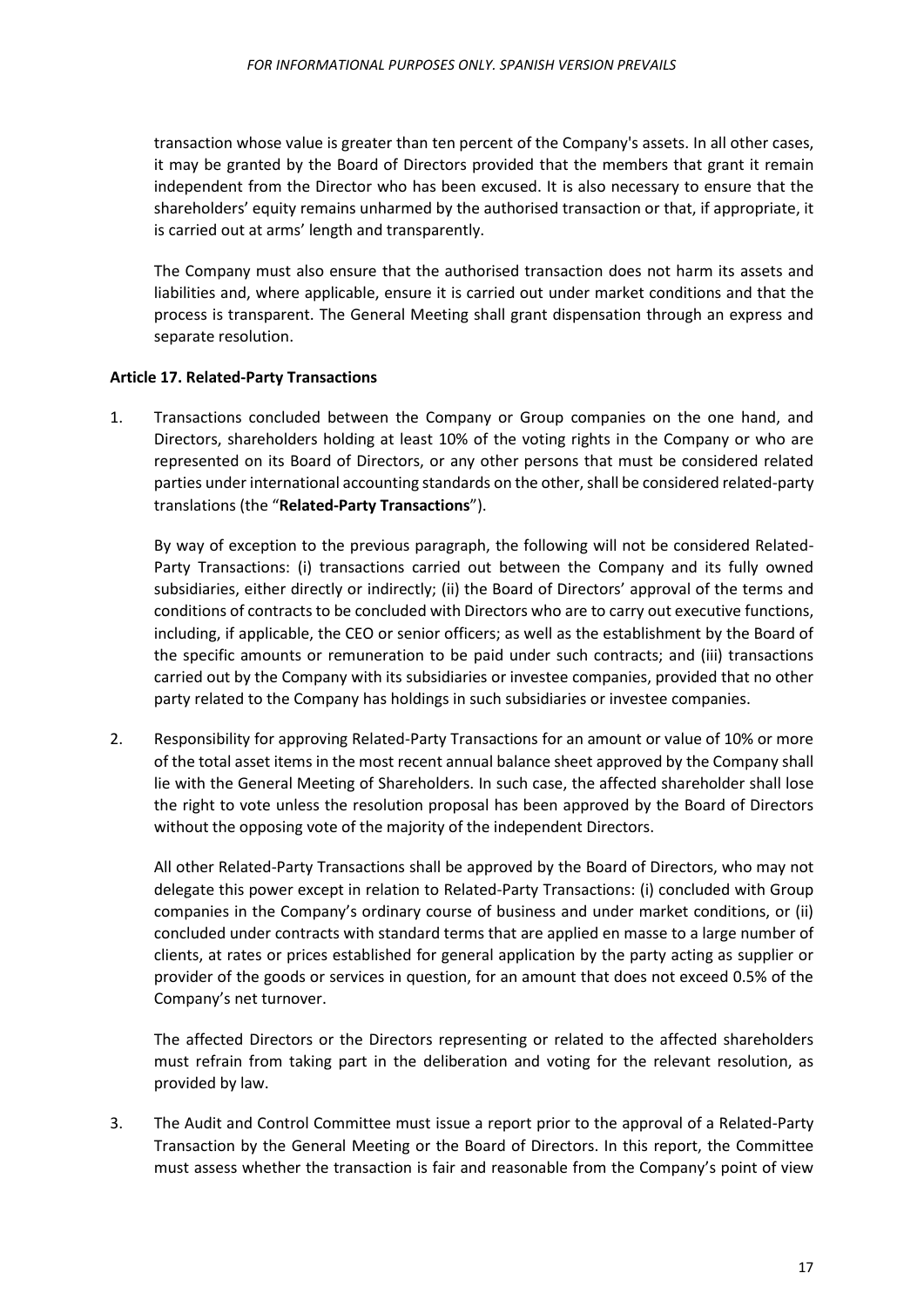transaction whose value is greater than ten percent of the Company's assets. In all other cases, it may be granted by the Board of Directors provided that the members that grant it remain independent from the Director who has been excused. It is also necessary to ensure that the shareholders' equity remains unharmed by the authorised transaction or that, if appropriate, it is carried out at arms' length and transparently.

The Company must also ensure that the authorised transaction does not harm its assets and liabilities and, where applicable, ensure it is carried out under market conditions and that the process is transparent. The General Meeting shall grant dispensation through an express and separate resolution.

## <span id="page-16-0"></span>**Article 17. Related-Party Transactions**

1. Transactions concluded between the Company or Group companies on the one hand, and Directors, shareholders holding at least 10% of the voting rights in the Company or who are represented on its Board of Directors, or any other persons that must be considered related parties under international accounting standards on the other, shall be considered related-party translations (the "**Related-Party Transactions**").

By way of exception to the previous paragraph, the following will not be considered Related-Party Transactions: (i) transactions carried out between the Company and its fully owned subsidiaries, either directly or indirectly; (ii) the Board of Directors' approval of the terms and conditions of contracts to be concluded with Directors who are to carry out executive functions, including, if applicable, the CEO or senior officers; as well as the establishment by the Board of the specific amounts or remuneration to be paid under such contracts; and (iii) transactions carried out by the Company with its subsidiaries or investee companies, provided that no other party related to the Company has holdings in such subsidiaries or investee companies.

2. Responsibility for approving Related-Party Transactions for an amount or value of 10% or more of the total asset items in the most recent annual balance sheet approved by the Company shall lie with the General Meeting of Shareholders. In such case, the affected shareholder shall lose the right to vote unless the resolution proposal has been approved by the Board of Directors without the opposing vote of the majority of the independent Directors.

All other Related-Party Transactions shall be approved by the Board of Directors, who may not delegate this power except in relation to Related-Party Transactions: (i) concluded with Group companies in the Company's ordinary course of business and under market conditions, or (ii) concluded under contracts with standard terms that are applied en masse to a large number of clients, at rates or prices established for general application by the party acting as supplier or provider of the goods or services in question, for an amount that does not exceed 0.5% of the Company's net turnover.

The affected Directors or the Directors representing or related to the affected shareholders must refrain from taking part in the deliberation and voting for the relevant resolution, as provided by law.

3. The Audit and Control Committee must issue a report prior to the approval of a Related-Party Transaction by the General Meeting or the Board of Directors. In this report, the Committee must assess whether the transaction is fair and reasonable from the Company's point of view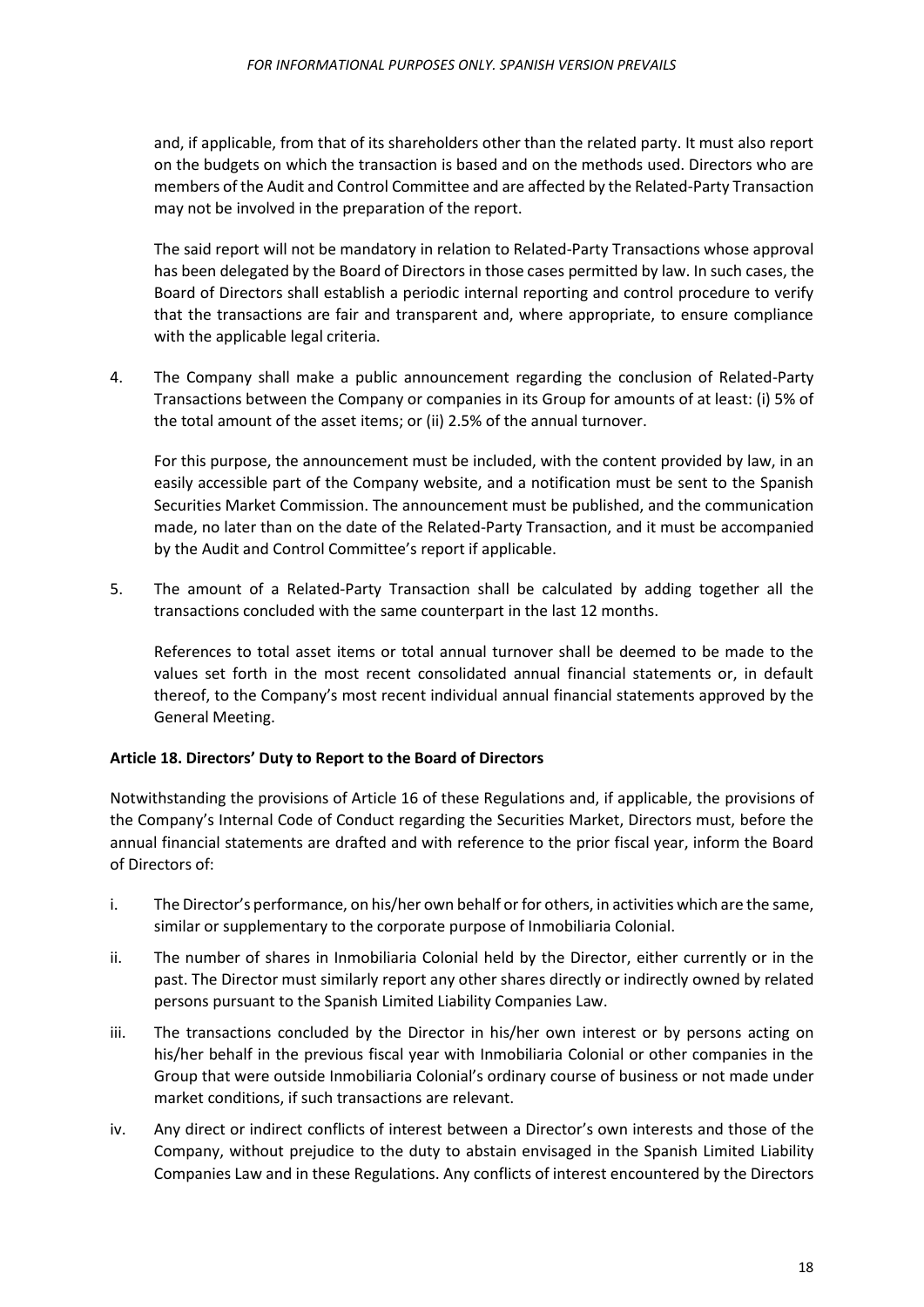and, if applicable, from that of its shareholders other than the related party. It must also report on the budgets on which the transaction is based and on the methods used. Directors who are members of the Audit and Control Committee and are affected by the Related-Party Transaction may not be involved in the preparation of the report.

The said report will not be mandatory in relation to Related-Party Transactions whose approval has been delegated by the Board of Directors in those cases permitted by law. In such cases, the Board of Directors shall establish a periodic internal reporting and control procedure to verify that the transactions are fair and transparent and, where appropriate, to ensure compliance with the applicable legal criteria.

4. The Company shall make a public announcement regarding the conclusion of Related-Party Transactions between the Company or companies in its Group for amounts of at least: (i) 5% of the total amount of the asset items; or (ii) 2.5% of the annual turnover.

For this purpose, the announcement must be included, with the content provided by law, in an easily accessible part of the Company website, and a notification must be sent to the Spanish Securities Market Commission. The announcement must be published, and the communication made, no later than on the date of the Related-Party Transaction, and it must be accompanied by the Audit and Control Committee's report if applicable.

5. The amount of a Related-Party Transaction shall be calculated by adding together all the transactions concluded with the same counterpart in the last 12 months.

References to total asset items or total annual turnover shall be deemed to be made to the values set forth in the most recent consolidated annual financial statements or, in default thereof, to the Company's most recent individual annual financial statements approved by the General Meeting.

# <span id="page-17-0"></span>**Article 18. Directors' Duty to Report to the Board of Directors**

Notwithstanding the provisions of Article 16 of these Regulations and, if applicable, the provisions of the Company's Internal Code of Conduct regarding the Securities Market, Directors must, before the annual financial statements are drafted and with reference to the prior fiscal year, inform the Board of Directors of:

- i. The Director's performance, on his/her own behalf or for others, in activities which are the same, similar or supplementary to the corporate purpose of Inmobiliaria Colonial.
- ii. The number of shares in Inmobiliaria Colonial held by the Director, either currently or in the past. The Director must similarly report any other shares directly or indirectly owned by related persons pursuant to the Spanish Limited Liability Companies Law.
- iii. The transactions concluded by the Director in his/her own interest or by persons acting on his/her behalf in the previous fiscal year with Inmobiliaria Colonial or other companies in the Group that were outside Inmobiliaria Colonial's ordinary course of business or not made under market conditions, if such transactions are relevant.
- iv. Any direct or indirect conflicts of interest between a Director's own interests and those of the Company, without prejudice to the duty to abstain envisaged in the Spanish Limited Liability Companies Law and in these Regulations. Any conflicts of interest encountered by the Directors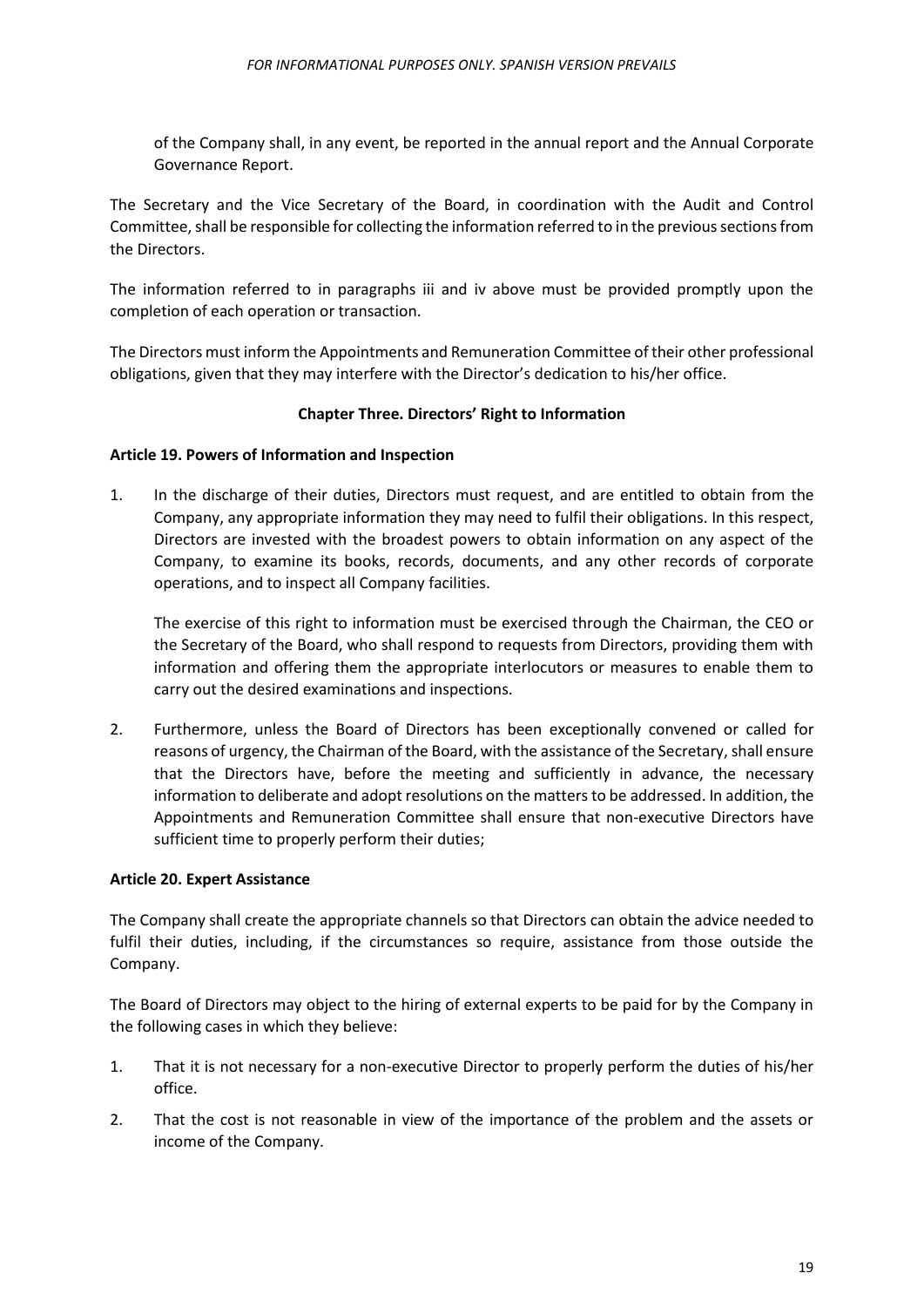of the Company shall, in any event, be reported in the annual report and the Annual Corporate Governance Report.

The Secretary and the Vice Secretary of the Board, in coordination with the Audit and Control Committee, shall be responsible for collecting the information referred to in the previous sections from the Directors.

The information referred to in paragraphs iii and iv above must be provided promptly upon the completion of each operation or transaction.

The Directors must inform the Appointments and Remuneration Committee of their other professional obligations, given that they may interfere with the Director's dedication to his/her office.

## **Chapter Three. Directors' Right to Information**

#### <span id="page-18-1"></span><span id="page-18-0"></span>**Article 19. Powers of Information and Inspection**

1. In the discharge of their duties, Directors must request, and are entitled to obtain from the Company, any appropriate information they may need to fulfil their obligations. In this respect, Directors are invested with the broadest powers to obtain information on any aspect of the Company, to examine its books, records, documents, and any other records of corporate operations, and to inspect all Company facilities.

The exercise of this right to information must be exercised through the Chairman, the CEO or the Secretary of the Board, who shall respond to requests from Directors, providing them with information and offering them the appropriate interlocutors or measures to enable them to carry out the desired examinations and inspections.

2. Furthermore, unless the Board of Directors has been exceptionally convened or called for reasons of urgency, the Chairman of the Board, with the assistance of the Secretary, shall ensure that the Directors have, before the meeting and sufficiently in advance, the necessary information to deliberate and adopt resolutions on the matters to be addressed. In addition, the Appointments and Remuneration Committee shall ensure that non-executive Directors have sufficient time to properly perform their duties;

#### <span id="page-18-2"></span>**Article 20. Expert Assistance**

The Company shall create the appropriate channels so that Directors can obtain the advice needed to fulfil their duties, including, if the circumstances so require, assistance from those outside the Company.

The Board of Directors may object to the hiring of external experts to be paid for by the Company in the following cases in which they believe:

- 1. That it is not necessary for a non-executive Director to properly perform the duties of his/her office.
- 2. That the cost is not reasonable in view of the importance of the problem and the assets or income of the Company.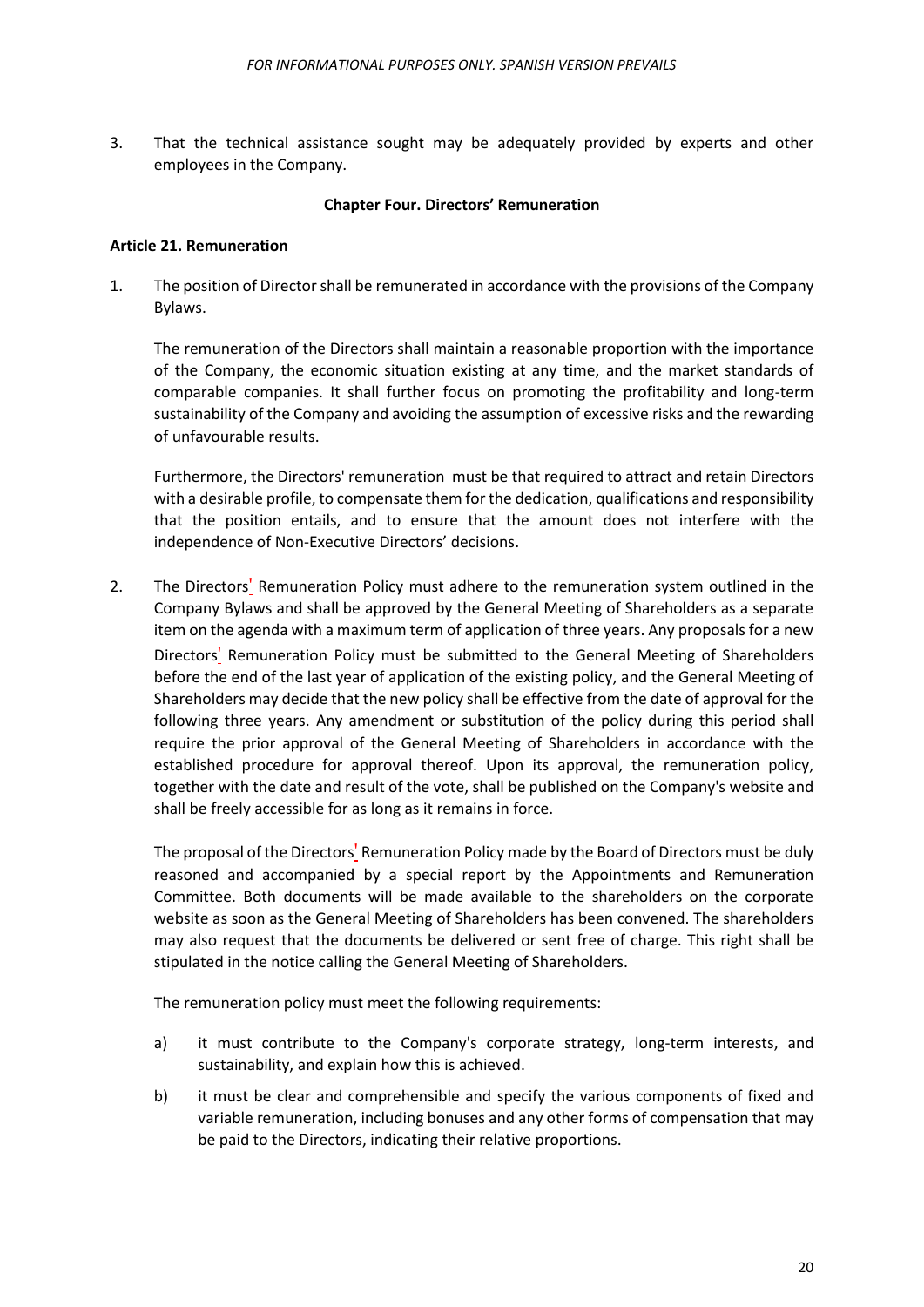3. That the technical assistance sought may be adequately provided by experts and other employees in the Company.

#### **Chapter Four. Directors' Remuneration**

#### <span id="page-19-1"></span><span id="page-19-0"></span>**Article 21. Remuneration**

1. The position of Director shall be remunerated in accordance with the provisions of the Company Bylaws.

The remuneration of the Directors shall maintain a reasonable proportion with the importance of the Company, the economic situation existing at any time, and the market standards of comparable companies. It shall further focus on promoting the profitability and long-term sustainability of the Company and avoiding the assumption of excessive risks and the rewarding of unfavourable results.

Furthermore, the Directors' remuneration must be that required to attract and retain Directors with a desirable profile, to compensate them for the dedication, qualifications and responsibility that the position entails, and to ensure that the amount does not interfere with the independence of Non-Executive Directors' decisions.

2. The Directors' Remuneration Policy must adhere to the remuneration system outlined in the Company Bylaws and shall be approved by the General Meeting of Shareholders as a separate item on the agenda with a maximum term of application of three years. Any proposals for a new Directors' Remuneration Policy must be submitted to the General Meeting of Shareholders before the end of the last year of application of the existing policy, and the General Meeting of Shareholders may decide that the new policy shall be effective from the date of approval for the following three years. Any amendment or substitution of the policy during this period shall require the prior approval of the General Meeting of Shareholders in accordance with the established procedure for approval thereof. Upon its approval, the remuneration policy, together with the date and result of the vote, shall be published on the Company's website and shall be freely accessible for as long as it remains in force.

The proposal of the Directors' Remuneration Policy made by the Board of Directors must be duly reasoned and accompanied by a special report by the Appointments and Remuneration Committee. Both documents will be made available to the shareholders on the corporate website as soon as the General Meeting of Shareholders has been convened. The shareholders may also request that the documents be delivered or sent free of charge. This right shall be stipulated in the notice calling the General Meeting of Shareholders.

The remuneration policy must meet the following requirements:

- a) it must contribute to the Company's corporate strategy, long-term interests, and sustainability, and explain how this is achieved.
- b) it must be clear and comprehensible and specify the various components of fixed and variable remuneration, including bonuses and any other forms of compensation that may be paid to the Directors, indicating their relative proportions.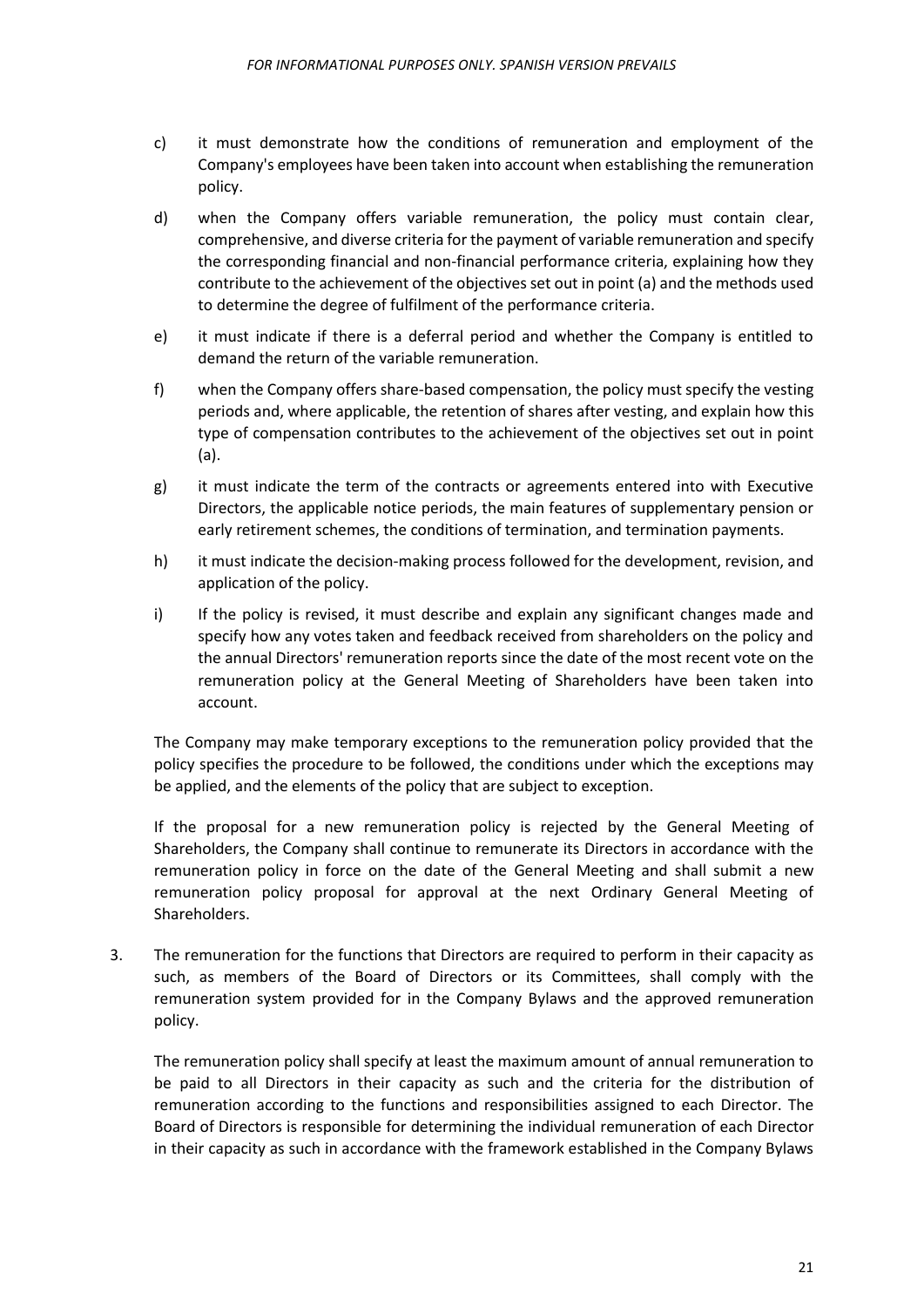- c) it must demonstrate how the conditions of remuneration and employment of the Company's employees have been taken into account when establishing the remuneration policy.
- d) when the Company offers variable remuneration, the policy must contain clear, comprehensive, and diverse criteria for the payment of variable remuneration and specify the corresponding financial and non-financial performance criteria, explaining how they contribute to the achievement of the objectives set out in point (a) and the methods used to determine the degree of fulfilment of the performance criteria.
- e) it must indicate if there is a deferral period and whether the Company is entitled to demand the return of the variable remuneration.
- f) when the Company offers share-based compensation, the policy must specify the vesting periods and, where applicable, the retention of shares after vesting, and explain how this type of compensation contributes to the achievement of the objectives set out in point (a).
- g) it must indicate the term of the contracts or agreements entered into with Executive Directors, the applicable notice periods, the main features of supplementary pension or early retirement schemes, the conditions of termination, and termination payments.
- h) it must indicate the decision-making process followed for the development, revision, and application of the policy.
- i) If the policy is revised, it must describe and explain any significant changes made and specify how any votes taken and feedback received from shareholders on the policy and the annual Directors' remuneration reports since the date of the most recent vote on the remuneration policy at the General Meeting of Shareholders have been taken into account.

The Company may make temporary exceptions to the remuneration policy provided that the policy specifies the procedure to be followed, the conditions under which the exceptions may be applied, and the elements of the policy that are subject to exception.

If the proposal for a new remuneration policy is rejected by the General Meeting of Shareholders, the Company shall continue to remunerate its Directors in accordance with the remuneration policy in force on the date of the General Meeting and shall submit a new remuneration policy proposal for approval at the next Ordinary General Meeting of Shareholders.

3. The remuneration for the functions that Directors are required to perform in their capacity as such, as members of the Board of Directors or its Committees, shall comply with the remuneration system provided for in the Company Bylaws and the approved remuneration policy.

The remuneration policy shall specify at least the maximum amount of annual remuneration to be paid to all Directors in their capacity as such and the criteria for the distribution of remuneration according to the functions and responsibilities assigned to each Director. The Board of Directors is responsible for determining the individual remuneration of each Director in their capacity as such in accordance with the framework established in the Company Bylaws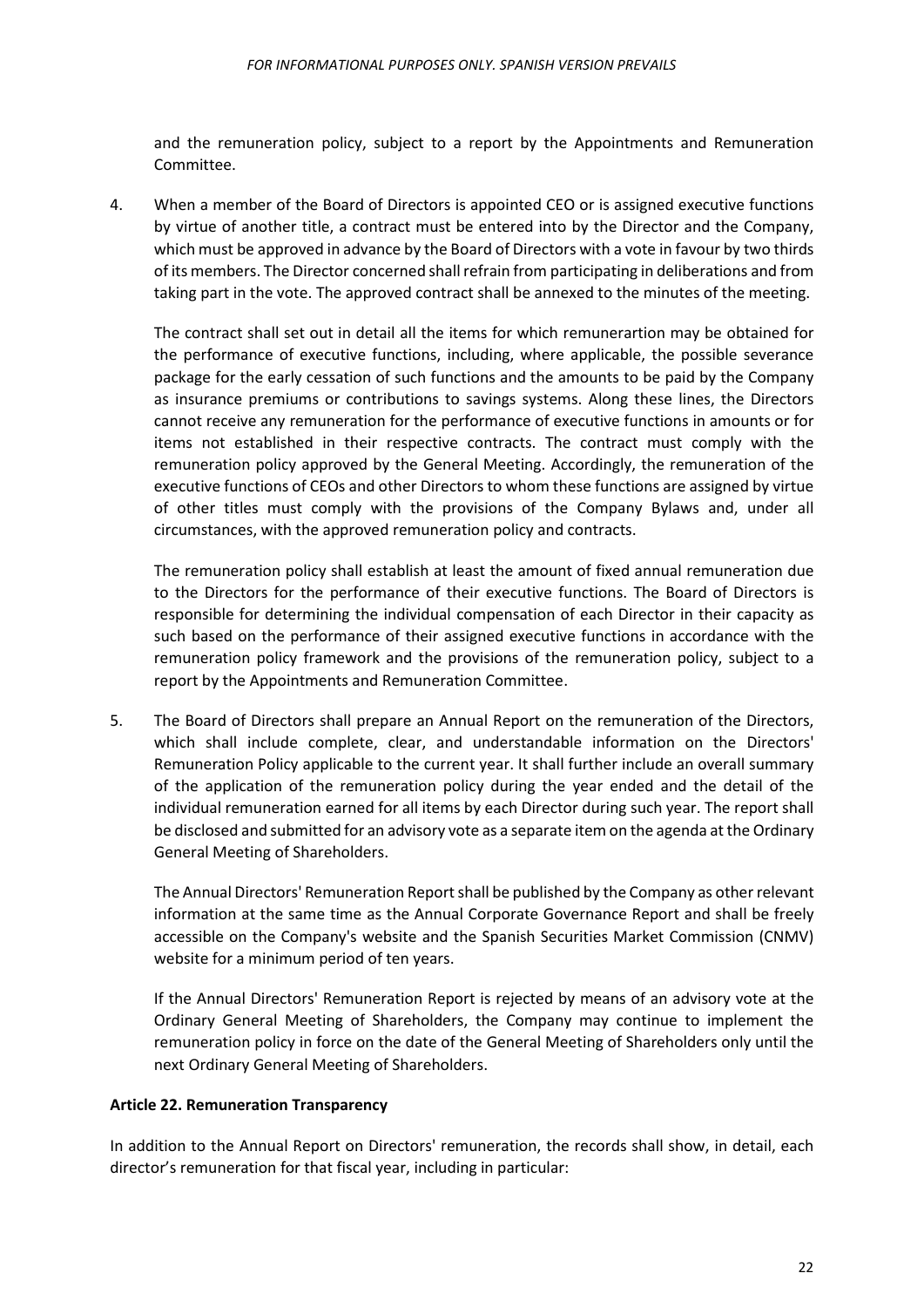and the remuneration policy, subject to a report by the Appointments and Remuneration Committee.

4. When a member of the Board of Directors is appointed CEO or is assigned executive functions by virtue of another title, a contract must be entered into by the Director and the Company, which must be approved in advance by the Board of Directors with a vote in favour by two thirds of its members. The Director concerned shall refrain from participating in deliberations and from taking part in the vote. The approved contract shall be annexed to the minutes of the meeting.

The contract shall set out in detail all the items for which remunerartion may be obtained for the performance of executive functions, including, where applicable, the possible severance package for the early cessation of such functions and the amounts to be paid by the Company as insurance premiums or contributions to savings systems. Along these lines, the Directors cannot receive any remuneration for the performance of executive functions in amounts or for items not established in their respective contracts. The contract must comply with the remuneration policy approved by the General Meeting. Accordingly, the remuneration of the executive functions of CEOs and other Directors to whom these functions are assigned by virtue of other titles must comply with the provisions of the Company Bylaws and, under all circumstances, with the approved remuneration policy and contracts.

The remuneration policy shall establish at least the amount of fixed annual remuneration due to the Directors for the performance of their executive functions. The Board of Directors is responsible for determining the individual compensation of each Director in their capacity as such based on the performance of their assigned executive functions in accordance with the remuneration policy framework and the provisions of the remuneration policy, subject to a report by the Appointments and Remuneration Committee.

5. The Board of Directors shall prepare an Annual Report on the remuneration of the Directors, which shall include complete, clear, and understandable information on the Directors' Remuneration Policy applicable to the current year. It shall further include an overall summary of the application of the remuneration policy during the year ended and the detail of the individual remuneration earned for all items by each Director during such year. The report shall be disclosed and submitted for an advisory vote as a separate item on the agenda at the Ordinary General Meeting of Shareholders.

The Annual Directors' Remuneration Report shall be published by the Company as other relevant information at the same time as the Annual Corporate Governance Report and shall be freely accessible on the Company's website and the Spanish Securities Market Commission (CNMV) website for a minimum period of ten years.

If the Annual Directors' Remuneration Report is rejected by means of an advisory vote at the Ordinary General Meeting of Shareholders, the Company may continue to implement the remuneration policy in force on the date of the General Meeting of Shareholders only until the next Ordinary General Meeting of Shareholders.

#### <span id="page-21-0"></span>**Article 22. Remuneration Transparency**

In addition to the Annual Report on Directors' remuneration, the records shall show, in detail, each director's remuneration for that fiscal year, including in particular: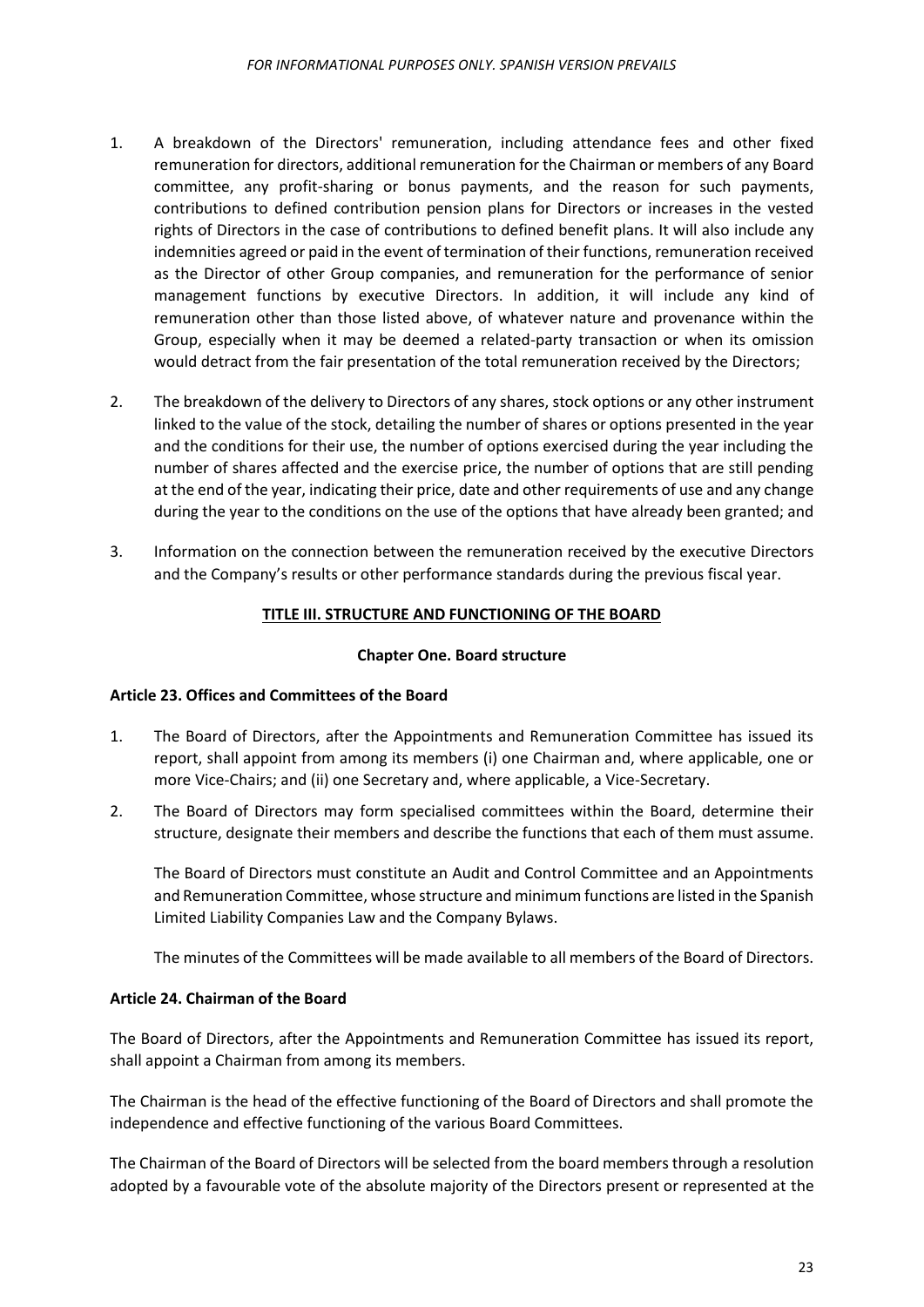- 1. A breakdown of the Directors' remuneration, including attendance fees and other fixed remuneration for directors, additional remuneration for the Chairman or members of any Board committee, any profit-sharing or bonus payments, and the reason for such payments, contributions to defined contribution pension plans for Directors or increases in the vested rights of Directors in the case of contributions to defined benefit plans. It will also include any indemnities agreed or paid in the event of termination of their functions, remuneration received as the Director of other Group companies, and remuneration for the performance of senior management functions by executive Directors. In addition, it will include any kind of remuneration other than those listed above, of whatever nature and provenance within the Group, especially when it may be deemed a related-party transaction or when its omission would detract from the fair presentation of the total remuneration received by the Directors;
- 2. The breakdown of the delivery to Directors of any shares, stock options or any other instrument linked to the value of the stock, detailing the number of shares or options presented in the year and the conditions for their use, the number of options exercised during the year including the number of shares affected and the exercise price, the number of options that are still pending at the end of the year, indicating their price, date and other requirements of use and any change during the year to the conditions on the use of the options that have already been granted; and
- <span id="page-22-0"></span>3. Information on the connection between the remuneration received by the executive Directors and the Company's results or other performance standards during the previous fiscal year.

# **TITLE III. STRUCTURE AND FUNCTIONING OF THE BOARD**

#### **Chapter One. Board structure**

#### <span id="page-22-2"></span><span id="page-22-1"></span>**Article 23. Offices and Committees of the Board**

- 1. The Board of Directors, after the Appointments and Remuneration Committee has issued its report, shall appoint from among its members (i) one Chairman and, where applicable, one or more Vice-Chairs; and (ii) one Secretary and, where applicable, a Vice-Secretary.
- 2. The Board of Directors may form specialised committees within the Board, determine their structure, designate their members and describe the functions that each of them must assume.

The Board of Directors must constitute an Audit and Control Committee and an Appointments and Remuneration Committee, whose structure and minimum functions are listed in the Spanish Limited Liability Companies Law and the Company Bylaws.

The minutes of the Committees will be made available to all members of the Board of Directors.

# <span id="page-22-3"></span>**Article 24. Chairman of the Board**

The Board of Directors, after the Appointments and Remuneration Committee has issued its report, shall appoint a Chairman from among its members.

The Chairman is the head of the effective functioning of the Board of Directors and shall promote the independence and effective functioning of the various Board Committees.

The Chairman of the Board of Directors will be selected from the board members through a resolution adopted by a favourable vote of the absolute majority of the Directors present or represented at the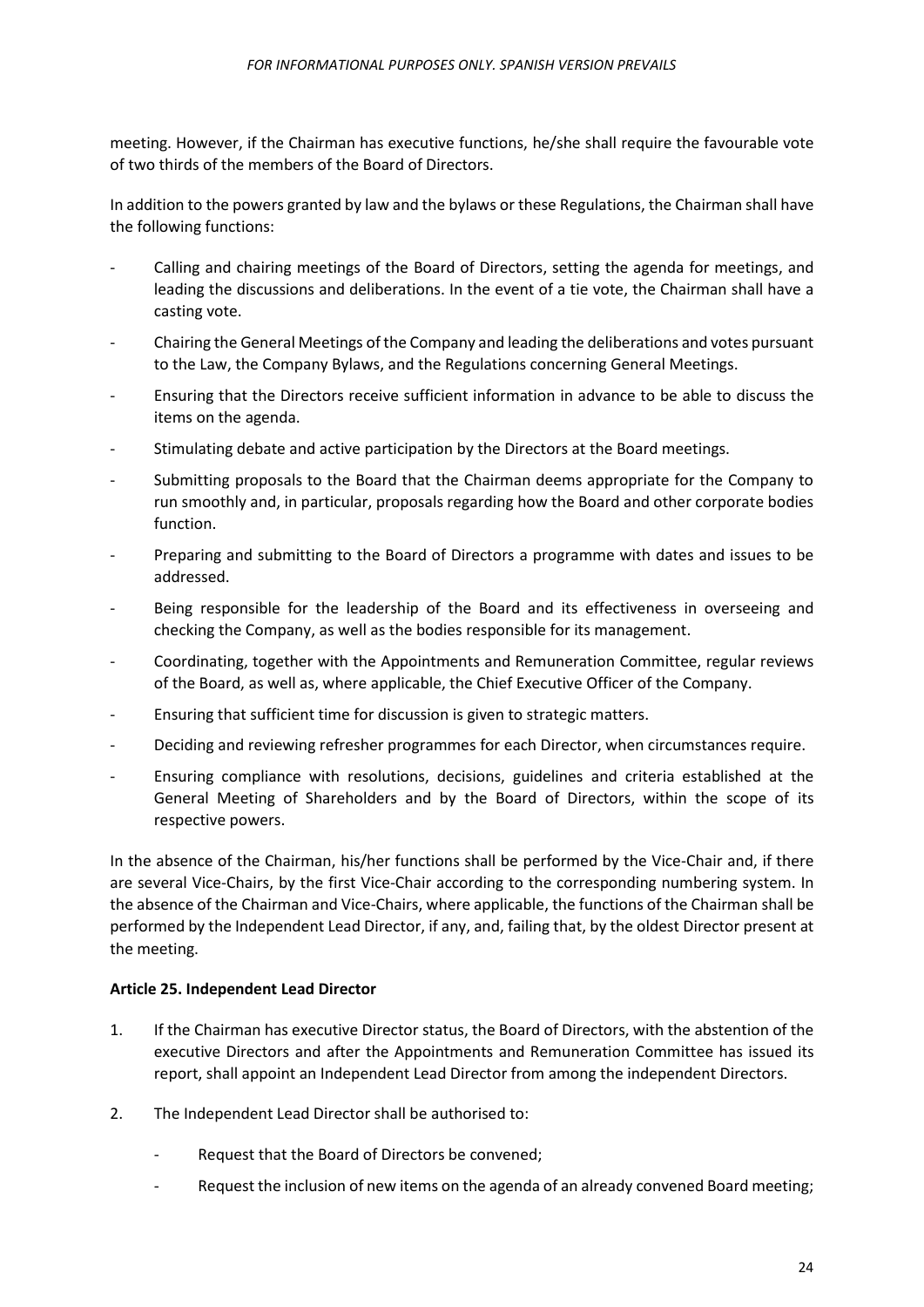meeting. However, if the Chairman has executive functions, he/she shall require the favourable vote of two thirds of the members of the Board of Directors.

In addition to the powers granted by law and the bylaws or these Regulations, the Chairman shall have the following functions:

- Calling and chairing meetings of the Board of Directors, setting the agenda for meetings, and leading the discussions and deliberations. In the event of a tie vote, the Chairman shall have a casting vote.
- Chairing the General Meetings of the Company and leading the deliberations and votes pursuant to the Law, the Company Bylaws, and the Regulations concerning General Meetings.
- Ensuring that the Directors receive sufficient information in advance to be able to discuss the items on the agenda.
- Stimulating debate and active participation by the Directors at the Board meetings.
- Submitting proposals to the Board that the Chairman deems appropriate for the Company to run smoothly and, in particular, proposals regarding how the Board and other corporate bodies function.
- Preparing and submitting to the Board of Directors a programme with dates and issues to be addressed.
- Being responsible for the leadership of the Board and its effectiveness in overseeing and checking the Company, as well as the bodies responsible for its management.
- Coordinating, together with the Appointments and Remuneration Committee, regular reviews of the Board, as well as, where applicable, the Chief Executive Officer of the Company.
- Ensuring that sufficient time for discussion is given to strategic matters.
- Deciding and reviewing refresher programmes for each Director, when circumstances require.
- Ensuring compliance with resolutions, decisions, guidelines and criteria established at the General Meeting of Shareholders and by the Board of Directors, within the scope of its respective powers.

In the absence of the Chairman, his/her functions shall be performed by the Vice-Chair and, if there are several Vice-Chairs, by the first Vice-Chair according to the corresponding numbering system. In the absence of the Chairman and Vice-Chairs, where applicable, the functions of the Chairman shall be performed by the Independent Lead Director, if any, and, failing that, by the oldest Director present at the meeting.

#### <span id="page-23-0"></span>**Article 25. Independent Lead Director**

- 1. If the Chairman has executive Director status, the Board of Directors, with the abstention of the executive Directors and after the Appointments and Remuneration Committee has issued its report, shall appoint an Independent Lead Director from among the independent Directors.
- 2. The Independent Lead Director shall be authorised to:
	- Request that the Board of Directors be convened;
	- Request the inclusion of new items on the agenda of an already convened Board meeting;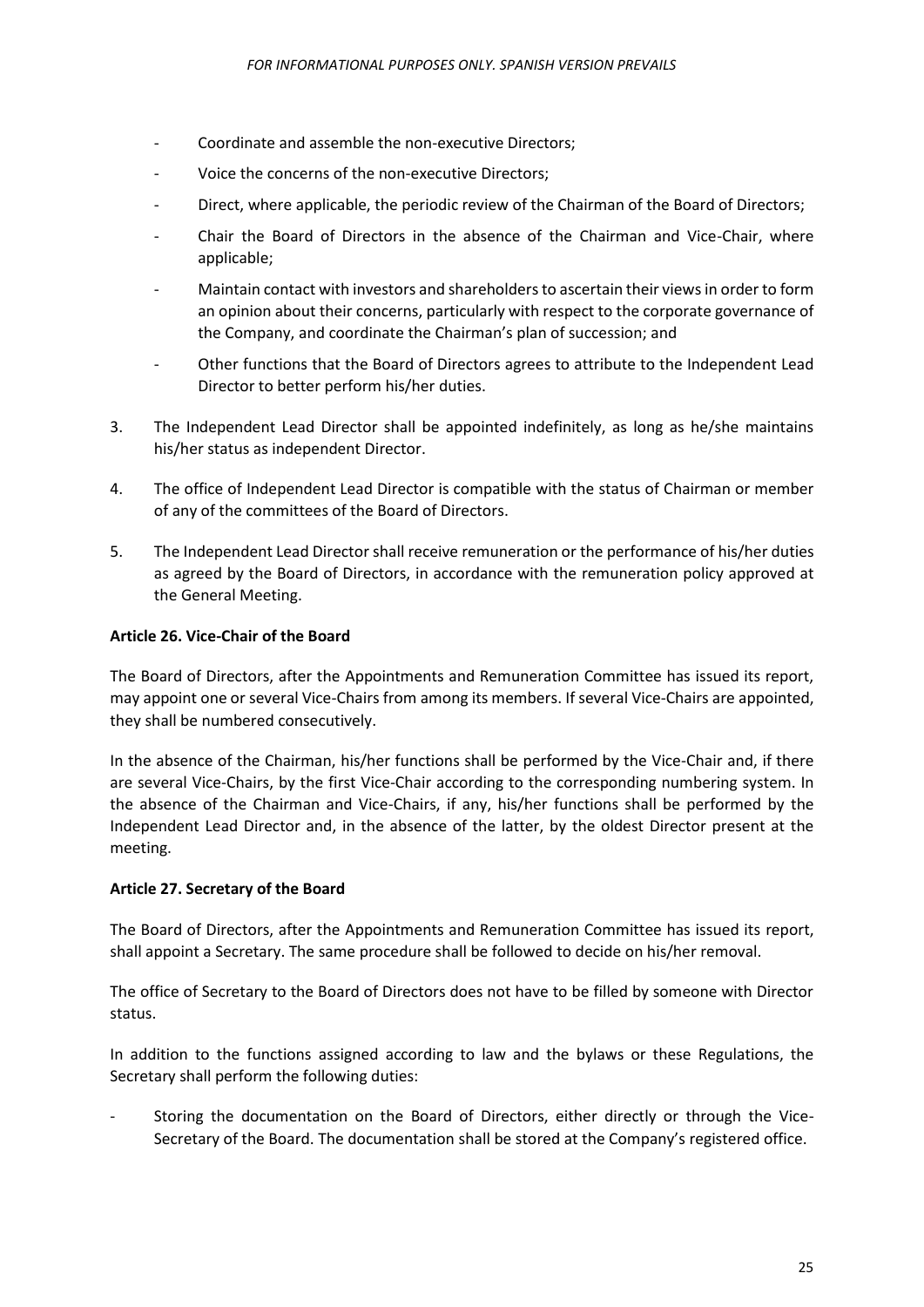- Coordinate and assemble the non-executive Directors;
- Voice the concerns of the non-executive Directors;
- Direct, where applicable, the periodic review of the Chairman of the Board of Directors;
- Chair the Board of Directors in the absence of the Chairman and Vice-Chair, where applicable;
- Maintain contact with investors and shareholders to ascertain their views in order to form an opinion about their concerns, particularly with respect to the corporate governance of the Company, and coordinate the Chairman's plan of succession; and
- Other functions that the Board of Directors agrees to attribute to the Independent Lead Director to better perform his/her duties.
- 3. The Independent Lead Director shall be appointed indefinitely, as long as he/she maintains his/her status as independent Director.
- 4. The office of Independent Lead Director is compatible with the status of Chairman or member of any of the committees of the Board of Directors.
- 5. The Independent Lead Director shall receive remuneration or the performance of his/her duties as agreed by the Board of Directors, in accordance with the remuneration policy approved at the General Meeting.

## <span id="page-24-0"></span>**Article 26. Vice-Chair of the Board**

The Board of Directors, after the Appointments and Remuneration Committee has issued its report, may appoint one or several Vice-Chairs from among its members. If several Vice-Chairs are appointed, they shall be numbered consecutively.

In the absence of the Chairman, his/her functions shall be performed by the Vice-Chair and, if there are several Vice-Chairs, by the first Vice-Chair according to the corresponding numbering system. In the absence of the Chairman and Vice-Chairs, if any, his/her functions shall be performed by the Independent Lead Director and, in the absence of the latter, by the oldest Director present at the meeting.

#### <span id="page-24-1"></span>**Article 27. Secretary of the Board**

The Board of Directors, after the Appointments and Remuneration Committee has issued its report, shall appoint a Secretary. The same procedure shall be followed to decide on his/her removal.

The office of Secretary to the Board of Directors does not have to be filled by someone with Director status.

In addition to the functions assigned according to law and the bylaws or these Regulations, the Secretary shall perform the following duties:

- Storing the documentation on the Board of Directors, either directly or through the Vice-Secretary of the Board. The documentation shall be stored at the Company's registered office.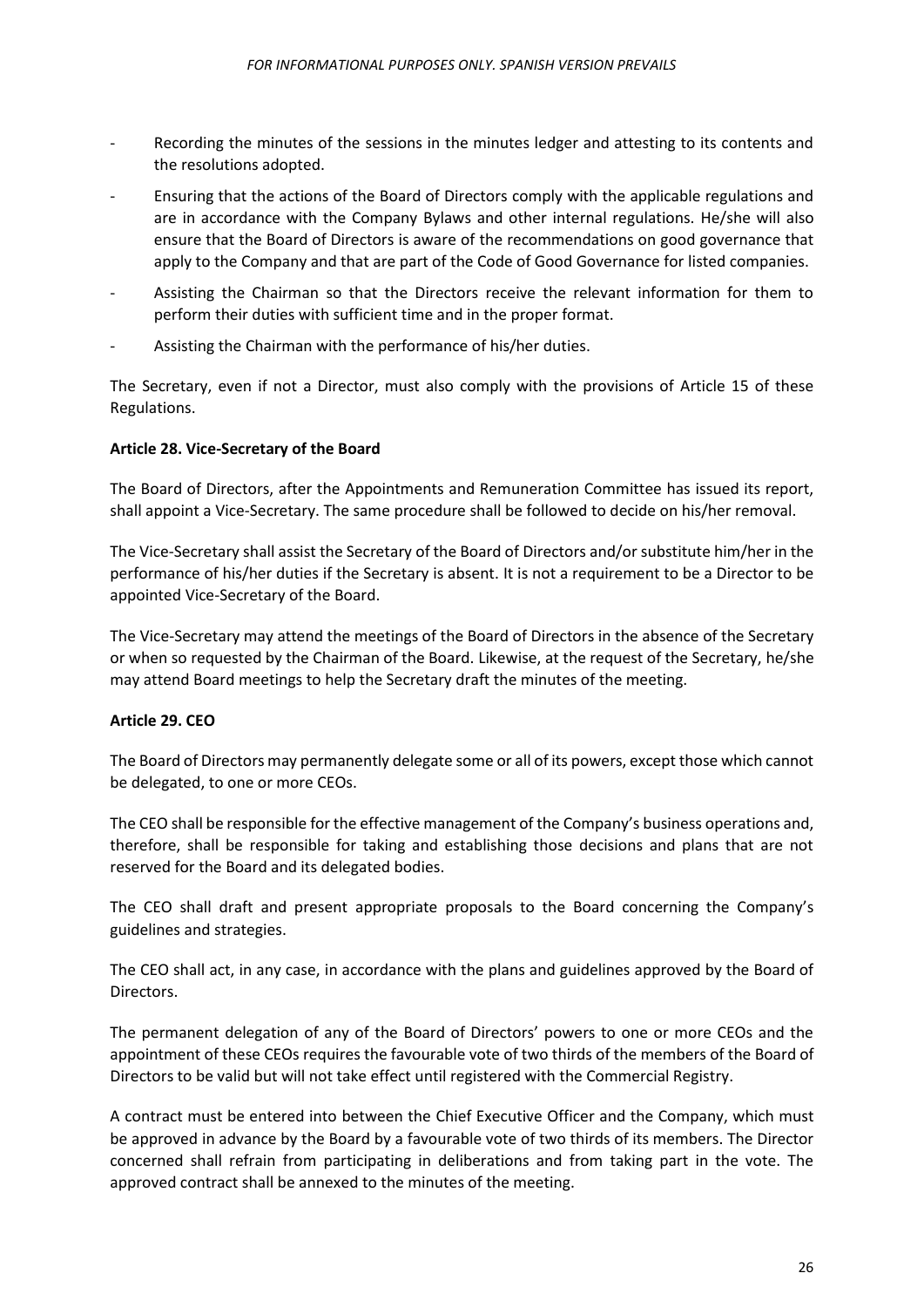- Recording the minutes of the sessions in the minutes ledger and attesting to its contents and the resolutions adopted.
- Ensuring that the actions of the Board of Directors comply with the applicable regulations and are in accordance with the Company Bylaws and other internal regulations. He/she will also ensure that the Board of Directors is aware of the recommendations on good governance that apply to the Company and that are part of the Code of Good Governance for listed companies.
- Assisting the Chairman so that the Directors receive the relevant information for them to perform their duties with sufficient time and in the proper format.
- Assisting the Chairman with the performance of his/her duties.

The Secretary, even if not a Director, must also comply with the provisions of Article 15 of these Regulations.

## <span id="page-25-0"></span>**Article 28. Vice-Secretary of the Board**

The Board of Directors, after the Appointments and Remuneration Committee has issued its report, shall appoint a Vice-Secretary. The same procedure shall be followed to decide on his/her removal.

The Vice-Secretary shall assist the Secretary of the Board of Directors and/or substitute him/her in the performance of his/her duties if the Secretary is absent. It is not a requirement to be a Director to be appointed Vice-Secretary of the Board.

The Vice-Secretary may attend the meetings of the Board of Directors in the absence of the Secretary or when so requested by the Chairman of the Board. Likewise, at the request of the Secretary, he/she may attend Board meetings to help the Secretary draft the minutes of the meeting.

#### <span id="page-25-1"></span>**Article 29. CEO**

The Board of Directors may permanently delegate some or all of its powers, except those which cannot be delegated, to one or more CEOs.

The CEO shall be responsible for the effective management of the Company's business operations and, therefore, shall be responsible for taking and establishing those decisions and plans that are not reserved for the Board and its delegated bodies.

The CEO shall draft and present appropriate proposals to the Board concerning the Company's guidelines and strategies.

The CEO shall act, in any case, in accordance with the plans and guidelines approved by the Board of Directors.

The permanent delegation of any of the Board of Directors' powers to one or more CEOs and the appointment of these CEOs requires the favourable vote of two thirds of the members of the Board of Directors to be valid but will not take effect until registered with the Commercial Registry.

A contract must be entered into between the Chief Executive Officer and the Company, which must be approved in advance by the Board by a favourable vote of two thirds of its members. The Director concerned shall refrain from participating in deliberations and from taking part in the vote. The approved contract shall be annexed to the minutes of the meeting.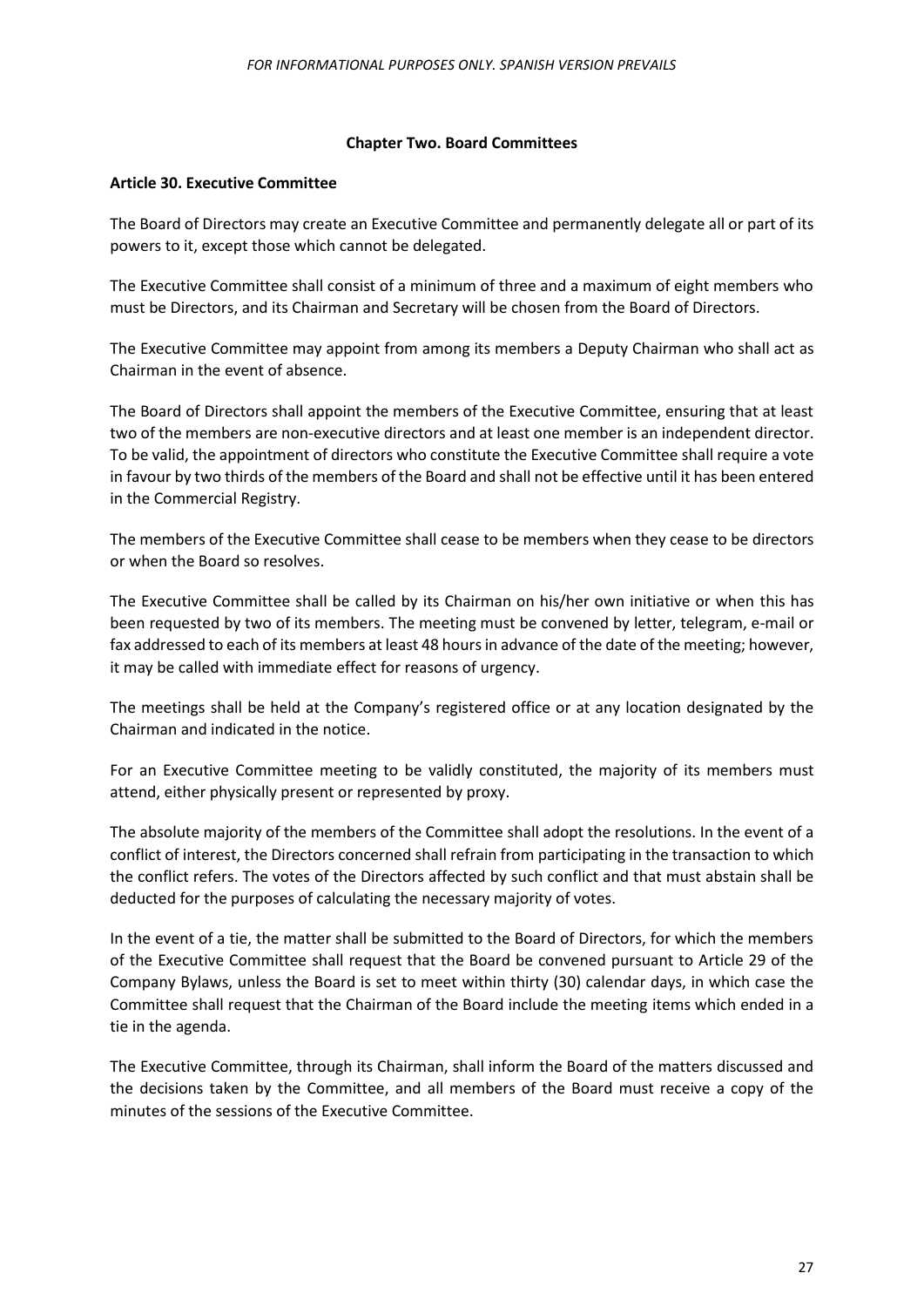#### **Chapter Two. Board Committees**

#### <span id="page-26-1"></span><span id="page-26-0"></span>**Article 30. Executive Committee**

The Board of Directors may create an Executive Committee and permanently delegate all or part of its powers to it, except those which cannot be delegated.

The Executive Committee shall consist of a minimum of three and a maximum of eight members who must be Directors, and its Chairman and Secretary will be chosen from the Board of Directors.

The Executive Committee may appoint from among its members a Deputy Chairman who shall act as Chairman in the event of absence.

The Board of Directors shall appoint the members of the Executive Committee, ensuring that at least two of the members are non-executive directors and at least one member is an independent director. To be valid, the appointment of directors who constitute the Executive Committee shall require a vote in favour by two thirds of the members of the Board and shall not be effective until it has been entered in the Commercial Registry.

The members of the Executive Committee shall cease to be members when they cease to be directors or when the Board so resolves.

The Executive Committee shall be called by its Chairman on his/her own initiative or when this has been requested by two of its members. The meeting must be convened by letter, telegram, e-mail or fax addressed to each of its members at least 48 hours in advance of the date of the meeting; however, it may be called with immediate effect for reasons of urgency.

The meetings shall be held at the Company's registered office or at any location designated by the Chairman and indicated in the notice.

For an Executive Committee meeting to be validly constituted, the majority of its members must attend, either physically present or represented by proxy.

The absolute majority of the members of the Committee shall adopt the resolutions. In the event of a conflict of interest, the Directors concerned shall refrain from participating in the transaction to which the conflict refers. The votes of the Directors affected by such conflict and that must abstain shall be deducted for the purposes of calculating the necessary majority of votes.

In the event of a tie, the matter shall be submitted to the Board of Directors, for which the members of the Executive Committee shall request that the Board be convened pursuant to Article 29 of the Company Bylaws, unless the Board is set to meet within thirty (30) calendar days, in which case the Committee shall request that the Chairman of the Board include the meeting items which ended in a tie in the agenda.

The Executive Committee, through its Chairman, shall inform the Board of the matters discussed and the decisions taken by the Committee, and all members of the Board must receive a copy of the minutes of the sessions of the Executive Committee.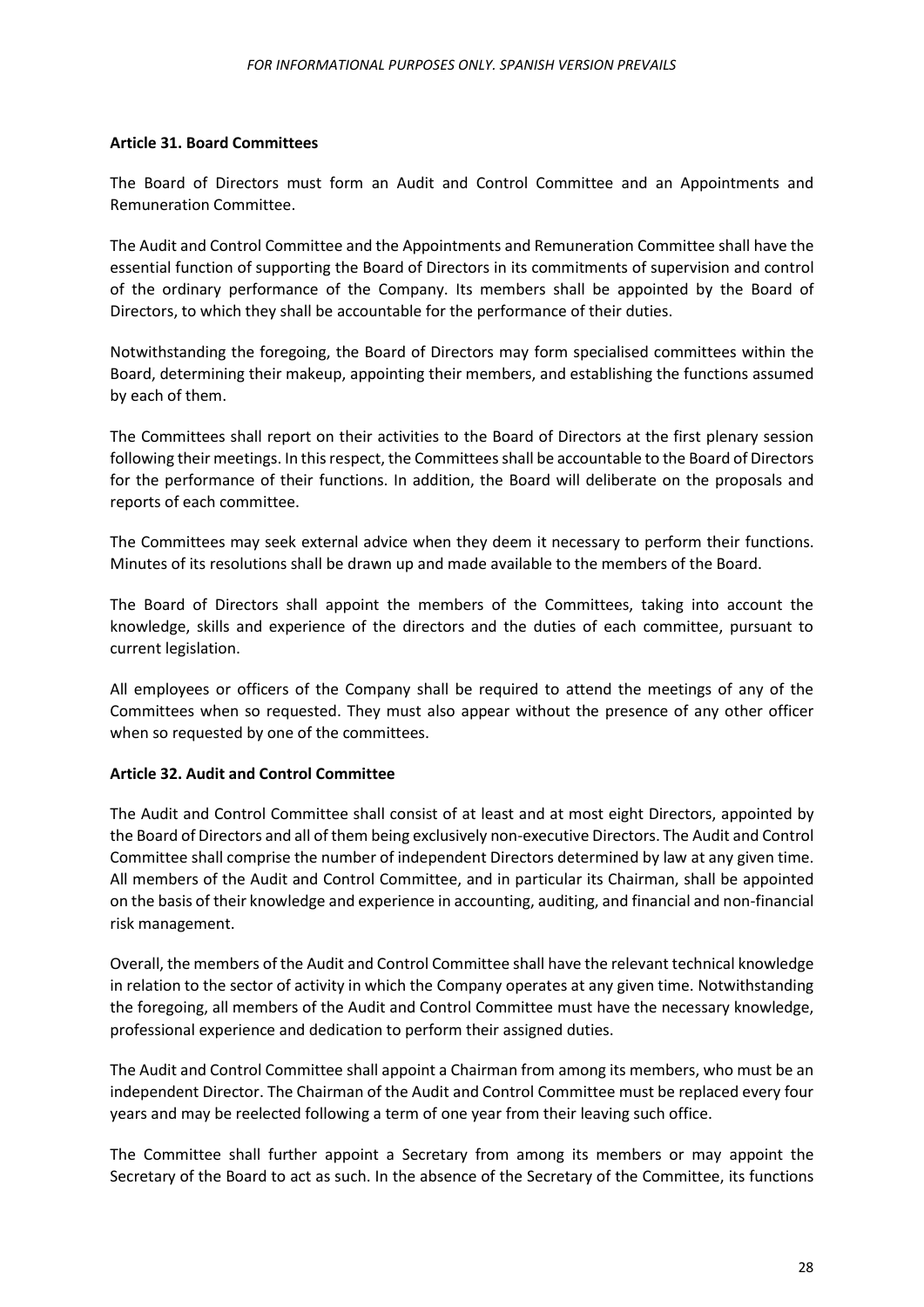#### <span id="page-27-0"></span>**Article 31. Board Committees**

The Board of Directors must form an Audit and Control Committee and an Appointments and Remuneration Committee.

The Audit and Control Committee and the Appointments and Remuneration Committee shall have the essential function of supporting the Board of Directors in its commitments of supervision and control of the ordinary performance of the Company. Its members shall be appointed by the Board of Directors, to which they shall be accountable for the performance of their duties.

Notwithstanding the foregoing, the Board of Directors may form specialised committees within the Board, determining their makeup, appointing their members, and establishing the functions assumed by each of them.

The Committees shall report on their activities to the Board of Directors at the first plenary session following their meetings. In this respect, the Committees shall be accountable to the Board of Directors for the performance of their functions. In addition, the Board will deliberate on the proposals and reports of each committee.

The Committees may seek external advice when they deem it necessary to perform their functions. Minutes of its resolutions shall be drawn up and made available to the members of the Board.

The Board of Directors shall appoint the members of the Committees, taking into account the knowledge, skills and experience of the directors and the duties of each committee, pursuant to current legislation.

All employees or officers of the Company shall be required to attend the meetings of any of the Committees when so requested. They must also appear without the presence of any other officer when so requested by one of the committees.

## <span id="page-27-1"></span>**Article 32. Audit and Control Committee**

The Audit and Control Committee shall consist of at least and at most eight Directors, appointed by the Board of Directors and all of them being exclusively non-executive Directors. The Audit and Control Committee shall comprise the number of independent Directors determined by law at any given time. All members of the Audit and Control Committee, and in particular its Chairman, shall be appointed on the basis of their knowledge and experience in accounting, auditing, and financial and non-financial risk management.

Overall, the members of the Audit and Control Committee shall have the relevant technical knowledge in relation to the sector of activity in which the Company operates at any given time. Notwithstanding the foregoing, all members of the Audit and Control Committee must have the necessary knowledge, professional experience and dedication to perform their assigned duties.

The Audit and Control Committee shall appoint a Chairman from among its members, who must be an independent Director. The Chairman of the Audit and Control Committee must be replaced every four years and may be reelected following a term of one year from their leaving such office.

The Committee shall further appoint a Secretary from among its members or may appoint the Secretary of the Board to act as such. In the absence of the Secretary of the Committee, its functions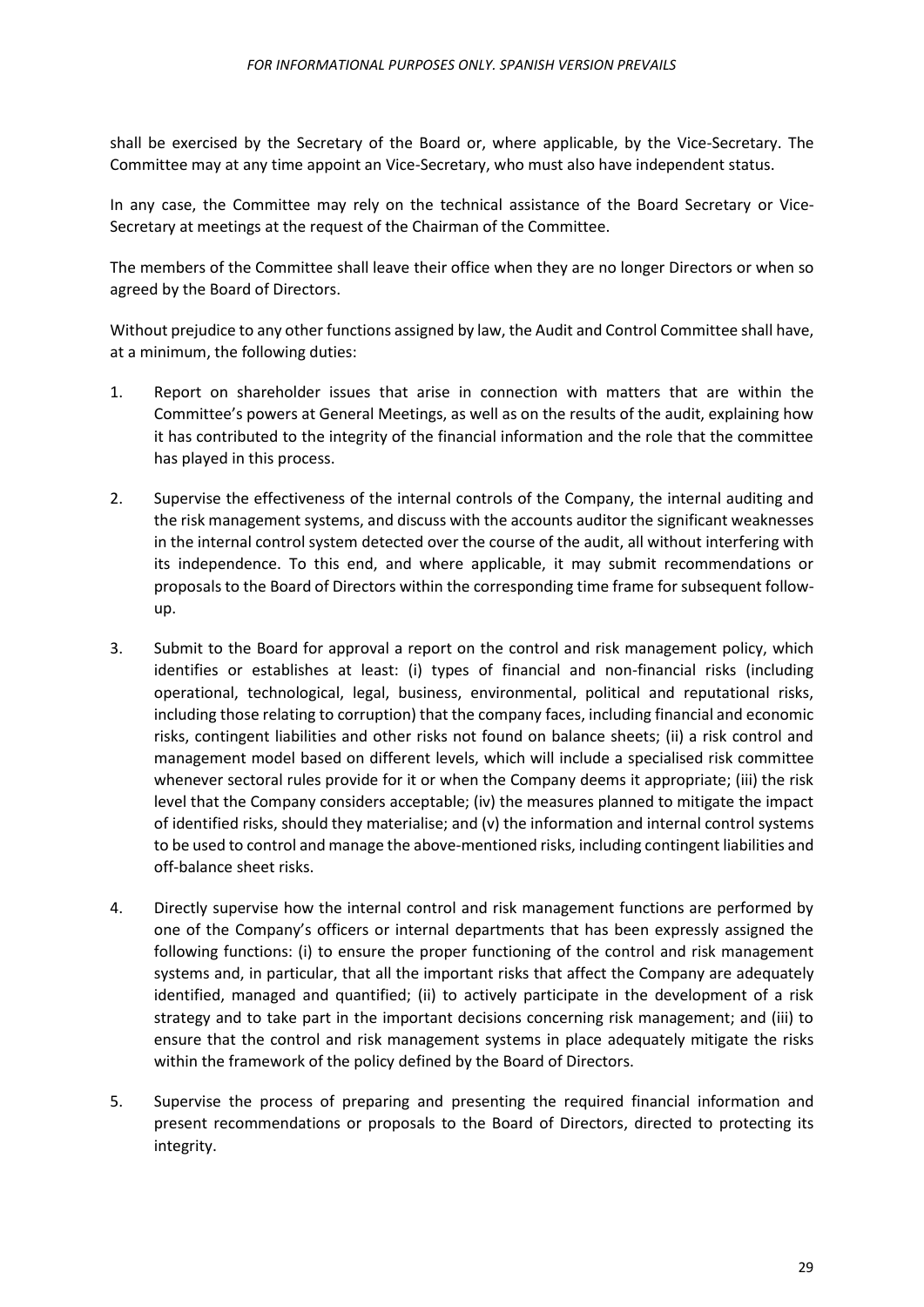shall be exercised by the Secretary of the Board or, where applicable, by the Vice-Secretary. The Committee may at any time appoint an Vice-Secretary, who must also have independent status.

In any case, the Committee may rely on the technical assistance of the Board Secretary or Vice-Secretary at meetings at the request of the Chairman of the Committee.

The members of the Committee shall leave their office when they are no longer Directors or when so agreed by the Board of Directors.

Without prejudice to any other functions assigned by law, the Audit and Control Committee shall have, at a minimum, the following duties:

- 1. Report on shareholder issues that arise in connection with matters that are within the Committee's powers at General Meetings, as well as on the results of the audit, explaining how it has contributed to the integrity of the financial information and the role that the committee has played in this process.
- 2. Supervise the effectiveness of the internal controls of the Company, the internal auditing and the risk management systems, and discuss with the accounts auditor the significant weaknesses in the internal control system detected over the course of the audit, all without interfering with its independence. To this end, and where applicable, it may submit recommendations or proposals to the Board of Directors within the corresponding time frame for subsequent followup.
- 3. Submit to the Board for approval a report on the control and risk management policy, which identifies or establishes at least: (i) types of financial and non-financial risks (including operational, technological, legal, business, environmental, political and reputational risks, including those relating to corruption) that the company faces, including financial and economic risks, contingent liabilities and other risks not found on balance sheets; (ii) a risk control and management model based on different levels, which will include a specialised risk committee whenever sectoral rules provide for it or when the Company deems it appropriate; (iii) the risk level that the Company considers acceptable; (iv) the measures planned to mitigate the impact of identified risks, should they materialise; and (v) the information and internal control systems to be used to control and manage the above-mentioned risks, including contingent liabilities and off-balance sheet risks.
- 4. Directly supervise how the internal control and risk management functions are performed by one of the Company's officers or internal departments that has been expressly assigned the following functions: (i) to ensure the proper functioning of the control and risk management systems and, in particular, that all the important risks that affect the Company are adequately identified, managed and quantified; (ii) to actively participate in the development of a risk strategy and to take part in the important decisions concerning risk management; and (iii) to ensure that the control and risk management systems in place adequately mitigate the risks within the framework of the policy defined by the Board of Directors.
- 5. Supervise the process of preparing and presenting the required financial information and present recommendations or proposals to the Board of Directors, directed to protecting its integrity.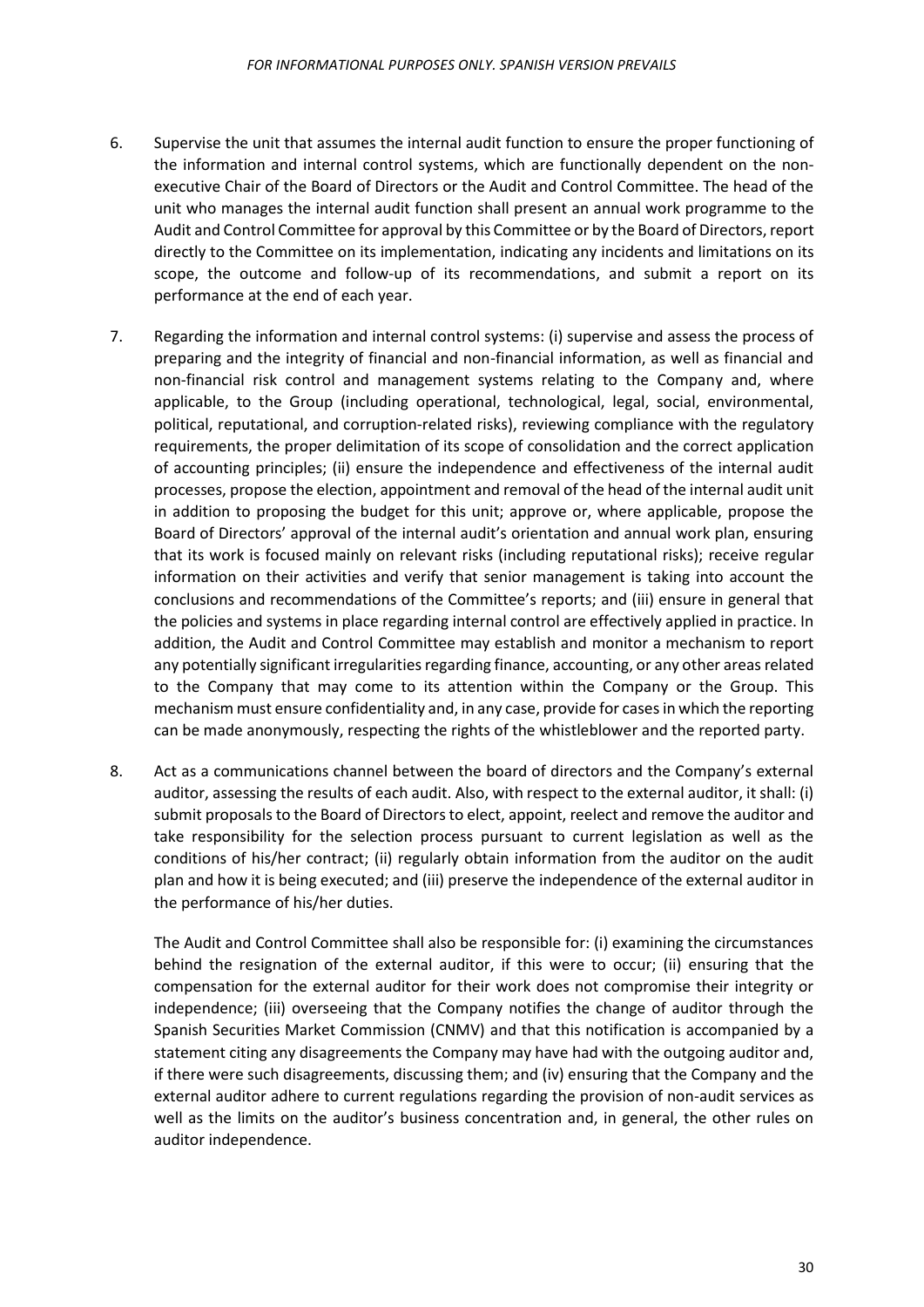- 6. Supervise the unit that assumes the internal audit function to ensure the proper functioning of the information and internal control systems, which are functionally dependent on the nonexecutive Chair of the Board of Directors or the Audit and Control Committee. The head of the unit who manages the internal audit function shall present an annual work programme to the Audit and Control Committee for approval by this Committee or by the Board of Directors, report directly to the Committee on its implementation, indicating any incidents and limitations on its scope, the outcome and follow-up of its recommendations, and submit a report on its performance at the end of each year.
- 7. Regarding the information and internal control systems: (i) supervise and assess the process of preparing and the integrity of financial and non-financial information, as well as financial and non-financial risk control and management systems relating to the Company and, where applicable, to the Group (including operational, technological, legal, social, environmental, political, reputational, and corruption-related risks), reviewing compliance with the regulatory requirements, the proper delimitation of its scope of consolidation and the correct application of accounting principles; (ii) ensure the independence and effectiveness of the internal audit processes, propose the election, appointment and removal of the head of the internal audit unit in addition to proposing the budget for this unit; approve or, where applicable, propose the Board of Directors' approval of the internal audit's orientation and annual work plan, ensuring that its work is focused mainly on relevant risks (including reputational risks); receive regular information on their activities and verify that senior management is taking into account the conclusions and recommendations of the Committee's reports; and (iii) ensure in general that the policies and systems in place regarding internal control are effectively applied in practice. In addition, the Audit and Control Committee may establish and monitor a mechanism to report any potentially significant irregularities regarding finance, accounting, or any other areas related to the Company that may come to its attention within the Company or the Group. This mechanism must ensure confidentiality and, in any case, provide for cases in which the reporting can be made anonymously, respecting the rights of the whistleblower and the reported party.
- 8. Act as a communications channel between the board of directors and the Company's external auditor, assessing the results of each audit. Also, with respect to the external auditor, it shall: (i) submit proposals to the Board of Directors to elect, appoint, reelect and remove the auditor and take responsibility for the selection process pursuant to current legislation as well as the conditions of his/her contract; (ii) regularly obtain information from the auditor on the audit plan and how it is being executed; and (iii) preserve the independence of the external auditor in the performance of his/her duties.

The Audit and Control Committee shall also be responsible for: (i) examining the circumstances behind the resignation of the external auditor, if this were to occur; (ii) ensuring that the compensation for the external auditor for their work does not compromise their integrity or independence; (iii) overseeing that the Company notifies the change of auditor through the Spanish Securities Market Commission (CNMV) and that this notification is accompanied by a statement citing any disagreements the Company may have had with the outgoing auditor and, if there were such disagreements, discussing them; and (iv) ensuring that the Company and the external auditor adhere to current regulations regarding the provision of non-audit services as well as the limits on the auditor's business concentration and, in general, the other rules on auditor independence.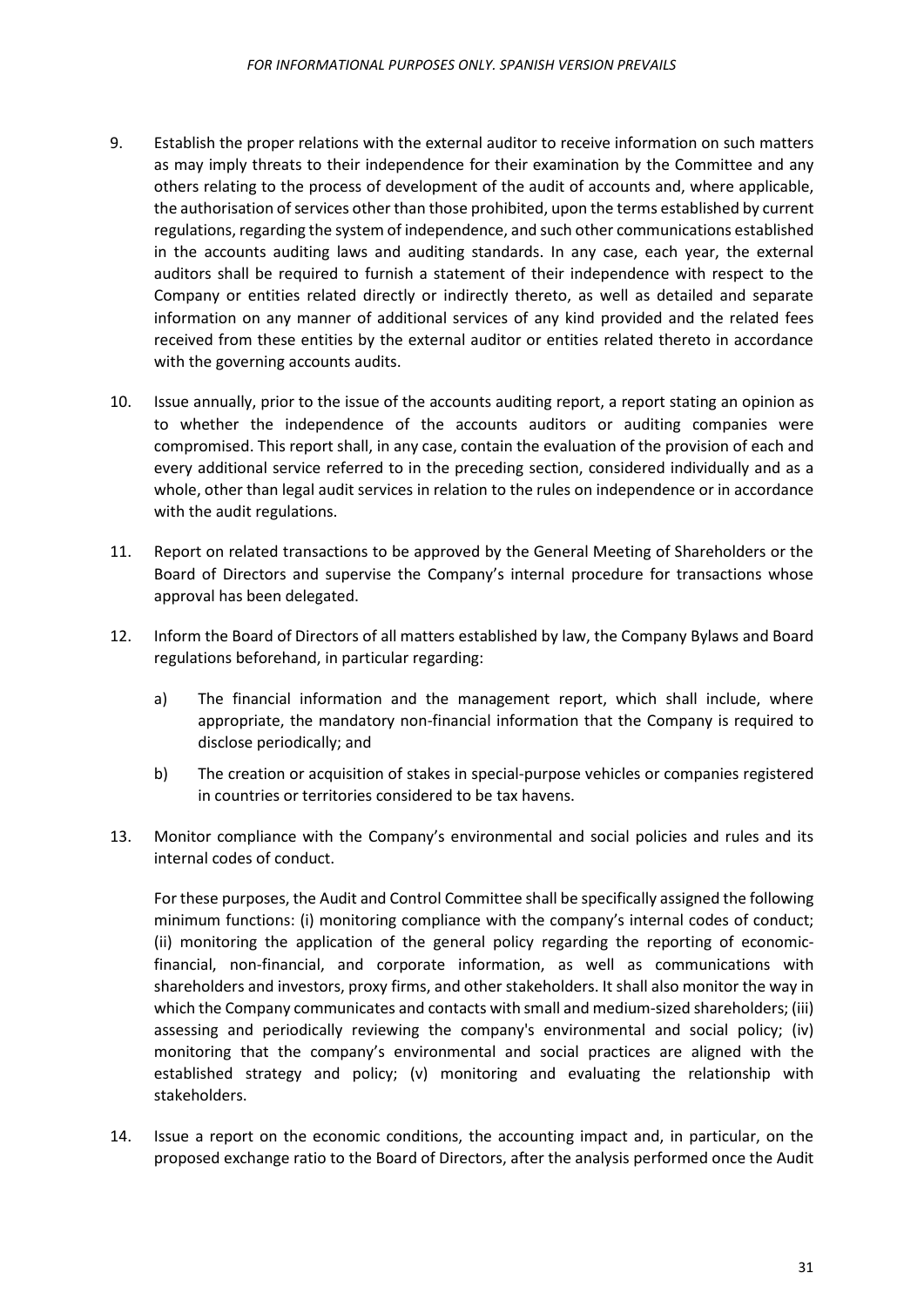- 9. Establish the proper relations with the external auditor to receive information on such matters as may imply threats to their independence for their examination by the Committee and any others relating to the process of development of the audit of accounts and, where applicable, the authorisation of services other than those prohibited, upon the terms established by current regulations, regarding the system of independence, and such other communications established in the accounts auditing laws and auditing standards. In any case, each year, the external auditors shall be required to furnish a statement of their independence with respect to the Company or entities related directly or indirectly thereto, as well as detailed and separate information on any manner of additional services of any kind provided and the related fees received from these entities by the external auditor or entities related thereto in accordance with the governing accounts audits.
- 10. Issue annually, prior to the issue of the accounts auditing report, a report stating an opinion as to whether the independence of the accounts auditors or auditing companies were compromised. This report shall, in any case, contain the evaluation of the provision of each and every additional service referred to in the preceding section, considered individually and as a whole, other than legal audit services in relation to the rules on independence or in accordance with the audit regulations.
- 11. Report on related transactions to be approved by the General Meeting of Shareholders or the Board of Directors and supervise the Company's internal procedure for transactions whose approval has been delegated.
- 12. Inform the Board of Directors of all matters established by law, the Company Bylaws and Board regulations beforehand, in particular regarding:
	- a) The financial information and the management report, which shall include, where appropriate, the mandatory non-financial information that the Company is required to disclose periodically; and
	- b) The creation or acquisition of stakes in special-purpose vehicles or companies registered in countries or territories considered to be tax havens.
- 13. Monitor compliance with the Company's environmental and social policies and rules and its internal codes of conduct.

For these purposes, the Audit and Control Committee shall be specifically assigned the following minimum functions: (i) monitoring compliance with the company's internal codes of conduct; (ii) monitoring the application of the general policy regarding the reporting of economicfinancial, non-financial, and corporate information, as well as communications with shareholders and investors, proxy firms, and other stakeholders. It shall also monitor the way in which the Company communicates and contacts with small and medium-sized shareholders; (iii) assessing and periodically reviewing the company's environmental and social policy; (iv) monitoring that the company's environmental and social practices are aligned with the established strategy and policy; (v) monitoring and evaluating the relationship with stakeholders.

14. Issue a report on the economic conditions, the accounting impact and, in particular, on the proposed exchange ratio to the Board of Directors, after the analysis performed once the Audit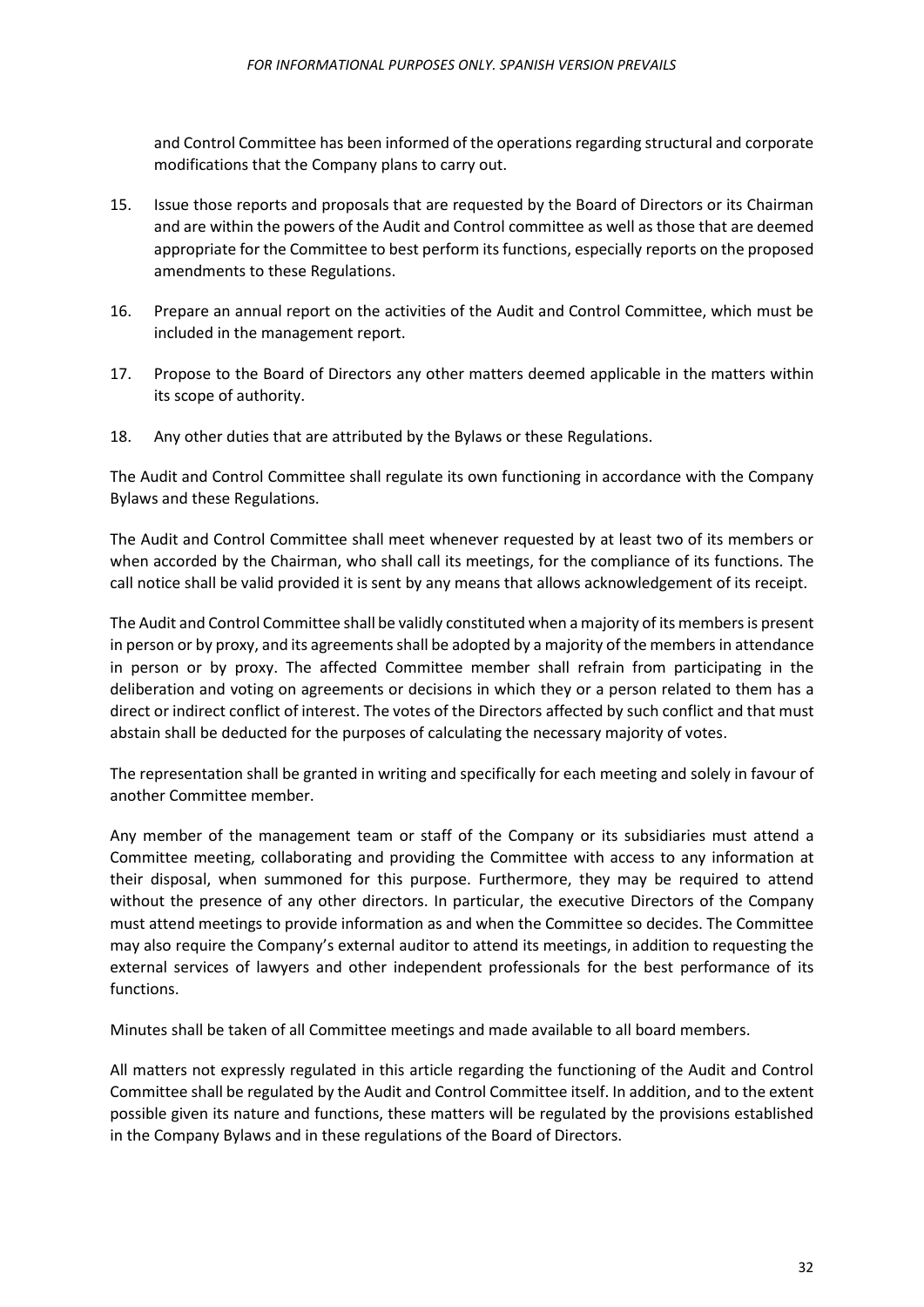and Control Committee has been informed of the operations regarding structural and corporate modifications that the Company plans to carry out.

- 15. Issue those reports and proposals that are requested by the Board of Directors or its Chairman and are within the powers of the Audit and Control committee as well as those that are deemed appropriate for the Committee to best perform its functions, especially reports on the proposed amendments to these Regulations.
- 16. Prepare an annual report on the activities of the Audit and Control Committee, which must be included in the management report.
- 17. Propose to the Board of Directors any other matters deemed applicable in the matters within its scope of authority.
- 18. Any other duties that are attributed by the Bylaws or these Regulations.

The Audit and Control Committee shall regulate its own functioning in accordance with the Company Bylaws and these Regulations.

The Audit and Control Committee shall meet whenever requested by at least two of its members or when accorded by the Chairman, who shall call its meetings, for the compliance of its functions. The call notice shall be valid provided it is sent by any means that allows acknowledgement of its receipt.

The Audit and Control Committee shall be validly constituted when a majority of its membersis present in person or by proxy, and its agreements shall be adopted by a majority of the members in attendance in person or by proxy. The affected Committee member shall refrain from participating in the deliberation and voting on agreements or decisions in which they or a person related to them has a direct or indirect conflict of interest. The votes of the Directors affected by such conflict and that must abstain shall be deducted for the purposes of calculating the necessary majority of votes.

The representation shall be granted in writing and specifically for each meeting and solely in favour of another Committee member.

Any member of the management team or staff of the Company or its subsidiaries must attend a Committee meeting, collaborating and providing the Committee with access to any information at their disposal, when summoned for this purpose. Furthermore, they may be required to attend without the presence of any other directors. In particular, the executive Directors of the Company must attend meetings to provide information as and when the Committee so decides. The Committee may also require the Company's external auditor to attend its meetings, in addition to requesting the external services of lawyers and other independent professionals for the best performance of its functions.

Minutes shall be taken of all Committee meetings and made available to all board members.

All matters not expressly regulated in this article regarding the functioning of the Audit and Control Committee shall be regulated by the Audit and Control Committee itself. In addition, and to the extent possible given its nature and functions, these matters will be regulated by the provisions established in the Company Bylaws and in these regulations of the Board of Directors.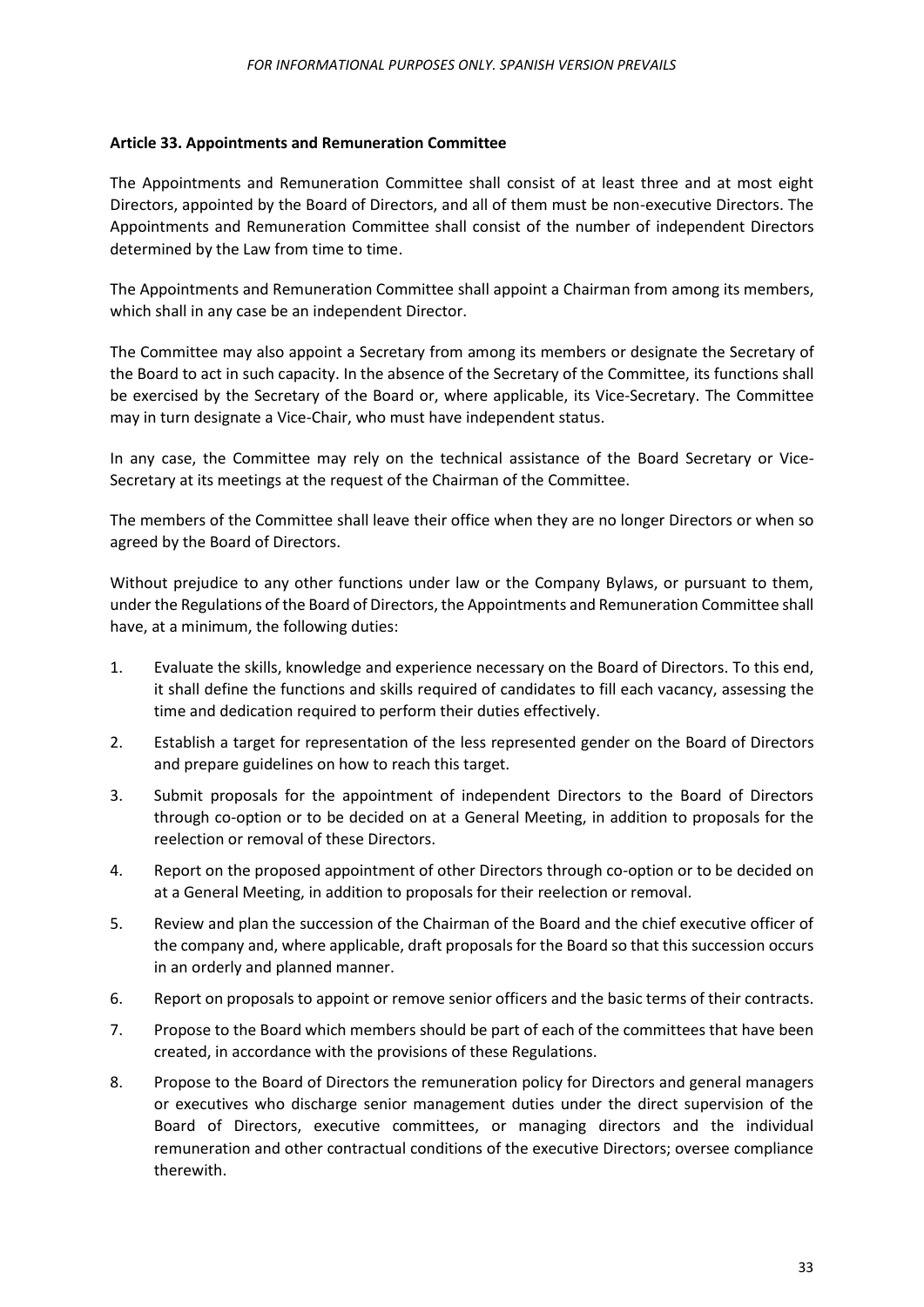#### <span id="page-32-0"></span>**Article 33. Appointments and Remuneration Committee**

The Appointments and Remuneration Committee shall consist of at least three and at most eight Directors, appointed by the Board of Directors, and all of them must be non-executive Directors. The Appointments and Remuneration Committee shall consist of the number of independent Directors determined by the Law from time to time.

The Appointments and Remuneration Committee shall appoint a Chairman from among its members, which shall in any case be an independent Director.

The Committee may also appoint a Secretary from among its members or designate the Secretary of the Board to act in such capacity. In the absence of the Secretary of the Committee, its functions shall be exercised by the Secretary of the Board or, where applicable, its Vice-Secretary. The Committee may in turn designate a Vice-Chair, who must have independent status.

In any case, the Committee may rely on the technical assistance of the Board Secretary or Vice-Secretary at its meetings at the request of the Chairman of the Committee.

The members of the Committee shall leave their office when they are no longer Directors or when so agreed by the Board of Directors.

Without prejudice to any other functions under law or the Company Bylaws, or pursuant to them, under the Regulations of the Board of Directors, the Appointments and Remuneration Committee shall have, at a minimum, the following duties:

- 1. Evaluate the skills, knowledge and experience necessary on the Board of Directors. To this end, it shall define the functions and skills required of candidates to fill each vacancy, assessing the time and dedication required to perform their duties effectively.
- 2. Establish a target for representation of the less represented gender on the Board of Directors and prepare guidelines on how to reach this target.
- 3. Submit proposals for the appointment of independent Directors to the Board of Directors through co-option or to be decided on at a General Meeting, in addition to proposals for the reelection or removal of these Directors.
- 4. Report on the proposed appointment of other Directors through co-option or to be decided on at a General Meeting, in addition to proposals for their reelection or removal.
- 5. Review and plan the succession of the Chairman of the Board and the chief executive officer of the company and, where applicable, draft proposals for the Board so that this succession occurs in an orderly and planned manner.
- 6. Report on proposals to appoint or remove senior officers and the basic terms of their contracts.
- 7. Propose to the Board which members should be part of each of the committees that have been created, in accordance with the provisions of these Regulations.
- 8. Propose to the Board of Directors the remuneration policy for Directors and general managers or executives who discharge senior management duties under the direct supervision of the Board of Directors, executive committees, or managing directors and the individual remuneration and other contractual conditions of the executive Directors; oversee compliance therewith.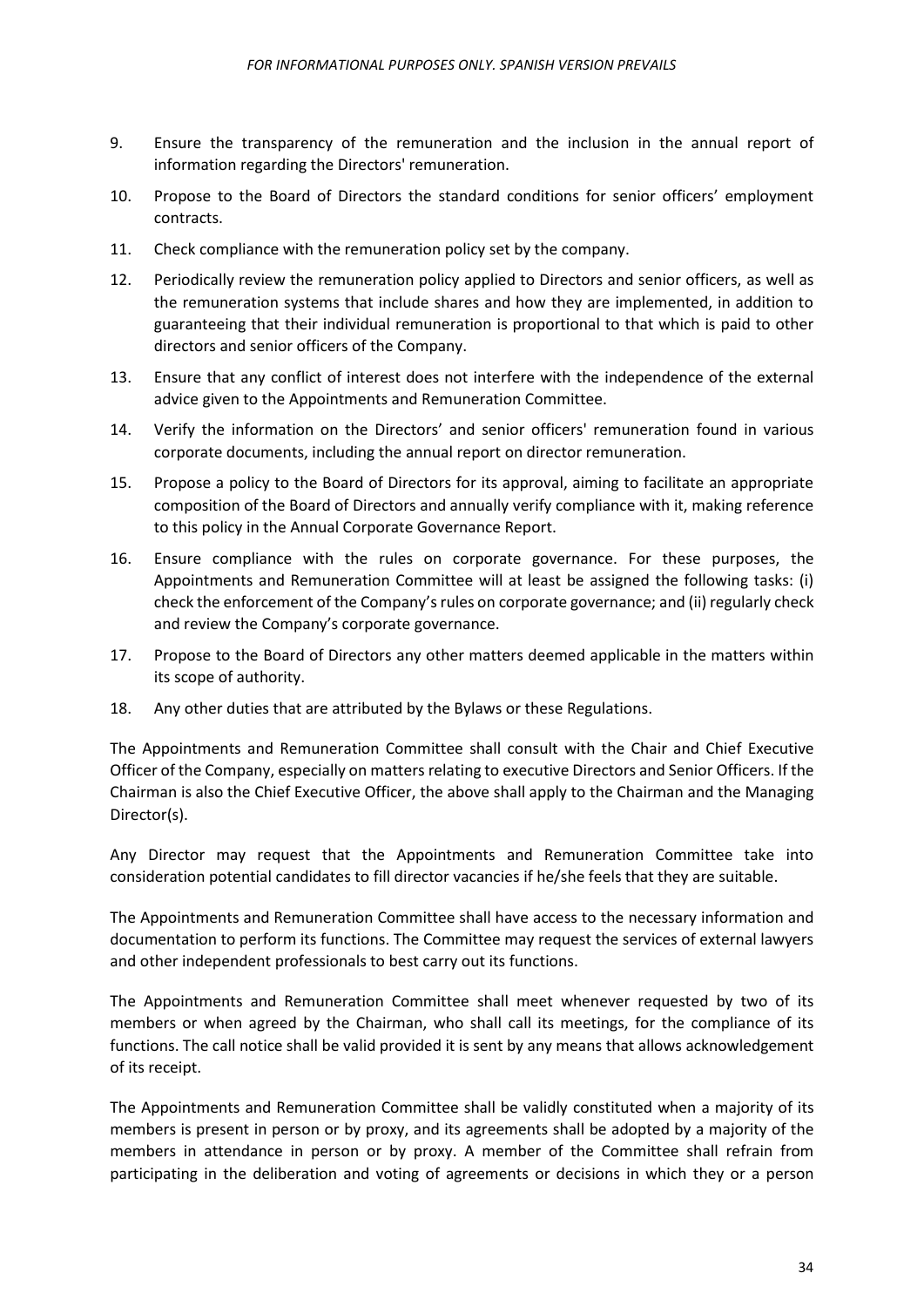- 9. Ensure the transparency of the remuneration and the inclusion in the annual report of information regarding the Directors' remuneration.
- 10. Propose to the Board of Directors the standard conditions for senior officers' employment contracts.
- 11. Check compliance with the remuneration policy set by the company.
- 12. Periodically review the remuneration policy applied to Directors and senior officers, as well as the remuneration systems that include shares and how they are implemented, in addition to guaranteeing that their individual remuneration is proportional to that which is paid to other directors and senior officers of the Company.
- 13. Ensure that any conflict of interest does not interfere with the independence of the external advice given to the Appointments and Remuneration Committee.
- 14. Verify the information on the Directors' and senior officers' remuneration found in various corporate documents, including the annual report on director remuneration.
- 15. Propose a policy to the Board of Directors for its approval, aiming to facilitate an appropriate composition of the Board of Directors and annually verify compliance with it, making reference to this policy in the Annual Corporate Governance Report.
- 16. Ensure compliance with the rules on corporate governance. For these purposes, the Appointments and Remuneration Committee will at least be assigned the following tasks: (i) check the enforcement of the Company's rules on corporate governance; and (ii) regularly check and review the Company's corporate governance.
- 17. Propose to the Board of Directors any other matters deemed applicable in the matters within its scope of authority.
- 18. Any other duties that are attributed by the Bylaws or these Regulations.

The Appointments and Remuneration Committee shall consult with the Chair and Chief Executive Officer of the Company, especially on matters relating to executive Directors and Senior Officers. If the Chairman is also the Chief Executive Officer, the above shall apply to the Chairman and the Managing Director(s).

Any Director may request that the Appointments and Remuneration Committee take into consideration potential candidates to fill director vacancies if he/she feels that they are suitable.

The Appointments and Remuneration Committee shall have access to the necessary information and documentation to perform its functions. The Committee may request the services of external lawyers and other independent professionals to best carry out its functions.

The Appointments and Remuneration Committee shall meet whenever requested by two of its members or when agreed by the Chairman, who shall call its meetings, for the compliance of its functions. The call notice shall be valid provided it is sent by any means that allows acknowledgement of its receipt.

The Appointments and Remuneration Committee shall be validly constituted when a majority of its members is present in person or by proxy, and its agreements shall be adopted by a majority of the members in attendance in person or by proxy. A member of the Committee shall refrain from participating in the deliberation and voting of agreements or decisions in which they or a person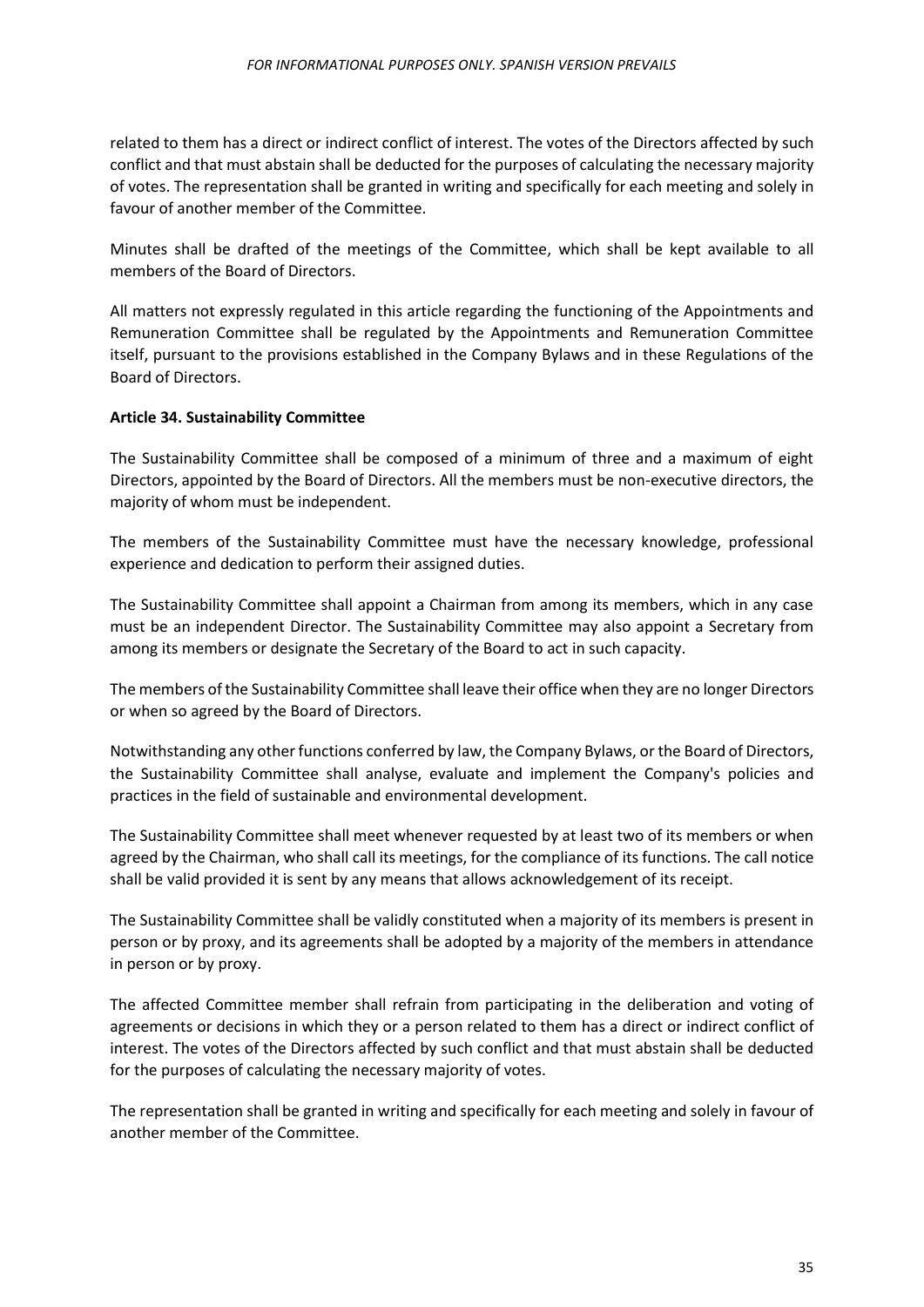related to them has a direct or indirect conflict of interest. The votes of the Directors affected by such conflict and that must abstain shall be deducted for the purposes of calculating the necessary majority of votes. The representation shall be granted in writing and specifically for each meeting and solely in favour of another member of the Committee.

Minutes shall be drafted of the meetings of the Committee, which shall be kept available to all members of the Board of Directors.

All matters not expressly regulated in this article regarding the functioning of the Appointments and Remuneration Committee shall be regulated by the Appointments and Remuneration Committee itself, pursuant to the provisions established in the Company Bylaws and in these Regulations of the Board of Directors.

## <span id="page-34-0"></span>**Article 34. Sustainability Committee**

The Sustainability Committee shall be composed of a minimum of three and a maximum of eight Directors, appointed by the Board of Directors. All the members must be non-executive directors, the majority of whom must be independent.

The members of the Sustainability Committee must have the necessary knowledge, professional experience and dedication to perform their assigned duties.

The Sustainability Committee shall appoint a Chairman from among its members, which in any case must be an independent Director. The Sustainability Committee may also appoint a Secretary from among its members or designate the Secretary of the Board to act in such capacity.

The members of the Sustainability Committee shall leave their office when they are no longer Directors or when so agreed by the Board of Directors.

Notwithstanding any other functions conferred by law, the Company Bylaws, or the Board of Directors, the Sustainability Committee shall analyse, evaluate and implement the Company's policies and practices in the field of sustainable and environmental development.

The Sustainability Committee shall meet whenever requested by at least two of its members or when agreed by the Chairman, who shall call its meetings, for the compliance of its functions. The call notice shall be valid provided it is sent by any means that allows acknowledgement of its receipt.

The Sustainability Committee shall be validly constituted when a majority of its members is present in person or by proxy, and its agreements shall be adopted by a majority of the members in attendance in person or by proxy.

The affected Committee member shall refrain from participating in the deliberation and voting of agreements or decisions in which they or a person related to them has a direct or indirect conflict of interest. The votes of the Directors affected by such conflict and that must abstain shall be deducted for the purposes of calculating the necessary majority of votes.

The representation shall be granted in writing and specifically for each meeting and solely in favour of another member of the Committee.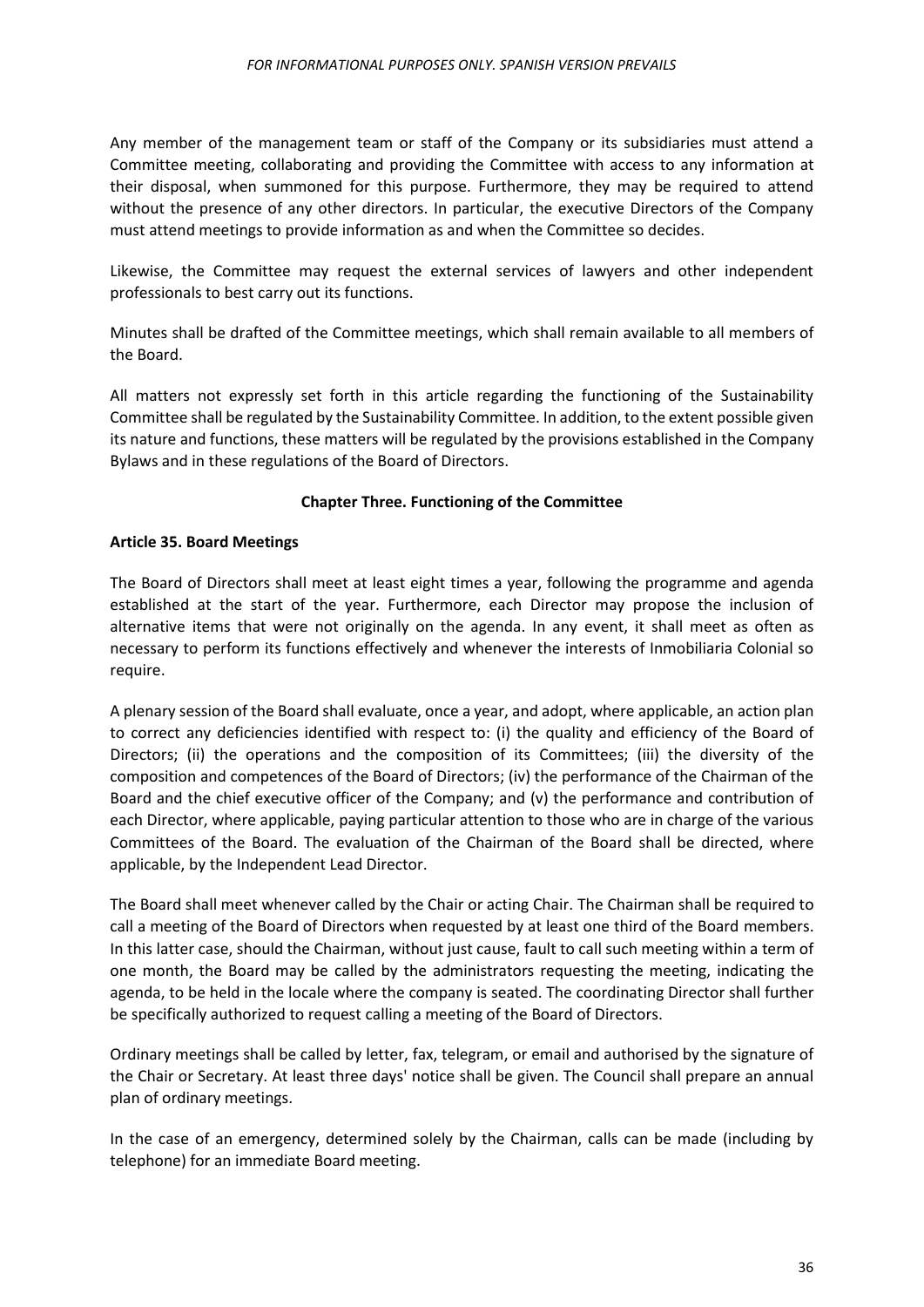Any member of the management team or staff of the Company or its subsidiaries must attend a Committee meeting, collaborating and providing the Committee with access to any information at their disposal, when summoned for this purpose. Furthermore, they may be required to attend without the presence of any other directors. In particular, the executive Directors of the Company must attend meetings to provide information as and when the Committee so decides.

Likewise, the Committee may request the external services of lawyers and other independent professionals to best carry out its functions.

Minutes shall be drafted of the Committee meetings, which shall remain available to all members of the Board.

All matters not expressly set forth in this article regarding the functioning of the Sustainability Committee shall be regulated by the Sustainability Committee. In addition, to the extent possible given its nature and functions, these matters will be regulated by the provisions established in the Company Bylaws and in these regulations of the Board of Directors.

## **Chapter Three. Functioning of the Committee**

#### <span id="page-35-1"></span><span id="page-35-0"></span>**Article 35. Board Meetings**

The Board of Directors shall meet at least eight times a year, following the programme and agenda established at the start of the year. Furthermore, each Director may propose the inclusion of alternative items that were not originally on the agenda. In any event, it shall meet as often as necessary to perform its functions effectively and whenever the interests of Inmobiliaria Colonial so require.

A plenary session of the Board shall evaluate, once a year, and adopt, where applicable, an action plan to correct any deficiencies identified with respect to: (i) the quality and efficiency of the Board of Directors; (ii) the operations and the composition of its Committees; (iii) the diversity of the composition and competences of the Board of Directors; (iv) the performance of the Chairman of the Board and the chief executive officer of the Company; and (v) the performance and contribution of each Director, where applicable, paying particular attention to those who are in charge of the various Committees of the Board. The evaluation of the Chairman of the Board shall be directed, where applicable, by the Independent Lead Director.

The Board shall meet whenever called by the Chair or acting Chair. The Chairman shall be required to call a meeting of the Board of Directors when requested by at least one third of the Board members. In this latter case, should the Chairman, without just cause, fault to call such meeting within a term of one month, the Board may be called by the administrators requesting the meeting, indicating the agenda, to be held in the locale where the company is seated. The coordinating Director shall further be specifically authorized to request calling a meeting of the Board of Directors.

Ordinary meetings shall be called by letter, fax, telegram, or email and authorised by the signature of the Chair or Secretary. At least three days' notice shall be given. The Council shall prepare an annual plan of ordinary meetings.

In the case of an emergency, determined solely by the Chairman, calls can be made (including by telephone) for an immediate Board meeting.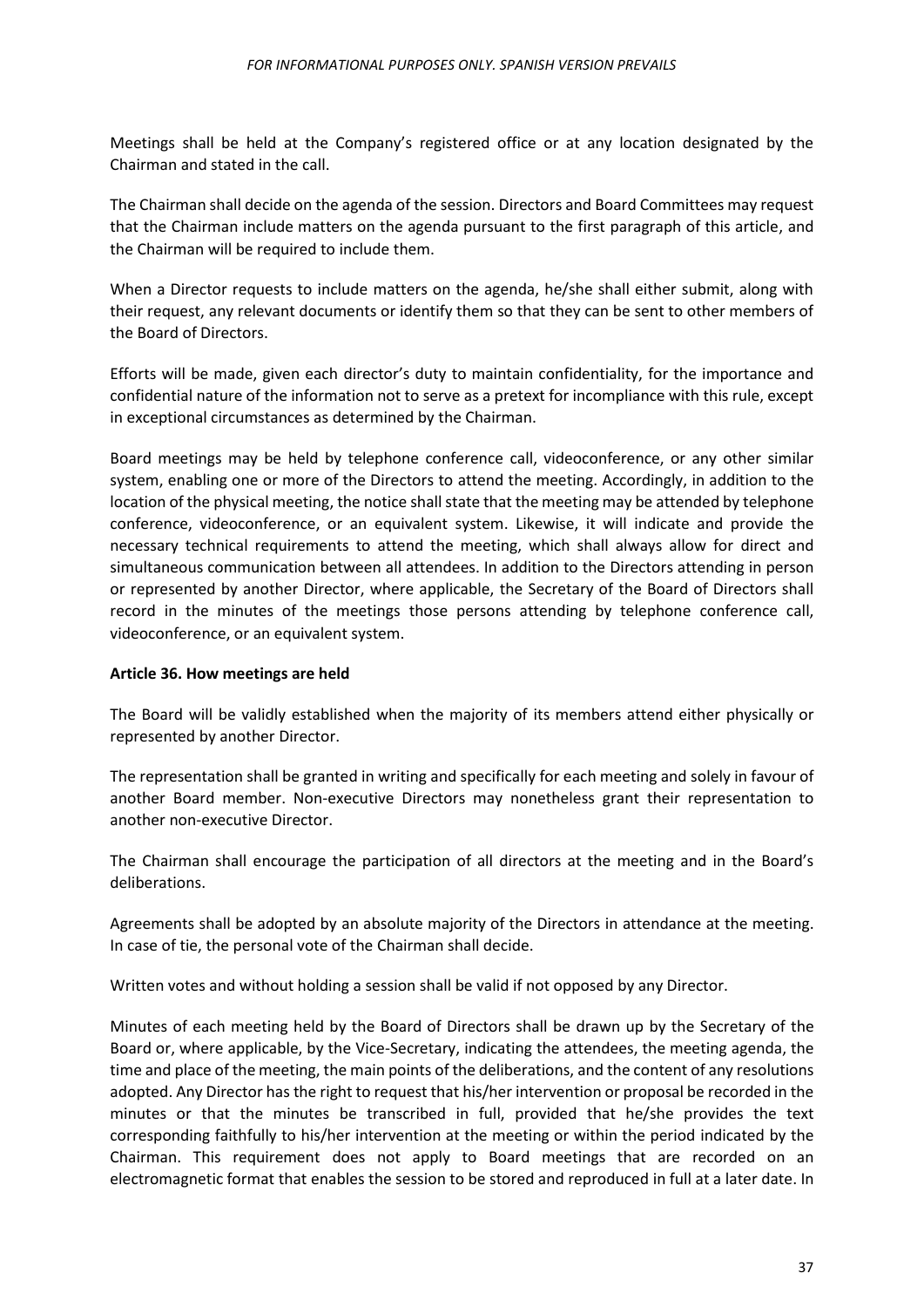Meetings shall be held at the Company's registered office or at any location designated by the Chairman and stated in the call.

The Chairman shall decide on the agenda of the session. Directors and Board Committees may request that the Chairman include matters on the agenda pursuant to the first paragraph of this article, and the Chairman will be required to include them.

When a Director requests to include matters on the agenda, he/she shall either submit, along with their request, any relevant documents or identify them so that they can be sent to other members of the Board of Directors.

Efforts will be made, given each director's duty to maintain confidentiality, for the importance and confidential nature of the information not to serve as a pretext for incompliance with this rule, except in exceptional circumstances as determined by the Chairman.

Board meetings may be held by telephone conference call, videoconference, or any other similar system, enabling one or more of the Directors to attend the meeting. Accordingly, in addition to the location of the physical meeting, the notice shall state that the meeting may be attended by telephone conference, videoconference, or an equivalent system. Likewise, it will indicate and provide the necessary technical requirements to attend the meeting, which shall always allow for direct and simultaneous communication between all attendees. In addition to the Directors attending in person or represented by another Director, where applicable, the Secretary of the Board of Directors shall record in the minutes of the meetings those persons attending by telephone conference call, videoconference, or an equivalent system.

#### <span id="page-36-0"></span>**Article 36. How meetings are held**

The Board will be validly established when the majority of its members attend either physically or represented by another Director.

The representation shall be granted in writing and specifically for each meeting and solely in favour of another Board member. Non-executive Directors may nonetheless grant their representation to another non-executive Director.

The Chairman shall encourage the participation of all directors at the meeting and in the Board's deliberations.

Agreements shall be adopted by an absolute majority of the Directors in attendance at the meeting. In case of tie, the personal vote of the Chairman shall decide.

Written votes and without holding a session shall be valid if not opposed by any Director.

Minutes of each meeting held by the Board of Directors shall be drawn up by the Secretary of the Board or, where applicable, by the Vice-Secretary, indicating the attendees, the meeting agenda, the time and place of the meeting, the main points of the deliberations, and the content of any resolutions adopted. Any Director has the right to request that his/her intervention or proposal be recorded in the minutes or that the minutes be transcribed in full, provided that he/she provides the text corresponding faithfully to his/her intervention at the meeting or within the period indicated by the Chairman. This requirement does not apply to Board meetings that are recorded on an electromagnetic format that enables the session to be stored and reproduced in full at a later date. In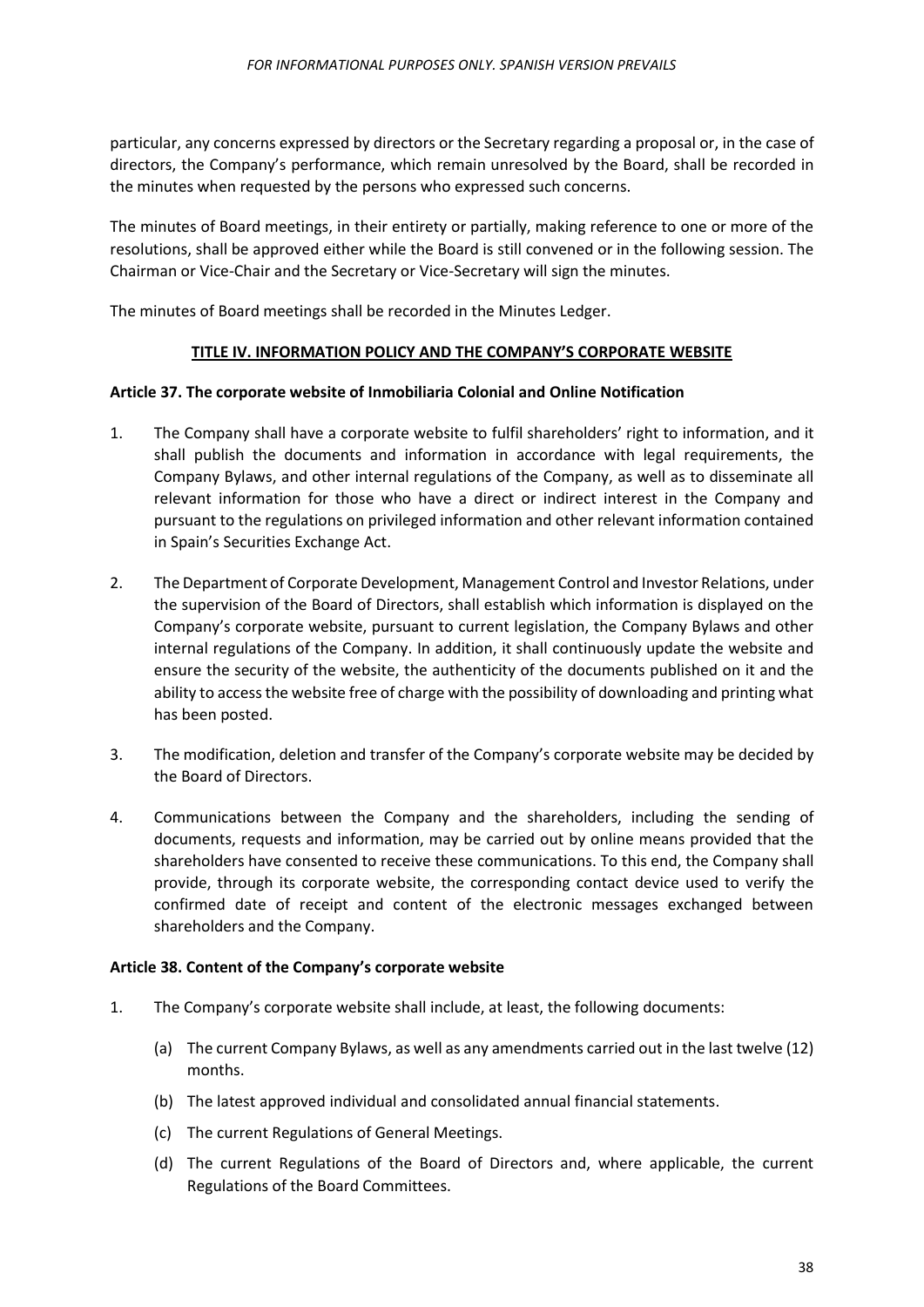particular, any concerns expressed by directors or the Secretary regarding a proposal or, in the case of directors, the Company's performance, which remain unresolved by the Board, shall be recorded in the minutes when requested by the persons who expressed such concerns.

The minutes of Board meetings, in their entirety or partially, making reference to one or more of the resolutions, shall be approved either while the Board is still convened or in the following session. The Chairman or Vice-Chair and the Secretary or Vice-Secretary will sign the minutes.

<span id="page-37-0"></span>The minutes of Board meetings shall be recorded in the Minutes Ledger.

## **TITLE IV. INFORMATION POLICY AND THE COMPANY'S CORPORATE WEBSITE**

#### <span id="page-37-1"></span>**Article 37. The corporate website of Inmobiliaria Colonial and Online Notification**

- 1. The Company shall have a corporate website to fulfil shareholders' right to information, and it shall publish the documents and information in accordance with legal requirements, the Company Bylaws, and other internal regulations of the Company, as well as to disseminate all relevant information for those who have a direct or indirect interest in the Company and pursuant to the regulations on privileged information and other relevant information contained in Spain's Securities Exchange Act.
- 2. The Department of Corporate Development, Management Control and Investor Relations, under the supervision of the Board of Directors, shall establish which information is displayed on the Company's corporate website, pursuant to current legislation, the Company Bylaws and other internal regulations of the Company. In addition, it shall continuously update the website and ensure the security of the website, the authenticity of the documents published on it and the ability to access the website free of charge with the possibility of downloading and printing what has been posted.
- 3. The modification, deletion and transfer of the Company's corporate website may be decided by the Board of Directors.
- 4. Communications between the Company and the shareholders, including the sending of documents, requests and information, may be carried out by online means provided that the shareholders have consented to receive these communications. To this end, the Company shall provide, through its corporate website, the corresponding contact device used to verify the confirmed date of receipt and content of the electronic messages exchanged between shareholders and the Company.

#### <span id="page-37-2"></span>**Article 38. Content of the Company's corporate website**

- 1. The Company's corporate website shall include, at least, the following documents:
	- (a) The current Company Bylaws, as well as any amendments carried out in the last twelve (12) months.
	- (b) The latest approved individual and consolidated annual financial statements.
	- (c) The current Regulations of General Meetings.
	- (d) The current Regulations of the Board of Directors and, where applicable, the current Regulations of the Board Committees.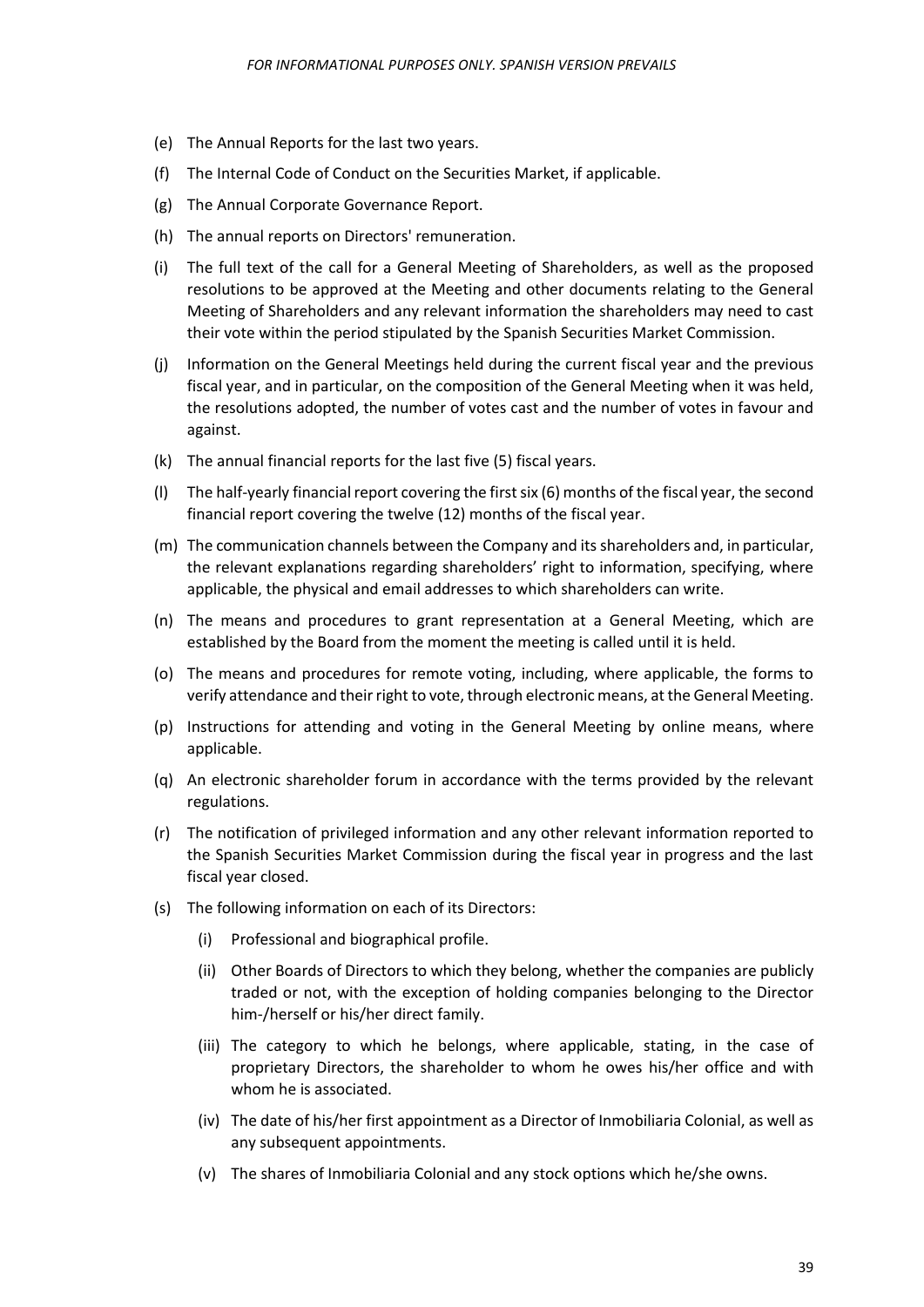- (e) The Annual Reports for the last two years.
- (f) The Internal Code of Conduct on the Securities Market, if applicable.
- (g) The Annual Corporate Governance Report.
- (h) The annual reports on Directors' remuneration.
- (i) The full text of the call for a General Meeting of Shareholders, as well as the proposed resolutions to be approved at the Meeting and other documents relating to the General Meeting of Shareholders and any relevant information the shareholders may need to cast their vote within the period stipulated by the Spanish Securities Market Commission.
- (j) Information on the General Meetings held during the current fiscal year and the previous fiscal year, and in particular, on the composition of the General Meeting when it was held, the resolutions adopted, the number of votes cast and the number of votes in favour and against.
- (k) The annual financial reports for the last five (5) fiscal years.
- (l) The half-yearly financial report covering the first six (6) months of the fiscal year, the second financial report covering the twelve (12) months of the fiscal year.
- (m) The communication channels between the Company and its shareholders and, in particular, the relevant explanations regarding shareholders' right to information, specifying, where applicable, the physical and email addresses to which shareholders can write.
- (n) The means and procedures to grant representation at a General Meeting, which are established by the Board from the moment the meeting is called until it is held.
- (o) The means and procedures for remote voting, including, where applicable, the forms to verify attendance and their right to vote, through electronic means, at the General Meeting.
- (p) Instructions for attending and voting in the General Meeting by online means, where applicable.
- (q) An electronic shareholder forum in accordance with the terms provided by the relevant regulations.
- (r) The notification of privileged information and any other relevant information reported to the Spanish Securities Market Commission during the fiscal year in progress and the last fiscal year closed.
- (s) The following information on each of its Directors:
	- (i) Professional and biographical profile.
	- (ii) Other Boards of Directors to which they belong, whether the companies are publicly traded or not, with the exception of holding companies belonging to the Director him-/herself or his/her direct family.
	- (iii) The category to which he belongs, where applicable, stating, in the case of proprietary Directors, the shareholder to whom he owes his/her office and with whom he is associated.
	- (iv) The date of his/her first appointment as a Director of Inmobiliaria Colonial, as well as any subsequent appointments.
	- (v) The shares of Inmobiliaria Colonial and any stock options which he/she owns.